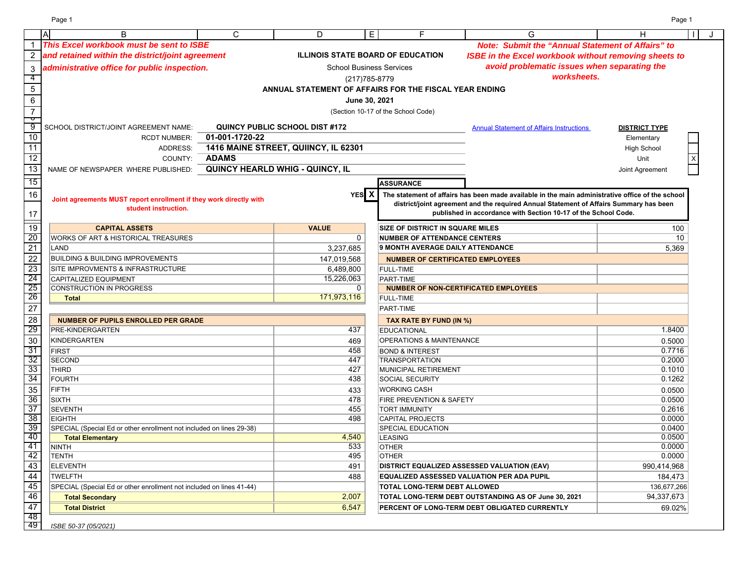Page 1 Page 1

|                      | $\overline{A}$<br>B                                                  | C              | D                                     | E.             | F                                                      | G                                                                                                | н                    | J |
|----------------------|----------------------------------------------------------------------|----------------|---------------------------------------|----------------|--------------------------------------------------------|--------------------------------------------------------------------------------------------------|----------------------|---|
|                      | This Excel workbook must be sent to ISBE                             |                |                                       |                |                                                        | <b>Note: Submit the "Annual Statement of Affairs" to</b>                                         |                      |   |
|                      | and retained within the district/joint agreement                     |                |                                       |                | <b>ILLINOIS STATE BOARD OF EDUCATION</b>               | <b>ISBE in the Excel workbook without removing sheets to</b>                                     |                      |   |
| 3                    | administrative office for public inspection.                         |                |                                       |                | <b>School Business Services</b>                        | avoid problematic issues when separating the                                                     |                      |   |
| -4                   |                                                                      |                |                                       | (217) 785-8779 |                                                        | worksheets.                                                                                      |                      |   |
| $\overline{5}$       |                                                                      |                |                                       |                | ANNUAL STATEMENT OF AFFAIRS FOR THE FISCAL YEAR ENDING |                                                                                                  |                      |   |
| $\,6\,$              |                                                                      |                |                                       |                |                                                        |                                                                                                  |                      |   |
|                      |                                                                      |                |                                       | June 30, 2021  |                                                        |                                                                                                  |                      |   |
| $\overline{7}$<br>᠊ᠣ |                                                                      |                |                                       |                | (Section 10-17 of the School Code)                     |                                                                                                  |                      |   |
| 9                    | SCHOOL DISTRICT/JOINT AGREEMENT NAME:                                |                | <b>QUINCY PUBLIC SCHOOL DIST #172</b> |                |                                                        | <b>Annual Statement of Affairs Instructions</b>                                                  | <b>DISTRICT TYPE</b> |   |
| 10                   | <b>RCDT NUMBER:</b>                                                  | 01-001-1720-22 |                                       |                |                                                        |                                                                                                  | Elementary           |   |
| 11                   | ADDRESS:                                                             |                | 1416 MAINE STREET, QUIINCY, IL 62301  |                |                                                        |                                                                                                  | <b>High School</b>   |   |
| 12                   | COUNTY:                                                              | <b>ADAMS</b>   |                                       |                |                                                        |                                                                                                  | Unit                 |   |
| 13                   | NAME OF NEWSPAPER WHERE PUBLISHED:                                   |                | QUINCY HEARLD WHIG - QUINCY, IL       |                |                                                        |                                                                                                  | Joint Agreement      |   |
| 15                   |                                                                      |                |                                       |                |                                                        |                                                                                                  |                      |   |
|                      |                                                                      |                |                                       |                | <b>ASSURANCE</b>                                       |                                                                                                  |                      |   |
| 16                   | Joint agreements MUST report enrollment if they work directly with   |                |                                       | YES X          |                                                        | The statement of affairs has been made available in the main administrative office of the school |                      |   |
|                      | student instruction.                                                 |                |                                       |                |                                                        | district/joint agreement and the required Annual Statement of Affairs Summary has been           |                      |   |
| 17                   |                                                                      |                |                                       |                |                                                        | published in accordance with Section 10-17 of the School Code.                                   |                      |   |
| $\overline{19}$      | <b>CAPITAL ASSETS</b>                                                |                | <b>VALUE</b>                          |                | <b>SIZE OF DISTRICT IN SQUARE MILES</b>                |                                                                                                  | 100                  |   |
| 20                   | <b>WORKS OF ART &amp; HISTORICAL TREASURES</b>                       |                |                                       | 0              | <b>NUMBER OF ATTENDANCE CENTERS</b>                    |                                                                                                  | 10                   |   |
| $\overline{21}$      | LAND                                                                 |                | 3,237,685                             |                | 9 MONTH AVERAGE DAILY ATTENDANCE                       |                                                                                                  | 5,369                |   |
| $\overline{22}$      | <b>BUILDING &amp; BUILDING IMPROVEMENTS</b>                          |                | 147,019,568                           |                | <b>NUMBER OF CERTIFICATED EMPLOYEES</b>                |                                                                                                  |                      |   |
| 23                   | <b>SITE IMPROVMENTS &amp; INFRASTRUCTURE</b>                         |                | 6,489,800                             |                | <b>FULL-TIME</b>                                       |                                                                                                  |                      |   |
| 24                   | <b>CAPITALIZED EQUIPMENT</b>                                         |                | 15,226,063                            |                | PART-TIME                                              |                                                                                                  |                      |   |
| 25                   | CONSTRUCTION IN PROGRESS                                             |                |                                       | 0              | <b>NUMBER OF NON-CERTIFICATED EMPLOYEES</b>            |                                                                                                  |                      |   |
| 26                   | <b>Total</b>                                                         |                | 171,973,116                           |                | <b>FULL-TIME</b>                                       |                                                                                                  |                      |   |
| $\overline{27}$      |                                                                      |                |                                       |                | PART-TIME                                              |                                                                                                  |                      |   |
| $\overline{28}$      | <b>NUMBER OF PUPILS ENROLLED PER GRADE</b>                           |                |                                       |                | TAX RATE BY FUND (IN %)                                |                                                                                                  |                      |   |
| 29                   | <b>PRE-KINDERGARTEN</b>                                              |                | 437                                   |                | <b>EDUCATIONAL</b>                                     |                                                                                                  | 1.8400               |   |
| 30                   | KINDERGARTEN                                                         |                | 469                                   |                | OPERATIONS & MAINTENANCE                               |                                                                                                  | 0.5000               |   |
| 31                   | <b>FIRST</b>                                                         |                | 458                                   |                | <b>BOND &amp; INTEREST</b>                             |                                                                                                  | 0.7716               |   |
| 32                   | <b>SECOND</b>                                                        |                | 447                                   |                | <b>TRANSPORTATION</b>                                  |                                                                                                  | 0.2000               |   |
| 33                   | <b>THIRD</b>                                                         |                | 427                                   |                | MUNICIPAL RETIREMENT                                   |                                                                                                  | 0.1010               |   |
| 34                   | <b>FOURTH</b>                                                        |                | 438                                   |                | <b>SOCIAL SECURITY</b>                                 |                                                                                                  | 0.1262               |   |
| 35                   | <b>FIFTH</b>                                                         |                | 433                                   |                | <b>WORKING CASH</b>                                    |                                                                                                  | 0.0500               |   |
| 36                   | <b>SIXTH</b>                                                         |                | 478                                   |                | FIRE PREVENTION & SAFETY                               |                                                                                                  | 0.0500               |   |
| 37                   | <b>SEVENTH</b>                                                       |                | 455                                   |                | <b>TORT IMMUNITY</b>                                   |                                                                                                  | 0.2616               |   |
| 38                   | <b>EIGHTH</b>                                                        |                | 498                                   |                | <b>CAPITAL PROJECTS</b>                                |                                                                                                  | 0.0000               |   |
| 39                   | SPECIAL (Special Ed or other enrollment not included on lines 29-38) |                |                                       |                | SPECIAL EDUCATION                                      |                                                                                                  | 0.0400               |   |
| 40                   | <b>Total Elementary</b>                                              |                | 4,540                                 |                | <b>LEASING</b>                                         |                                                                                                  | 0.0500               |   |
| 41                   | NINTH                                                                |                | 533                                   |                | <b>OTHER</b>                                           |                                                                                                  | 0.0000               |   |
| 42                   | <b>TENTH</b>                                                         |                | 495                                   |                | <b>OTHER</b>                                           |                                                                                                  | 0.0000               |   |
| 43                   | <b>ELEVENTH</b>                                                      |                | 491                                   |                |                                                        | <b>DISTRICT EQUALIZED ASSESSED VALUATION (EAV)</b>                                               | 990,414,968          |   |
| $\frac{44}{45}$      | <b>TWELFTH</b>                                                       |                | 488                                   |                |                                                        | <b>EQUALIZED ASSESSED VALUATION PER ADA PUPIL</b>                                                | 184,473              |   |
|                      | SPECIAL (Special Ed or other enrollment not included on lines 41-44) |                |                                       |                | TOTAL LONG-TERM DEBT ALLOWED                           |                                                                                                  | 136,677,266          |   |
| 46                   | <b>Total Secondary</b>                                               |                | 2,007                                 |                |                                                        | TOTAL LONG-TERM DEBT OUTSTANDING AS OF June 30, 2021                                             | 94,337,673           |   |
| 47                   | <b>Total District</b>                                                |                | 6,547                                 |                |                                                        | PERCENT OF LONG-TERM DEBT OBLIGATED CURRENTLY                                                    | 69.02%               |   |
| 48<br>49             |                                                                      |                |                                       |                |                                                        |                                                                                                  |                      |   |
|                      | ISBE 50-37 (05/2021)                                                 |                |                                       |                |                                                        |                                                                                                  |                      |   |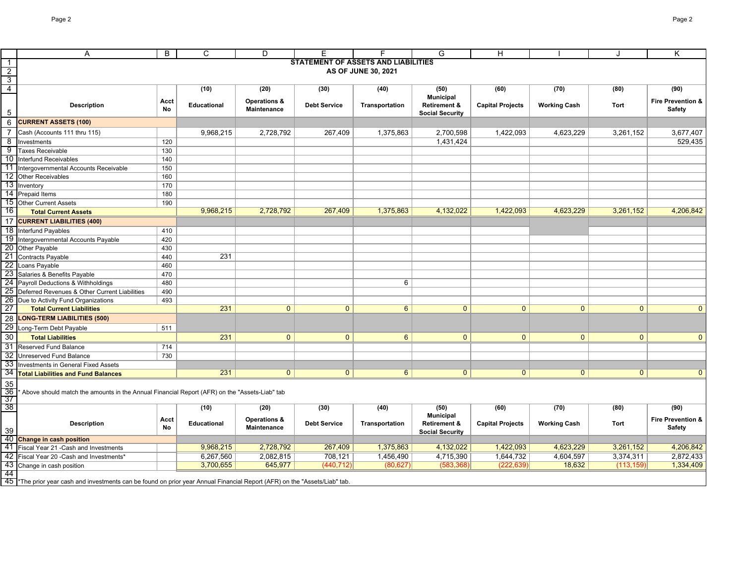|                       | Α                                                                                                                                      | B         | C                  | D                       | Е                                          | F.                  | G                                           | H                       |                     | J            | Κ                            |
|-----------------------|----------------------------------------------------------------------------------------------------------------------------------------|-----------|--------------------|-------------------------|--------------------------------------------|---------------------|---------------------------------------------|-------------------------|---------------------|--------------|------------------------------|
| $\overline{1}$        |                                                                                                                                        |           |                    |                         | <b>STATEMENT OF ASSETS AND LIABILITIES</b> |                     |                                             |                         |                     |              |                              |
| $\frac{2}{3}$         |                                                                                                                                        |           |                    |                         |                                            | AS OF JUNE 30, 2021 |                                             |                         |                     |              |                              |
|                       |                                                                                                                                        |           |                    |                         |                                            |                     |                                             |                         |                     |              |                              |
|                       |                                                                                                                                        |           | (10)               | (20)                    | (30)                                       | (40)                | (50)                                        | (60)                    | (70)                | (80)         | (90)                         |
|                       | <b>Description</b>                                                                                                                     | Acct      | Educational        | <b>Operations &amp;</b> | <b>Debt Service</b>                        | Transportation      | <b>Municipal</b><br><b>Retirement &amp;</b> | <b>Capital Projects</b> | <b>Working Cash</b> | Tort         | Fire Prevention &            |
| 5                     |                                                                                                                                        | No        |                    | Maintenance             |                                            |                     | <b>Social Security</b>                      |                         |                     |              | Safety                       |
| $\,6$                 | <b>CURRENT ASSETS (100)</b>                                                                                                            |           |                    |                         |                                            |                     |                                             |                         |                     |              |                              |
| $\overline{7}$        | Cash (Accounts 111 thru 115)                                                                                                           |           | 9,968,215          | 2,728,792               | 267,409                                    | 1,375,863           | 2,700,598                                   | 1,422,093               | 4,623,229           | 3,261,152    | 3,677,407                    |
| 8                     | Investments                                                                                                                            | 120       |                    |                         |                                            |                     | 1,431,424                                   |                         |                     |              | 529,435                      |
| $\overline{9}$        | <b>Taxes Receivable</b>                                                                                                                | 130       |                    |                         |                                            |                     |                                             |                         |                     |              |                              |
| 10                    | Interfund Receivables                                                                                                                  | 140       |                    |                         |                                            |                     |                                             |                         |                     |              |                              |
| 11                    | Intergovernmental Accounts Receivable                                                                                                  | 150       |                    |                         |                                            |                     |                                             |                         |                     |              |                              |
| 12                    | <b>Other Receivables</b>                                                                                                               | 160       |                    |                         |                                            |                     |                                             |                         |                     |              |                              |
| 13                    | Inventory                                                                                                                              | 170       |                    |                         |                                            |                     |                                             |                         |                     |              |                              |
|                       | 14 Prepaid Items                                                                                                                       | 180       |                    |                         |                                            |                     |                                             |                         |                     |              |                              |
| 15                    | <b>Other Current Assets</b>                                                                                                            | 190       |                    |                         |                                            |                     |                                             |                         |                     |              |                              |
| 16                    | <b>Total Current Assets</b>                                                                                                            |           | 9,968,215          | 2,728,792               | 267,409                                    | 1,375,863           | 4,132,022                                   | 1,422,093               | 4,623,229           | 3,261,152    | 4,206,842                    |
| 17                    | <b>CURRENT LIABILITIES (400)</b>                                                                                                       |           |                    |                         |                                            |                     |                                             |                         |                     |              |                              |
| 18                    | Interfund Payables                                                                                                                     | 410       |                    |                         |                                            |                     |                                             |                         |                     |              |                              |
| 19                    | Intergovernmental Accounts Payable                                                                                                     | 420       |                    |                         |                                            |                     |                                             |                         |                     |              |                              |
| 20                    | Other Payable                                                                                                                          | 430       |                    |                         |                                            |                     |                                             |                         |                     |              |                              |
| 21                    | Contracts Payable                                                                                                                      | 440       | 231                |                         |                                            |                     |                                             |                         |                     |              |                              |
| 22                    | Loans Payable                                                                                                                          | 460       |                    |                         |                                            |                     |                                             |                         |                     |              |                              |
| 23                    | Salaries & Benefits Payable                                                                                                            | 470       |                    |                         |                                            |                     |                                             |                         |                     |              |                              |
|                       | 24 Payroll Deductions & Withholdings                                                                                                   | 480       |                    |                         |                                            | 6                   |                                             |                         |                     |              |                              |
| 25                    | Deferred Revenues & Other Current Liabilities                                                                                          | 490       |                    |                         |                                            |                     |                                             |                         |                     |              |                              |
| 26                    | Due to Activity Fund Organizations                                                                                                     | 493       |                    |                         |                                            |                     |                                             |                         |                     |              |                              |
| 27                    | <b>Total Current Liabilities</b>                                                                                                       |           | 231                | $\overline{0}$          | $\overline{0}$                             | $6\phantom{1}$      | $\overline{0}$                              | $\mathbf{0}$            | $\overline{0}$      | $\mathbf{0}$ | $\overline{0}$               |
| 28                    | <b>LONG-TERM LIABILITIES (500)</b>                                                                                                     |           |                    |                         |                                            |                     |                                             |                         |                     |              |                              |
|                       | 29 Long-Term Debt Payable                                                                                                              | 511       |                    |                         |                                            |                     |                                             |                         |                     |              |                              |
| $\overline{30}$       | <b>Total Liabilities</b>                                                                                                               |           | 231                | $\mathbf{0}$            | $\mathbf{0}$                               | $6\overline{6}$     | $\mathbf{0}$                                | $\mathbf{0}$            | $\mathbf{0}$        | $\mathbf{0}$ | $\mathbf{0}$                 |
| 31                    | Reserved Fund Balance                                                                                                                  | 714       |                    |                         |                                            |                     |                                             |                         |                     |              |                              |
| $\overline{32}$       | <b>Unreserved Fund Balance</b>                                                                                                         | 730       |                    |                         |                                            |                     |                                             |                         |                     |              |                              |
| 33                    | Investments in General Fixed Assets                                                                                                    |           |                    |                         |                                            |                     |                                             |                         |                     |              |                              |
| 34                    | <b>Total Liabilities and Fund Balances</b>                                                                                             |           | 231                | $\mathbf{0}$            | $\mathbf{0}$                               | $6^{\circ}$         | $\mathbf{0}$                                | 0                       | $\mathbf{0}$        | $\mathbf{0}$ | $\mathbf{0}$                 |
| 35                    |                                                                                                                                        |           |                    |                         |                                            |                     |                                             |                         |                     |              |                              |
| 36                    | Above should match the amounts in the Annual Financial Report (AFR) on the "Assets-Liab" tab                                           |           |                    |                         |                                            |                     |                                             |                         |                     |              |                              |
| 37<br>$\overline{38}$ |                                                                                                                                        |           |                    |                         |                                            |                     |                                             |                         |                     |              |                              |
|                       |                                                                                                                                        |           | (10)               | (20)                    | (30)                                       | (40)                | (50)<br><b>Municipal</b>                    | (60)                    | (70)                | (80)         | (90)                         |
|                       | <b>Description</b>                                                                                                                     | Acct      | <b>Educational</b> | <b>Operations &amp;</b> | <b>Debt Service</b>                        | Transportation      | <b>Retirement &amp;</b>                     | <b>Capital Projects</b> | <b>Working Cash</b> | Tort         | <b>Fire Prevention &amp;</b> |
| 39                    |                                                                                                                                        | <b>No</b> |                    | <b>Maintenance</b>      |                                            |                     | <b>Social Security</b>                      |                         |                     |              | Safety                       |
|                       | 40 Change in cash position                                                                                                             |           |                    |                         |                                            |                     |                                             |                         |                     |              |                              |
| 41                    | Fiscal Year 21 - Cash and Investments                                                                                                  |           | 9,968,215          | 2,728,792               | 267,409                                    | 1,375,863           | 4,132,022                                   | 1,422,093               | 4,623,229           | 3,261,152    | 4,206,842                    |
| 42                    | Fiscal Year 20 - Cash and Investments*                                                                                                 |           | 6,267,560          | 2,082,815               | 708,121                                    | 1,456,490           | 4,715,390                                   | 1,644,732               | 4,604,597           | 3,374,311    | 2,872,433                    |
| 43                    | Change in cash position                                                                                                                |           | 3,700,655          | 645,977                 | (440, 712)                                 | (80, 627)           | (583, 368)                                  | (222, 639)              | 18,632              | (113, 159)   | 1,334,409                    |
| 44                    |                                                                                                                                        |           |                    |                         |                                            |                     |                                             |                         |                     |              |                              |
|                       | 45 <sup>*</sup> The prior year cash and investments can be found on prior year Annual Financial Report (AFR) on the "Assets/Liab" tab. |           |                    |                         |                                            |                     |                                             |                         |                     |              |                              |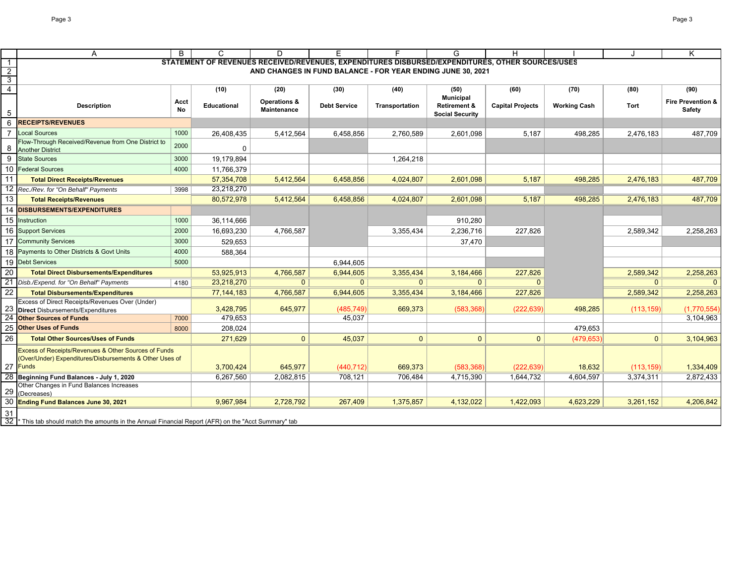|                 | Α                                                                                                                          | B    | C                                                                                                | D                                                           | Е                    | F                     | G                                           | H                       |                     | J              | K                            |
|-----------------|----------------------------------------------------------------------------------------------------------------------------|------|--------------------------------------------------------------------------------------------------|-------------------------------------------------------------|----------------------|-----------------------|---------------------------------------------|-------------------------|---------------------|----------------|------------------------------|
| $\overline{1}$  |                                                                                                                            |      | STATEMENT OF REVENUES RECEIVED/REVENUES, EXPENDITURES DISBURSED/EXPENDITURES, OTHER SOURCES/USES |                                                             |                      |                       |                                             |                         |                     |                |                              |
| $\overline{2}$  |                                                                                                                            |      |                                                                                                  | AND CHANGES IN FUND BALANCE - FOR YEAR ENDING JUNE 30, 2021 |                      |                       |                                             |                         |                     |                |                              |
| $\overline{3}$  |                                                                                                                            |      |                                                                                                  |                                                             |                      |                       |                                             |                         |                     |                |                              |
| $\overline{4}$  |                                                                                                                            |      | (10)                                                                                             | (20)                                                        | (30)                 | (40)                  | (50)                                        | (60)                    | (70)                | (80)           | (90)                         |
|                 | <b>Description</b>                                                                                                         | Acct | <b>Educational</b>                                                                               | <b>Operations &amp;</b>                                     | <b>Debt Service</b>  | <b>Transportation</b> | <b>Municipal</b><br><b>Retirement &amp;</b> | <b>Capital Projects</b> | <b>Working Cash</b> | Tort           | <b>Fire Prevention &amp;</b> |
| 5               |                                                                                                                            | No   |                                                                                                  | <b>Maintenance</b>                                          |                      |                       | <b>Social Security</b>                      |                         |                     |                | <b>Safety</b>                |
| 6               | <b>RECEIPTS/REVENUES</b>                                                                                                   |      |                                                                                                  |                                                             |                      |                       |                                             |                         |                     |                |                              |
|                 | <b>Local Sources</b>                                                                                                       | 1000 | 26,408,435                                                                                       | 5,412,564                                                   | 6,458,856            | 2,760,589             | 2,601,098                                   | 5,187                   | 498,285             | 2,476,183      | 487,709                      |
|                 | Flow-Through Received/Revenue from One District to                                                                         | 2000 |                                                                                                  |                                                             |                      |                       |                                             |                         |                     |                |                              |
| 8               | <b>Another District</b>                                                                                                    |      | 0                                                                                                |                                                             |                      |                       |                                             |                         |                     |                |                              |
| 9               | <b>State Sources</b>                                                                                                       | 3000 | 19,179,894                                                                                       |                                                             |                      | 1,264,218             |                                             |                         |                     |                |                              |
| 10              | <b>Federal Sources</b>                                                                                                     | 4000 | 11,766,379                                                                                       |                                                             |                      |                       |                                             |                         |                     |                |                              |
| 11              | <b>Total Direct Receipts/Revenues</b>                                                                                      |      | 57,354,708                                                                                       | 5,412,564                                                   | 6,458,856            | 4,024,807             | 2,601,098                                   | 5,187                   | 498.285             | 2,476,183      | 487,709                      |
| $\overline{12}$ | Rec./Rev. for "On Behalf" Payments                                                                                         | 3998 | 23,218,270                                                                                       |                                                             |                      |                       |                                             |                         |                     |                |                              |
| 13              | <b>Total Receipts/Revenues</b>                                                                                             |      | 80,572,978                                                                                       | 5,412,564                                                   | 6,458,856            | 4,024,807             | 2,601,098                                   | 5,187                   | 498,285             | 2,476,183      | 487,709                      |
| 14              | <b>DISBURSEMENTS/EXPENDITURES</b>                                                                                          |      |                                                                                                  |                                                             |                      |                       |                                             |                         |                     |                |                              |
| 15              | Instruction                                                                                                                | 1000 | 36,114,666                                                                                       |                                                             |                      |                       | 910,280                                     |                         |                     |                |                              |
| 16              | <b>Support Services</b>                                                                                                    | 2000 | 16,693,230                                                                                       | 4,766,587                                                   |                      | 3,355,434             | 2,236,716                                   | 227,826                 |                     | 2,589,342      | 2,258,263                    |
| 17              | <b>Community Services</b>                                                                                                  | 3000 | 529.653                                                                                          |                                                             |                      |                       | 37,470                                      |                         |                     |                |                              |
| 18              | Payments to Other Districts & Govt Units                                                                                   | 4000 | 588,364                                                                                          |                                                             |                      |                       |                                             |                         |                     |                |                              |
| 19              | <b>Debt Services</b>                                                                                                       | 5000 |                                                                                                  |                                                             | 6,944,605            |                       |                                             |                         |                     |                |                              |
| 20              | <b>Total Direct Disbursements/Expenditures</b>                                                                             |      | 53,925,913                                                                                       | 4,766,587                                                   | 6,944,605            | 3,355,434             | 3,184,466                                   | 227,826                 |                     | 2,589,342      | 2,258,263                    |
| 21              | Disb./Expend. for "On Behalf" Payments                                                                                     | 4180 | 23,218,270                                                                                       | $\mathbf{0}$                                                | $\mathbf{0}$         | $\mathbf{0}$          | $\mathbf{0}$                                | $\Omega$                |                     | $\overline{0}$ | $\Omega$                     |
| 22              | <b>Total Disbursements/Expenditures</b>                                                                                    |      | 77,144,183                                                                                       | 4,766,587                                                   | 6,944,605            | 3,355,434             | 3,184,466                                   | 227,826                 |                     | 2,589,342      | 2,258,263                    |
|                 | Excess of Direct Receipts/Revenues Over (Under)                                                                            |      |                                                                                                  |                                                             |                      |                       |                                             |                         |                     |                |                              |
|                 | <b>Direct</b> Disbursements/Expenditures<br><b>Other Sources of Funds</b>                                                  | 7000 | 3,428,795<br>479,653                                                                             | 645,977                                                     | (485, 749)<br>45,037 | 669,373               | (583, 368)                                  | (222, 639)              | 498,285             | (113, 159)     | (1,770,554)<br>3,104,963     |
| 25              | <b>Other Uses of Funds</b>                                                                                                 |      |                                                                                                  |                                                             |                      |                       |                                             |                         |                     |                |                              |
| 26              | <b>Total Other Sources/Uses of Funds</b>                                                                                   | 8000 | 208,024                                                                                          |                                                             |                      |                       |                                             |                         | 479,653             |                |                              |
|                 |                                                                                                                            |      | 271,629                                                                                          | $\mathbf{0}$                                                | 45,037               | $\mathbf{0}$          | $\mathbf{0}$                                | $\Omega$                | (479, 653)          | $\mathbf{0}$   | 3,104,963                    |
|                 | <b>Excess of Receipts/Revenues &amp; Other Sources of Funds</b><br>(Over/Under) Expenditures/Disbursements & Other Uses of |      |                                                                                                  |                                                             |                      |                       |                                             |                         |                     |                |                              |
|                 | 27 Funds                                                                                                                   |      | 3,700,424                                                                                        | 645,977                                                     | (440, 712)           | 669,373               | (583, 368)                                  | (222, 639)              | 18,632              | (113, 159)     | 1,334,409                    |
| 28              | Beginning Fund Balances - July 1, 2020                                                                                     |      | 6,267,560                                                                                        | 2,082,815                                                   | 708,121              | 706,484               | 4,715,390                                   | 1,644,732               | 4,604,597           | 3,374,311      | 2,872,433                    |
|                 | Other Changes in Fund Balances Increases                                                                                   |      |                                                                                                  |                                                             |                      |                       |                                             |                         |                     |                |                              |
| 29              | (Decreases)                                                                                                                |      |                                                                                                  |                                                             |                      |                       |                                             |                         |                     |                |                              |
| 30              | <b>Ending Fund Balances June 30, 2021</b>                                                                                  |      | 9,967,984                                                                                        | 2,728,792                                                   | 267,409              | 1,375,857             | 4,132,022                                   | 1,422,093               | 4,623,229           | 3,261,152      | 4,206,842                    |
| 31              |                                                                                                                            |      |                                                                                                  |                                                             |                      |                       |                                             |                         |                     |                |                              |
|                 | $\overline{32}$ * This tab should match the amounts in the Annual Financial Report (AFR) on the "Acct Summary" tab         |      |                                                                                                  |                                                             |                      |                       |                                             |                         |                     |                |                              |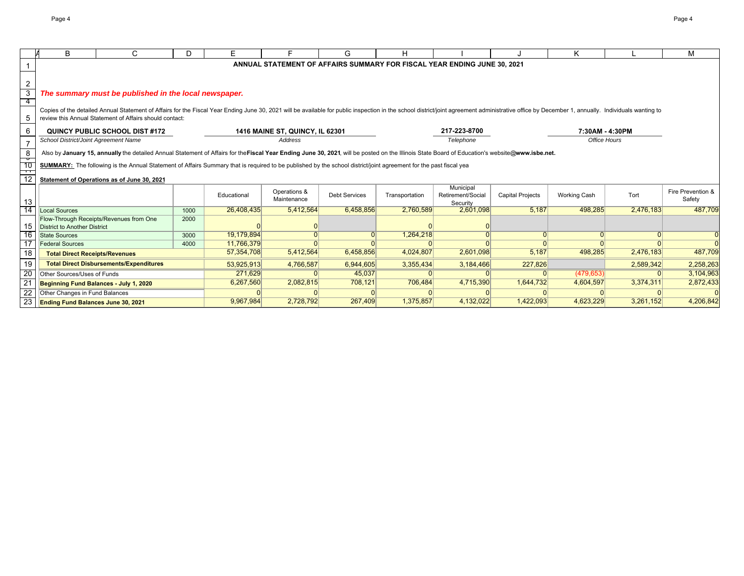|                       | B                                              | C.                                                                                                                                                                                                                                                                                        | D.   | F                        |                                        | G                    | н              |                                                                          |                         | Κ                   |           | M                 |
|-----------------------|------------------------------------------------|-------------------------------------------------------------------------------------------------------------------------------------------------------------------------------------------------------------------------------------------------------------------------------------------|------|--------------------------|----------------------------------------|----------------------|----------------|--------------------------------------------------------------------------|-------------------------|---------------------|-----------|-------------------|
|                       |                                                |                                                                                                                                                                                                                                                                                           |      |                          |                                        |                      |                | ANNUAL STATEMENT OF AFFAIRS SUMMARY FOR FISCAL YEAR ENDING JUNE 30, 2021 |                         |                     |           |                   |
|                       |                                                |                                                                                                                                                                                                                                                                                           |      |                          |                                        |                      |                |                                                                          |                         |                     |           |                   |
| $\overline{2}$        |                                                |                                                                                                                                                                                                                                                                                           |      |                          |                                        |                      |                |                                                                          |                         |                     |           |                   |
| $\mathbf{3}$          |                                                | The summary must be published in the local newspaper.                                                                                                                                                                                                                                     |      |                          |                                        |                      |                |                                                                          |                         |                     |           |                   |
| 4                     |                                                |                                                                                                                                                                                                                                                                                           |      |                          |                                        |                      |                |                                                                          |                         |                     |           |                   |
|                       |                                                | Copies of the detailed Annual Statement of Affairs for the Fiscal Year Ending June 30, 2021 will be available for public inspection in the school district/joint agreement administrative office by December 1, annually. Indi<br>review this Annual Statement of Affairs should contact: |      |                          |                                        |                      |                |                                                                          |                         |                     |           |                   |
| 5                     |                                                |                                                                                                                                                                                                                                                                                           |      |                          |                                        |                      |                |                                                                          |                         |                     |           |                   |
| 6                     |                                                | QUINCY PUBLIC SCHOOL DIST#172                                                                                                                                                                                                                                                             |      |                          | <b>1416 MAINE ST, QUINCY, IL 62301</b> |                      |                | 217-223-8700                                                             |                         | 7:30AM - 4:30PM     |           |                   |
| $\overline{7}$        | School District/Joint Agreement Name           |                                                                                                                                                                                                                                                                                           |      |                          | Address                                |                      |                | Telephone                                                                |                         | Office Hours        |           |                   |
| - 8                   |                                                | Also by January 15, annually the detailed Annual Statement of Affairs for the Fiscal Year Ending June 30, 2021, will be posted on the Illinois State Board of Education's website@www.isbe.net.                                                                                           |      |                          |                                        |                      |                |                                                                          |                         |                     |           |                   |
| $\frac{1}{10}$        |                                                | <b>SUMMARY:</b> The following is the Annual Statement of Affairs Summary that is required to be published by the school district/joint agreement for the past fiscal yea                                                                                                                  |      |                          |                                        |                      |                |                                                                          |                         |                     |           |                   |
| $\frac{1}{12}$        |                                                |                                                                                                                                                                                                                                                                                           |      |                          |                                        |                      |                |                                                                          |                         |                     |           |                   |
|                       |                                                | Statement of Operations as of June 30, 2021                                                                                                                                                                                                                                               |      |                          |                                        |                      |                |                                                                          |                         |                     |           |                   |
|                       |                                                |                                                                                                                                                                                                                                                                                           |      | Educational              | Operations &                           | <b>Debt Services</b> | Transportation | Municipal<br>Retirement/Social                                           | <b>Capital Projects</b> | <b>Working Cash</b> | Tort      | Fire Prevention & |
| 13                    |                                                |                                                                                                                                                                                                                                                                                           |      |                          | Maintenance                            |                      |                | Security                                                                 |                         |                     |           | Safety            |
| $\overline{14}$       | <b>Local Sources</b>                           |                                                                                                                                                                                                                                                                                           | 1000 | 26,408,435               | 5,412,564                              | 6.458.856            | 2,760,589      | 2.601.098                                                                | 5.187                   | 498.285             | 2,476,183 | 487,709           |
|                       |                                                | Flow-Through Receipts/Revenues from One                                                                                                                                                                                                                                                   | 2000 |                          |                                        |                      |                |                                                                          |                         |                     |           |                   |
| 15                    | District to Another District                   |                                                                                                                                                                                                                                                                                           |      |                          |                                        |                      |                |                                                                          | $\Omega$                |                     | $\Omega$  |                   |
| 16<br>$\overline{17}$ | <b>State Sources</b><br><b>Federal Sources</b> |                                                                                                                                                                                                                                                                                           | 3000 | 19,179,894<br>11,766,379 |                                        |                      | 1,264,218      |                                                                          |                         |                     |           |                   |
| 18                    |                                                |                                                                                                                                                                                                                                                                                           | 4000 | 57,354,708               | 5,412,564                              | 6,458,856            | 4,024,807      | 2,601,098                                                                | 5,187                   | 498,285             | 2,476,183 | 487,709           |
|                       | <b>Total Direct Receipts/Revenues</b>          |                                                                                                                                                                                                                                                                                           |      |                          |                                        |                      |                |                                                                          |                         |                     |           |                   |
| 19                    |                                                | <b>Total Direct Disbursements/Expenditures</b>                                                                                                                                                                                                                                            |      | 53,925,913               | 4,766,587                              | 6,944,605            | 3,355,434      | 3,184,466                                                                | 227,826                 |                     | 2,589,342 | 2,258,263         |
| 20                    | Other Sources/Uses of Funds                    |                                                                                                                                                                                                                                                                                           |      | 271.629                  |                                        | 45,037               |                |                                                                          |                         | (479, 653)          |           | 3,104,963         |
| $\overline{21}$       | Beginning Fund Balances - July 1, 2020         |                                                                                                                                                                                                                                                                                           |      | 6,267,560                | 2,082,815                              | 708,121              | 706,484        | 4,715,390                                                                | 1,644,732               | 4,604,597           | 3,374,311 | 2,872,433         |
| 22                    | Other Changes in Fund Balances                 |                                                                                                                                                                                                                                                                                           |      |                          |                                        |                      |                |                                                                          |                         |                     |           |                   |
|                       | 23 Ending Fund Balances June 30, 2021          |                                                                                                                                                                                                                                                                                           |      | 9,967,984                | 2,728,792                              | 267,409              | 1,375,857      | 4,132,022                                                                | 1,422,093               | 4,623,229           | 3,261,152 | 4,206,842         |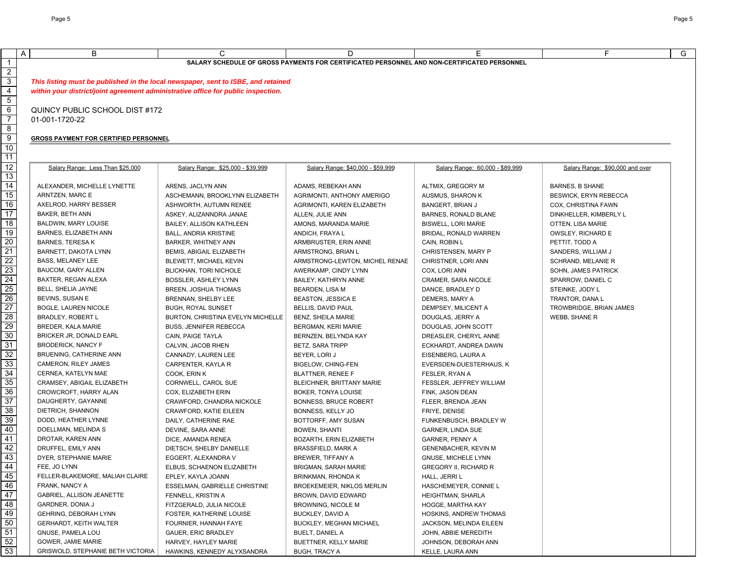|                 | $\mathsf{A}$<br>B                                                                 | C                                                                                 | D                                                                                           | E.                              | F                               | G |
|-----------------|-----------------------------------------------------------------------------------|-----------------------------------------------------------------------------------|---------------------------------------------------------------------------------------------|---------------------------------|---------------------------------|---|
| $\mathbf{1}$    |                                                                                   |                                                                                   | SALARY SCHEDULE OF GROSS PAYMENTS FOR CERTIFICATED PERSONNEL AND NON-CERTIFICATED PERSONNEL |                                 |                                 |   |
| $\overline{2}$  |                                                                                   |                                                                                   |                                                                                             |                                 |                                 |   |
| $\overline{3}$  |                                                                                   | This listing must be published in the local newspaper, sent to ISBE, and retained |                                                                                             |                                 |                                 |   |
| $\overline{4}$  | within your district/joint agreement administrative office for public inspection. |                                                                                   |                                                                                             |                                 |                                 |   |
| 5               |                                                                                   |                                                                                   |                                                                                             |                                 |                                 |   |
| 6               | QUINCY PUBLIC SCHOOL DIST #172                                                    |                                                                                   |                                                                                             |                                 |                                 |   |
| $\overline{7}$  | 01-001-1720-22                                                                    |                                                                                   |                                                                                             |                                 |                                 |   |
| 8               |                                                                                   |                                                                                   |                                                                                             |                                 |                                 |   |
| $\overline{9}$  | <b>GROSS PAYMENT FOR CERTIFIED PERSONNEL</b>                                      |                                                                                   |                                                                                             |                                 |                                 |   |
| 10              |                                                                                   |                                                                                   |                                                                                             |                                 |                                 |   |
| $\overline{11}$ |                                                                                   |                                                                                   |                                                                                             |                                 |                                 |   |
| $\overline{12}$ |                                                                                   |                                                                                   |                                                                                             |                                 |                                 |   |
| 13              | Salary Range: Less Than \$25,000                                                  | Salary Range: \$25,000 - \$39,999                                                 | Salary Range: \$40,000 - \$59,999                                                           | Salary Range: 60,000 - \$89,999 | Salary Range: \$90,000 and over |   |
| 14              |                                                                                   |                                                                                   |                                                                                             |                                 |                                 |   |
| $\overline{15}$ | ALEXANDER, MICHELLE LYNETTE                                                       | ARENS, JACLYN ANN                                                                 | ADAMS, REBEKAH ANN                                                                          | ALTMIX, GREGORY M               | <b>BARNES, B SHANE</b>          |   |
|                 | ARNTZEN, MARC E                                                                   | ASCHEMANN, BROOKLYNN ELIZABETH                                                    | AGRIMONTI, ANTHONY AMERIGO                                                                  | AUSMUS, SHARON K                | BESWICK, ERYN REBECCA           |   |
| 16              | AXELROD, HARRY BESSER                                                             | ASHWORTH, AUTUMN RENEE                                                            | AGRIMONTI, KAREN ELIZABETH                                                                  | BANGERT, BRIAN J                | COX, CHRISTINA FAWN             |   |
| $\overline{17}$ | <b>BAKER, BETH ANN</b>                                                            | ASKEY, ALIZANNDRA JANAE                                                           | ALLEN, JULIE ANN                                                                            | BARNES, RONALD BLANE            | DINKHELLER, KIMBERLY L          |   |
| $\overline{18}$ | BALDWIN, MARY LOUISE                                                              | BAILEY, ALLISON KATHLEEN                                                          | AMONS, MARANDA MARIE                                                                        | <b>BISWELL, LORI MARIE</b>      | OTTEN, LISA MARIE               |   |
| 19              | BARNES, ELIZABETH ANN                                                             | <b>BALL, ANDRIA KRISTINE</b>                                                      | ANDICH, FRAYA L                                                                             | BRIDAL, RONALD WARREN           | OWSLEY, RICHARD E               |   |
| 20              | <b>BARNES, TERESA K</b>                                                           | <b>BARKER, WHITNEY ANN</b>                                                        | ARMBRUSTER, ERIN ANNE                                                                       | CAIN, ROBIN L                   | PETTIT, TODD A                  |   |
| 21              | BARNETT, DAKOTA LYNN                                                              | BEMIS, ABIGAIL ELIZABETH                                                          | ARMSTRONG, BRIAN L                                                                          | CHRISTENSEN, MARY P             | SANDERS, WILLIAM J              |   |
| 22              | <b>BASS, MELANEY LEE</b>                                                          | BLEWETT, MICHAEL KEVIN                                                            | ARMSTRONG-LEWTON, MICHEL RENAE                                                              | CHRISTNER, LORI ANN             | SCHRAND, MELANIE R              |   |
| 23              | <b>BAUCOM, GARY ALLEN</b>                                                         | BLICKHAN, TORI NICHOLE                                                            | AWERKAMP, CINDY LYNN                                                                        | COX, LORI ANN                   | SOHN, JAMES PATRICK             |   |
| 24              | BAXTER, REGAN ALEXA                                                               | BOSSLER, ASHLEY LYNN                                                              | BAILEY, KATHRYN ANNE                                                                        | CRAMER, SARA NICOLE             | SPARROW, DANIEL C               |   |
| $\overline{25}$ | BELL, SHELIA JAYNE                                                                | BREEN, JOSHUA THOMAS                                                              | BEARDEN, LISA M                                                                             | DANCE, BRADLEY D                | STEINKE, JODY L                 |   |
| 26              | BEVINS, SUSAN E                                                                   | BRENNAN, SHELBY LEE                                                               | <b>BEASTON, JESSICA E</b>                                                                   | DEMERS, MARY A                  | TRANTOR, DANA L                 |   |
| 27              | BOGLE, LAUREN NICOLE                                                              | <b>BUGH, ROYAL SUNSET</b>                                                         | BELLIS, DAVID PAUL                                                                          | DEMPSEY, MILICENT A             | TROWBRIDGE, BRIAN JAMES         |   |
| 28              | <b>BRADLEY, ROBERT L</b>                                                          | BURTON, CHRISTINA EVELYN MICHELLE                                                 | BENZ, SHEILA MARIE                                                                          | DOUGLAS, JERRY A                | WEBB, SHANE R                   |   |
| 29              | BREDER, KALA MARIE                                                                | <b>BUSS, JENNIFER REBECCA</b>                                                     | BERGMAN, KERI MARIE                                                                         | DOUGLAS, JOHN SCOTT             |                                 |   |
| 30              | BRICKER JR, DONALD EARL                                                           | CAIN, PAIGE TAYLA                                                                 | BERNZEN, BELYNDA KAY                                                                        | DREASLER, CHERYL ANNE           |                                 |   |
| 31              | <b>BRODERICK, NANCY F</b>                                                         | CALVIN, JACOB RHEN                                                                | <b>BETZ, SARA TRIPP</b>                                                                     | ECKHARDT, ANDREA DAWN           |                                 |   |
| 32              | BRUENING, CATHERINE ANN                                                           | CANNADY, LAUREN LEE                                                               | BEYER, LORI J                                                                               | EISENBERG, LAURA A              |                                 |   |
| 33              | CAMERON, RILEY JAMES                                                              | CARPENTER, KAYLA R                                                                | <b>BIGELOW, CHING-FEN</b>                                                                   | EVERSDEN-DUESTERHAUS, K         |                                 |   |
| 34              | CERNEA, KATELYN MAE                                                               | COOK, ERIN K                                                                      | BLATTNER, RENEE F                                                                           | FESLER, RYAN A                  |                                 |   |
| 35              | CRAMSEY, ABIGAIL ELIZABETH                                                        | CORNWELL, CAROL SUE                                                               | BLEICHNER, BRITTANY MARIE                                                                   | FESSLER, JEFFREY WILLIAM        |                                 |   |
| 36              | CROWCROFT, HARRY ALAN                                                             | COX, ELIZABETH ERIN                                                               | BOKER, TONYA LOUISE                                                                         | FINK, JASON DEAN                |                                 |   |
| $\overline{37}$ | DAUGHERTY, GAYANNE                                                                | CRAWFORD, CHANDRA NICKOLE                                                         | <b>BONNESS, BRUCE ROBERT</b>                                                                | FLEER, BRENDA JEAN              |                                 |   |
| 38              | DIETRICH, SHANNON                                                                 | CRAWFORD, KATIE EILEEN                                                            | BONNESS, KELLY JO                                                                           | FRIYE, DENISE                   |                                 |   |
| 39              | DODD, HEATHER LYNNE                                                               | DAILY, CATHERINE RAE                                                              | BOTTORFF, AMY SUSAN                                                                         | FUNKENBUSCH, BRADLEY W          |                                 |   |
| 40              | DOELLMAN, MELINDA S                                                               | DEVINE, SARA ANNE                                                                 | <b>BOWEN, SHANTI</b>                                                                        | GARNER, LINDA SUE               |                                 |   |
| 41              | DROTAR, KAREN ANN                                                                 | DICE, AMANDA RENEA                                                                | BOZARTH, ERIN ELIZABETH                                                                     | GARNER, PENNY A                 |                                 |   |
| 42              | DRUFFEL, EMILY ANN                                                                | DIETSCH, SHELBY DANIELLE                                                          | <b>BRASSFIELD, MARK A</b>                                                                   | GENENBACHER, KEVIN M            |                                 |   |
| 43              | DYER, STEPHANIE MARIE                                                             | EGGERT, ALEXANDRA V                                                               | BREWER, TIFFANY A                                                                           | GNUSE, MICHELE LYNN             |                                 |   |
| 44              | FEE, JO LYNN                                                                      | ELBUS, SCHAENON ELIZABETH                                                         | <b>BRIGMAN, SARAH MARIE</b>                                                                 | <b>GREGORY II, RICHARD R</b>    |                                 |   |
| 45              | FELLER-BLAKEMORE, MALIAH CLAIRE                                                   | EPLEY, KAYLA JOANN                                                                | BRINKMAN, RHONDA K                                                                          | HALL, JERRI L                   |                                 |   |
| 46              | FRANK, NANCY A                                                                    | ESSELMAN, GABRIELLE CHRISTINE                                                     | BROEKEMEIER, NIKLOS MERLIN                                                                  | HASCHEMEYER, CONNIE L           |                                 |   |
| 47              | GABRIEL, ALLISON JEANETTE                                                         | FENNELL, KRISTIN A                                                                | BROWN, DAVID EDWARD                                                                         | HEIGHTMAN, SHARLA               |                                 |   |
| 48              | <b>GARDNER, DONIA J</b>                                                           | FITZGERALD, JULIA NICOLE                                                          | BROWNING, NICOLE M                                                                          | HOGGE, MARTHA KAY               |                                 |   |
| 49              | GEHRING, DEBORAH LYNN                                                             | FOSTER, KATHERINE LOUISE                                                          | BUCKLEY, DAVID A                                                                            | HOSKINS, ANDREW THOMAS          |                                 |   |
| 50              | GERHARDT, KEITH WALTER                                                            | FOURNIER, HANNAH FAYE                                                             | BUCKLEY, MEGHAN MICHAEL                                                                     | JACKSON, MELINDA EILEEN         |                                 |   |
| 51              | GNUSE, PAMELA LOU                                                                 | GAUER, ERIC BRADLEY                                                               | <b>BUELT, DANIEL A</b>                                                                      | JOHN, ABBIE MEREDITH            |                                 |   |
| 52              | GOWER, JAMIE MARIE                                                                | HARVEY, HAYLEY MARIE                                                              | BUETTNER, KELLY MARIE                                                                       | JOHNSON, DEBORAH ANN            |                                 |   |
| 53              | GRISWOLD, STEPHANIE BETH VICTORIA                                                 | HAWKINS, KENNEDY ALYXSANDRA                                                       | <b>BUGH, TRACY A</b>                                                                        | KELLE, LAURA ANN                |                                 |   |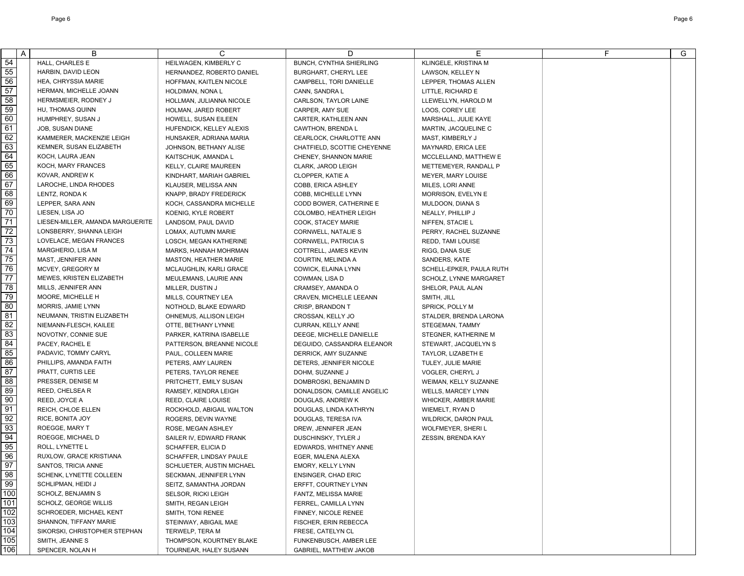| A                | B                                | C                                               | D                                           | Е                                                 | F | G |
|------------------|----------------------------------|-------------------------------------------------|---------------------------------------------|---------------------------------------------------|---|---|
| 54               | HALL, CHARLES E                  | HEILWAGEN, KIMBERLY C                           | BUNCH, CYNTHIA SHIERLING                    | KLINGELE, KRISTINA M                              |   |   |
| 55               | HARBIN, DAVID LEON               | HERNANDEZ, ROBERTO DANIEL                       | <b>BURGHART, CHERYL LEE</b>                 | LAWSON, KELLEY N                                  |   |   |
| 56               | <b>HEA. CHRYSSIA MARIE</b>       | HOFFMAN, KAITLEN NICOLE                         | CAMPBELL, TORI DANIELLE                     | LEPPER. THOMAS ALLEN                              |   |   |
| 57               | HERMAN, MICHELLE JOANN           | HOLDIMAN, NONA L                                | CANN, SANDRA L                              | LITTLE, RICHARD E                                 |   |   |
| 58               | HERMSMEIER, RODNEY J             | HOLLMAN, JULIANNA NICOLE                        | CARLSON, TAYLOR LAINE                       | LLEWELLYN. HAROLD M                               |   |   |
| 59               | HU, THOMAS QUINN                 | HOLMAN, JARED ROBERT                            | CARPER. AMY SUE                             | LOOS, COREY LEE                                   |   |   |
| 60               | HUMPHREY, SUSAN J                | HOWELL, SUSAN EILEEN                            | CARTER, KATHLEEN ANN                        | MARSHALL, JULIE KAYE                              |   |   |
| 61               | JOB, SUSAN DIANE                 | HUFENDICK, KELLEY ALEXIS                        | CAWTHON, BRENDA L                           | MARTIN, JACQUELINE C                              |   |   |
| 62               | KAMMERER, MACKENZIE LEIGH        | HUNSAKER, ADRIANA MARIA                         | CEARLOCK, CHARLOTTE ANN                     | MAST, KIMBERLY J                                  |   |   |
| 63               | KEMNER, SUSAN ELIZABETH          | JOHNSON, BETHANY ALISE                          | CHATFIELD, SCOTTIE CHEYENNE                 | MAYNARD, ERICA LEE                                |   |   |
| 64               | KOCH, LAURA JEAN                 | KAITSCHUK, AMANDA L                             | CHENEY, SHANNON MARIE                       | MCCLELLAND, MATTHEW E                             |   |   |
| 65               | KOCH, MARY FRANCES               | <b>KELLY, CLAIRE MAUREEN</b>                    | CLARK, JAROD LEIGH                          | METTEMEYER, RANDALL P                             |   |   |
| 66               | KOVAR, ANDREW K                  | KINDHART, MARIAH GABRIEL                        | CLOPPER, KATIE A                            | <b>MEYER, MARY LOUISE</b>                         |   |   |
| 67               | LAROCHE, LINDA RHODES            | KLAUSER, MELISSA ANN                            | COBB, ERICA ASHLEY                          | MILES, LORI ANNE                                  |   |   |
| 68               | LENTZ, RONDA K                   | KNAPP, BRADY FREDERICK                          | COBB, MICHELLE LYNN                         | MORRISON, EVELYN E                                |   |   |
| 69               | LEPPER, SARA ANN                 | KOCH, CASSANDRA MICHELLE                        | CODD BOWER, CATHERINE E                     | MULDOON, DIANA S                                  |   |   |
| 70               | LIESEN, LISA JO                  | KOENIG, KYLE ROBERT                             | COLOMBO, HEATHER LEIGH                      | NEALLY, PHILLIP J                                 |   |   |
| $\overline{71}$  | LIESEN-MILLER, AMANDA MARGUERITE | LANDSOM, PAUL DAVID                             | COOK, STACEY MARIE                          | NIFFEN, STACIE L                                  |   |   |
| 72               | LONSBERRY, SHANNA LEIGH          | LOMAX, AUTUMN MARIE                             | CORNWELL, NATALIE S                         | PERRY, RACHEL SUZANNE                             |   |   |
| 73               | LOVELACE, MEGAN FRANCES          | LOSCH, MEGAN KATHERINE                          | CORNWELL, PATRICIA S                        | <b>REDD, TAMI LOUISE</b>                          |   |   |
| 74               | MARGHERIO, LISA M                | MARKS, HANNAH MOHRMAN                           | COTTRELL, JAMES KEVIN                       | RIGG, DANA SUE                                    |   |   |
| 75               | MAST, JENNIFER ANN               | <b>MASTON, HEATHER MARIE</b>                    | COURTIN, MELINDA A                          | SANDERS, KATE                                     |   |   |
| 76               | MCVEY, GREGORY M                 | MCLAUGHLIN, KARLI GRACE                         | COWICK, ELAINA LYNN                         | SCHELL-EPKER, PAULA RUTH                          |   |   |
| $\overline{77}$  | MEWES, KRISTEN ELIZABETH         | MEULEMANS, LAURIE ANN                           | COWMAN, LISA D                              | SCHOLZ, LYNNE MARGARET                            |   |   |
| 78               | MILLS, JENNIFER ANN              | MILLER, DUSTIN J                                | CRAMSEY, AMANDA O                           | SHELOR. PAUL ALAN                                 |   |   |
| 79               | MOORE, MICHELLE H                | MILLS, COURTNEY LEA                             | CRAVEN. MICHELLE LEEANN                     | SMITH, JILL                                       |   |   |
| 80               | MORRIS, JAMIE LYNN               | NOTHOLD, BLAKE EDWARD                           | <b>CRISP, BRANDON T</b>                     | SPRICK, POLLY M                                   |   |   |
| 81               | NEUMANN, TRISTIN ELIZABETH       | OHNEMUS, ALLISON LEIGH                          | CROSSAN, KELLY JO                           | STALDER, BRENDA LARONA                            |   |   |
| 82               | NIEMANN-FLESCH, KAILEE           | OTTE, BETHANY LYNNE                             | CURRAN, KELLY ANNE                          | STEGEMAN, TAMMY                                   |   |   |
| 83               | NOVOTNY, CONNIE SUE              | PARKER, KATRINA ISABELLE                        | DEEGE, MICHELLE DANIELLE                    | STEGNER, KATHERINE M                              |   |   |
| 84               | PACEY, RACHEL E                  | PATTERSON, BREANNE NICOLE                       | DEGUIDO, CASSANDRA ELEANOR                  | STEWART, JACQUELYN S                              |   |   |
| 85               | PADAVIC, TOMMY CARYL             | PAUL, COLLEEN MARIE                             | DERRICK, AMY SUZANNE                        | TAYLOR, LIZABETH E                                |   |   |
| 86               | PHILLIPS, AMANDA FAITH           | PETERS, AMY LAUREN                              | DETERS, JENNIFER NICOLE                     | TULEY, JULIE MARIE                                |   |   |
| 87               | PRATT, CURTIS LEE                | PETERS, TAYLOR RENEE                            | DOHM, SUZANNE J                             | VOGLER, CHERYL J                                  |   |   |
| 88<br>89         | PRESSER, DENISE M                | PRITCHETT, EMILY SUSAN                          | DOMBROSKI, BENJAMIN D                       | WEIMAN, KELLY SUZANNE                             |   |   |
| 90               | REED, CHELSEA R<br>REED, JOYCE A | RAMSEY, KENDRA LEIGH                            | DONALDSON, CAMILLE ANGELIC                  | <b>WELLS, MARCEY LYNN</b>                         |   |   |
| 91               | REICH, CHLOE ELLEN               | REED, CLAIRE LOUISE<br>ROCKHOLD, ABIGAIL WALTON | DOUGLAS, ANDREW K<br>DOUGLAS, LINDA KATHRYN | WHICKER, AMBER MARIE<br>WIEMELT, RYAN D           |   |   |
| 92               | RICE, BONITA JOY                 | ROGERS, DEVIN WAYNE                             | DOUGLAS, TERESA IVA                         |                                                   |   |   |
| 93               | ROEGGE, MARY T                   | ROSE. MEGAN ASHLEY                              | DREW, JENNIFER JEAN                         | <b>WILDRICK, DARON PAUL</b><br>WOLFMEYER, SHERI L |   |   |
| 94               | ROEGGE, MICHAEL D                | SAILER IV, EDWARD FRANK                         | DUSCHINSKY, TYLER J                         | ZESSIN, BRENDA KAY                                |   |   |
| 95               | ROLL, LYNETTE L                  | SCHAFFER, ELICIA D                              | EDWARDS, WHITNEY ANNE                       |                                                   |   |   |
| 96               | RUXLOW, GRACE KRISTIANA          | SCHAFFER, LINDSAY PAULE                         | EGER. MALENA ALEXA                          |                                                   |   |   |
| $\overline{97}$  | SANTOS, TRICIA ANNE              | SCHLUETER, AUSTIN MICHAEL                       | <b>EMORY, KELLY LYNN</b>                    |                                                   |   |   |
| 98               | SCHENK, LYNETTE COLLEEN          | SECKMAN, JENNIFER LYNN                          | ENSINGER, CHAD ERIC                         |                                                   |   |   |
| 99               | SCHLIPMAN, HEIDI J               | SEITZ, SAMANTHA JORDAN                          | ERFFT, COURTNEY LYNN                        |                                                   |   |   |
| 100              | SCHOLZ, BENJAMIN S               | SELSOR, RICKI LEIGH                             | FANTZ, MELISSA MARIE                        |                                                   |   |   |
| 101              | SCHOLZ, GEORGE WILLIS            | SMITH, REGAN LEIGH                              | FERREL, CAMILLA LYNN                        |                                                   |   |   |
| $\overline{102}$ | SCHROEDER, MICHAEL KENT          | SMITH, TONI RENEE                               | FINNEY, NICOLE RENEE                        |                                                   |   |   |
| 103              | SHANNON, TIFFANY MARIE           | STEINWAY, ABIGAIL MAE                           | FISCHER, ERIN REBECCA                       |                                                   |   |   |
| 104              | SIKORSKI, CHRISTOPHER STEPHAN    | TERWELP, TERA M                                 | FRESE, CATELYN CL                           |                                                   |   |   |
| 105              | SMITH, JEANNE S                  | THOMPSON, KOURTNEY BLAKE                        | FUNKENBUSCH, AMBER LEE                      |                                                   |   |   |
| $\overline{106}$ | SPENCER, NOLAN H                 | TOURNEAR, HALEY SUSANN                          | GABRIEL, MATTHEW JAKOB                      |                                                   |   |   |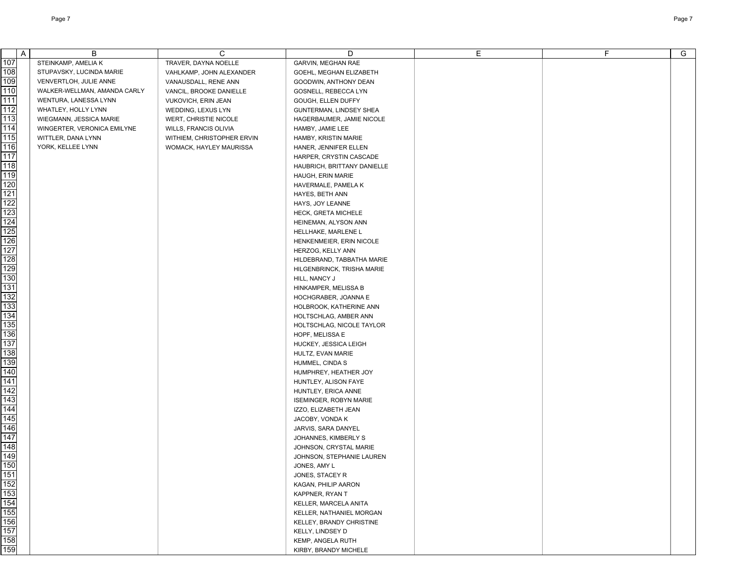| $\mathsf{A}$                           | В                            | C                          | D                                             | Е | F | G |
|----------------------------------------|------------------------------|----------------------------|-----------------------------------------------|---|---|---|
| 107                                    | STEINKAMP, AMELIA K          | TRAVER, DAYNA NOELLE       | GARVIN, MEGHAN RAE                            |   |   |   |
| 108                                    | STUPAVSKY, LUCINDA MARIE     | VAHLKAMP, JOHN ALEXANDER   | GOEHL, MEGHAN ELIZABETH                       |   |   |   |
| 109                                    | VENVERTLOH, JULIE ANNE       | VANAUSDALL, RENE ANN       | GOODWIN, ANTHONY DEAN                         |   |   |   |
| 110                                    | WALKER-WELLMAN, AMANDA CARLY | VANCIL, BROOKE DANIELLE    | GOSNELL, REBECCA LYN                          |   |   |   |
| 111                                    | WENTURA, LANESSA LYNN        | <b>VUKOVICH, ERIN JEAN</b> | GOUGH, ELLEN DUFFY                            |   |   |   |
| 112                                    | WHATLEY, HOLLY LYNN          | WEDDING, LEXUS LYN         | GUNTERMAN, LINDSEY SHEA                       |   |   |   |
| 113                                    | WIEGMANN, JESSICA MARIE      | WERT, CHRISTIE NICOLE      | HAGERBAUMER, JAMIE NICOLE                     |   |   |   |
| 114                                    | WINGERTER, VERONICA EMILYNE  | WILLS, FRANCIS OLIVIA      | HAMBY, JAMIE LEE                              |   |   |   |
| 115                                    | WITTLER, DANA LYNN           | WITHIEM, CHRISTOPHER ERVIN | HAMBY, KRISTIN MARIE                          |   |   |   |
| 116                                    | YORK, KELLEE LYNN            | WOMACK, HAYLEY MAURISSA    | HANER, JENNIFER ELLEN                         |   |   |   |
| 117                                    |                              |                            | HARPER, CRYSTIN CASCADE                       |   |   |   |
| 118                                    |                              |                            | HAUBRICH, BRITTANY DANIELLE                   |   |   |   |
| 119                                    |                              |                            | HAUGH, ERIN MARIE                             |   |   |   |
| 120                                    |                              |                            | HAVERMALE, PAMELA K                           |   |   |   |
| 121                                    |                              |                            | HAYES, BETH ANN                               |   |   |   |
| 122                                    |                              |                            | HAYS, JOY LEANNE                              |   |   |   |
| 123                                    |                              |                            | HECK, GRETA MICHELE                           |   |   |   |
| 124                                    |                              |                            | HEINEMAN, ALYSON ANN                          |   |   |   |
| 125                                    |                              |                            | HELLHAKE, MARLENE L                           |   |   |   |
| 126                                    |                              |                            | HENKENMEIER, ERIN NICOLE                      |   |   |   |
| 127                                    |                              |                            | HERZOG, KELLY ANN                             |   |   |   |
| 128                                    |                              |                            | HILDEBRAND, TABBATHA MARIE                    |   |   |   |
| 129                                    |                              |                            | HILGENBRINCK, TRISHA MARIE                    |   |   |   |
| 130                                    |                              |                            | HILL, NANCY J                                 |   |   |   |
| 131                                    |                              |                            | HINKAMPER, MELISSA B                          |   |   |   |
| 132                                    |                              |                            | HOCHGRABER, JOANNA E                          |   |   |   |
| 133                                    |                              |                            | HOLBROOK, KATHERINE ANN                       |   |   |   |
| 134                                    |                              |                            | HOLTSCHLAG, AMBER ANN                         |   |   |   |
| 135                                    |                              |                            | HOLTSCHLAG, NICOLE TAYLOR                     |   |   |   |
| 136                                    |                              |                            | HOPF, MELISSA E                               |   |   |   |
| 137<br>138                             |                              |                            | HUCKEY, JESSICA LEIGH                         |   |   |   |
| 139                                    |                              |                            | HULTZ, EVAN MARIE                             |   |   |   |
| 140                                    |                              |                            | HUMMEL, CINDA S                               |   |   |   |
| 141                                    |                              |                            | HUMPHREY, HEATHER JOY<br>HUNTLEY, ALISON FAYE |   |   |   |
| 142                                    |                              |                            | HUNTLEY, ERICA ANNE                           |   |   |   |
| 143                                    |                              |                            | <b>ISEMINGER, ROBYN MARIE</b>                 |   |   |   |
| 144                                    |                              |                            | IZZO, ELIZABETH JEAN                          |   |   |   |
| 145                                    |                              |                            | JACOBY, VONDA K                               |   |   |   |
| 146                                    |                              |                            | JARVIS, SARA DANYEL                           |   |   |   |
| 147                                    |                              |                            | JOHANNES, KIMBERLY S                          |   |   |   |
| 148                                    |                              |                            | JOHNSON, CRYSTAL MARIE                        |   |   |   |
| 149                                    |                              |                            | JOHNSON, STEPHANIE LAUREN                     |   |   |   |
| 150                                    |                              |                            | JONES, AMY L                                  |   |   |   |
| 151                                    |                              |                            | JONES, STACEY R                               |   |   |   |
|                                        |                              |                            | KAGAN, PHILIP AARON                           |   |   |   |
|                                        |                              |                            | KAPPNER, RYAN T                               |   |   |   |
|                                        |                              |                            | KELLER, MARCELA ANITA                         |   |   |   |
|                                        |                              |                            | KELLER, NATHANIEL MORGAN                      |   |   |   |
|                                        |                              |                            | KELLEY, BRANDY CHRISTINE                      |   |   |   |
|                                        |                              |                            | KELLY, LINDSEY D                              |   |   |   |
| 152<br>153<br>153<br>158<br>159<br>159 |                              |                            | KEMP, ANGELA RUTH                             |   |   |   |
|                                        |                              |                            | KIRBY, BRANDY MICHELE                         |   |   |   |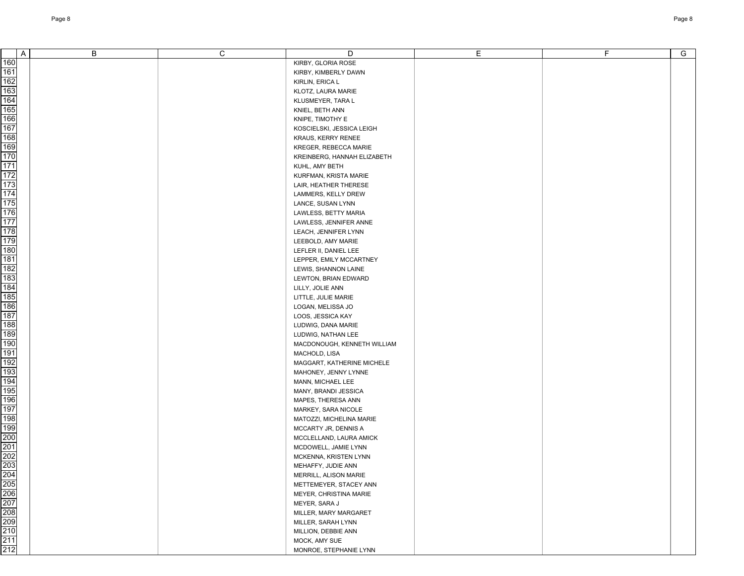| $\mathsf{A}$                                                       | B | C | D                                                | Е | F | $\overline{G}$ |
|--------------------------------------------------------------------|---|---|--------------------------------------------------|---|---|----------------|
| 160                                                                |   |   | KIRBY, GLORIA ROSE                               |   |   |                |
| 161                                                                |   |   | KIRBY, KIMBERLY DAWN                             |   |   |                |
|                                                                    |   |   | KIRLIN, ERICA L                                  |   |   |                |
|                                                                    |   |   | KLOTZ, LAURA MARIE                               |   |   |                |
| 162<br>163<br>164                                                  |   |   | KLUSMEYER, TARA L                                |   |   |                |
|                                                                    |   |   | KNIEL, BETH ANN                                  |   |   |                |
| 165<br>166                                                         |   |   | KNIPE, TIMOTHY E                                 |   |   |                |
| 167                                                                |   |   | KOSCIELSKI, JESSICA LEIGH                        |   |   |                |
|                                                                    |   |   | KRAUS, KERRY RENEE                               |   |   |                |
| 168<br>169                                                         |   |   | KREGER, REBECCA MARIE                            |   |   |                |
|                                                                    |   |   | KREINBERG, HANNAH ELIZABETH                      |   |   |                |
| <u>170</u><br>170<br>171<br>172                                    |   |   | KUHL, AMY BETH                                   |   |   |                |
|                                                                    |   |   | KURFMAN, KRISTA MARIE                            |   |   |                |
|                                                                    |   |   | LAIR, HEATHER THERESE                            |   |   |                |
| 173<br>174<br>175                                                  |   |   | LAMMERS, KELLY DREW                              |   |   |                |
|                                                                    |   |   | LANCE, SUSAN LYNN                                |   |   |                |
|                                                                    |   |   | LAWLESS, BETTY MARIA                             |   |   |                |
| 176<br>177                                                         |   |   | LAWLESS, JENNIFER ANNE                           |   |   |                |
| 178                                                                |   |   | LEACH, JENNIFER LYNN                             |   |   |                |
|                                                                    |   |   | LEEBOLD, AMY MARIE                               |   |   |                |
| $\frac{179}{180}$                                                  |   |   | LEFLER II, DANIEL LEE                            |   |   |                |
| 181                                                                |   |   | LEPPER, EMILY MCCARTNEY                          |   |   |                |
|                                                                    |   |   | LEWIS, SHANNON LAINE                             |   |   |                |
| 182<br>183                                                         |   |   | LEWTON, BRIAN EDWARD                             |   |   |                |
|                                                                    |   |   |                                                  |   |   |                |
|                                                                    |   |   | LILLY, JOLIE ANN                                 |   |   |                |
| 184<br>185<br>186                                                  |   |   | LITTLE, JULIE MARIE                              |   |   |                |
|                                                                    |   |   | LOGAN, MELISSA JO                                |   |   |                |
| 187<br>188                                                         |   |   | LOOS, JESSICA KAY                                |   |   |                |
| 189                                                                |   |   | LUDWIG, DANA MARIE                               |   |   |                |
|                                                                    |   |   | LUDWIG, NATHAN LEE                               |   |   |                |
| 190<br>191                                                         |   |   | MACDONOUGH, KENNETH WILLIAM                      |   |   |                |
|                                                                    |   |   | MACHOLD, LISA                                    |   |   |                |
|                                                                    |   |   | MAGGART, KATHERINE MICHELE                       |   |   |                |
| 192<br>192<br>193<br>194                                           |   |   | MAHONEY, JENNY LYNNE                             |   |   |                |
| 195                                                                |   |   | MANN, MICHAEL LEE                                |   |   |                |
|                                                                    |   |   | MANY, BRANDI JESSICA                             |   |   |                |
| 196<br>197                                                         |   |   | MAPES, THERESA ANN<br>MARKEY, SARA NICOLE        |   |   |                |
| 198                                                                |   |   | MATOZZI, MICHELINA MARIE                         |   |   |                |
| 199                                                                |   |   | MCCARTY JR, DENNIS A                             |   |   |                |
|                                                                    |   |   | MCCLELLAND, LAURA AMICK                          |   |   |                |
|                                                                    |   |   | MCDOWELL, JAMIE LYNN                             |   |   |                |
| $\frac{188}{200}$<br>$\frac{201}{202}$                             |   |   |                                                  |   |   |                |
|                                                                    |   |   | MCKENNA, KRISTEN LYNN                            |   |   |                |
|                                                                    |   |   | MEHAFFY, JUDIE ANN<br>MERRILL, ALISON MARIE      |   |   |                |
|                                                                    |   |   |                                                  |   |   |                |
| 204<br>205<br>206<br>207<br>208<br>209<br>209<br>210<br>211<br>211 |   |   | METTEMEYER, STACEY ANN<br>MEYER, CHRISTINA MARIE |   |   |                |
|                                                                    |   |   |                                                  |   |   |                |
|                                                                    |   |   | MEYER, SARA J                                    |   |   |                |
|                                                                    |   |   | MILLER, MARY MARGARET                            |   |   |                |
|                                                                    |   |   | MILLER, SARAH LYNN                               |   |   |                |
|                                                                    |   |   | MILLION, DEBBIE ANN                              |   |   |                |
|                                                                    |   |   | MOCK, AMY SUE                                    |   |   |                |
|                                                                    |   |   | MONROE, STEPHANIE LYNN                           |   |   |                |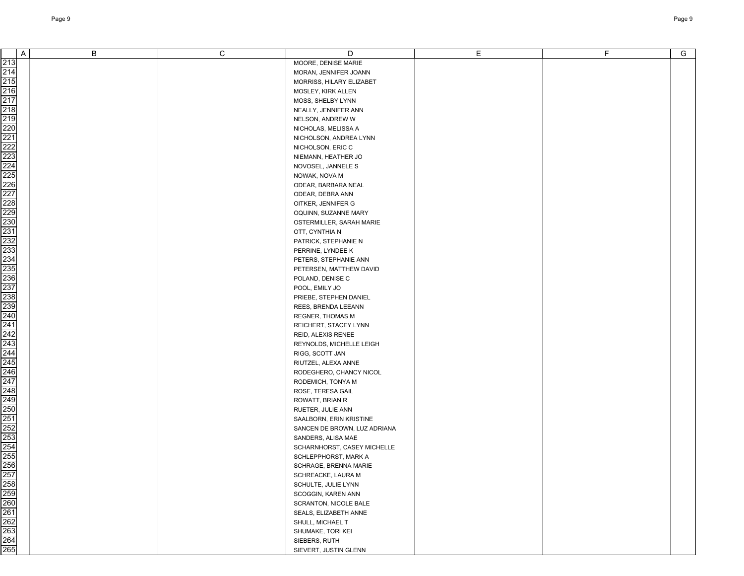|                                                             | Α | В | C | D                                                  | E | F. | G |
|-------------------------------------------------------------|---|---|---|----------------------------------------------------|---|----|---|
|                                                             |   |   |   | MOORE, DENISE MARIE                                |   |    |   |
|                                                             |   |   |   | MORAN, JENNIFER JOANN                              |   |    |   |
|                                                             |   |   |   | MORRISS, HILARY ELIZABET                           |   |    |   |
|                                                             |   |   |   | MOSLEY, KIRK ALLEN                                 |   |    |   |
|                                                             |   |   |   | MOSS, SHELBY LYNN                                  |   |    |   |
|                                                             |   |   |   | NEALLY, JENNIFER ANN                               |   |    |   |
|                                                             |   |   |   | NELSON, ANDREW W                                   |   |    |   |
|                                                             |   |   |   | NICHOLAS, MELISSA A                                |   |    |   |
|                                                             |   |   |   | NICHOLSON, ANDREA LYNN                             |   |    |   |
|                                                             |   |   |   | NICHOLSON, ERIC C                                  |   |    |   |
|                                                             |   |   |   | NIEMANN, HEATHER JO                                |   |    |   |
|                                                             |   |   |   | NOVOSEL, JANNELE S                                 |   |    |   |
|                                                             |   |   |   | NOWAK, NOVA M                                      |   |    |   |
|                                                             |   |   |   | ODEAR, BARBARA NEAL                                |   |    |   |
|                                                             |   |   |   | ODEAR, DEBRA ANN                                   |   |    |   |
|                                                             |   |   |   | OITKER, JENNIFER G                                 |   |    |   |
|                                                             |   |   |   | OQUINN, SUZANNE MARY                               |   |    |   |
|                                                             |   |   |   | OSTERMILLER, SARAH MARIE                           |   |    |   |
|                                                             |   |   |   | OTT, CYNTHIA N                                     |   |    |   |
|                                                             |   |   |   | PATRICK, STEPHANIE N                               |   |    |   |
|                                                             |   |   |   | PERRINE, LYNDEE K                                  |   |    |   |
|                                                             |   |   |   | PETERS, STEPHANIE ANN                              |   |    |   |
|                                                             |   |   |   | PETERSEN, MATTHEW DAVID                            |   |    |   |
|                                                             |   |   |   | POLAND, DENISE C                                   |   |    |   |
|                                                             |   |   |   | POOL, EMILY JO                                     |   |    |   |
|                                                             |   |   |   | PRIEBE, STEPHEN DANIEL                             |   |    |   |
|                                                             |   |   |   | REES, BRENDA LEEANN                                |   |    |   |
|                                                             |   |   |   | <b>REGNER, THOMAS M</b>                            |   |    |   |
|                                                             |   |   |   | REICHERT, STACEY LYNN                              |   |    |   |
|                                                             |   |   |   | REID, ALEXIS RENEE                                 |   |    |   |
|                                                             |   |   |   | REYNOLDS, MICHELLE LEIGH                           |   |    |   |
|                                                             |   |   |   | RIGG, SCOTT JAN                                    |   |    |   |
|                                                             |   |   |   | RIUTZEL, ALEXA ANNE                                |   |    |   |
|                                                             |   |   |   | RODEGHERO, CHANCY NICOL                            |   |    |   |
|                                                             |   |   |   | RODEMICH, TONYA M                                  |   |    |   |
|                                                             |   |   |   | ROSE, TERESA GAIL                                  |   |    |   |
|                                                             |   |   |   | ROWATT, BRIAN R                                    |   |    |   |
|                                                             |   |   |   | RUETER, JULIE ANN                                  |   |    |   |
|                                                             |   |   |   | SAALBORN, ERIN KRISTINE                            |   |    |   |
|                                                             |   |   |   | SANCEN DE BROWN, LUZ ADRIANA<br>SANDERS, ALISA MAE |   |    |   |
|                                                             |   |   |   | SCHARNHORST, CASEY MICHELLE                        |   |    |   |
|                                                             |   |   |   | SCHLEPPHORST, MARK A                               |   |    |   |
|                                                             |   |   |   | SCHRAGE, BRENNA MARIE                              |   |    |   |
|                                                             |   |   |   | SCHREACKE, LAURA M                                 |   |    |   |
|                                                             |   |   |   | SCHULTE, JULIE LYNN                                |   |    |   |
|                                                             |   |   |   | SCOGGIN, KAREN ANN                                 |   |    |   |
|                                                             |   |   |   | SCRANTON, NICOLE BALE                              |   |    |   |
|                                                             |   |   |   | SEALS, ELIZABETH ANNE                              |   |    |   |
|                                                             |   |   |   | SHULL, MICHAEL T                                   |   |    |   |
| 257<br>258<br>259<br>260<br>261<br>262<br>263<br>263<br>264 |   |   |   | SHUMAKE, TORI KEI                                  |   |    |   |
|                                                             |   |   |   | SIEBERS, RUTH                                      |   |    |   |
|                                                             |   |   |   | SIEVERT, JUSTIN GLENN                              |   |    |   |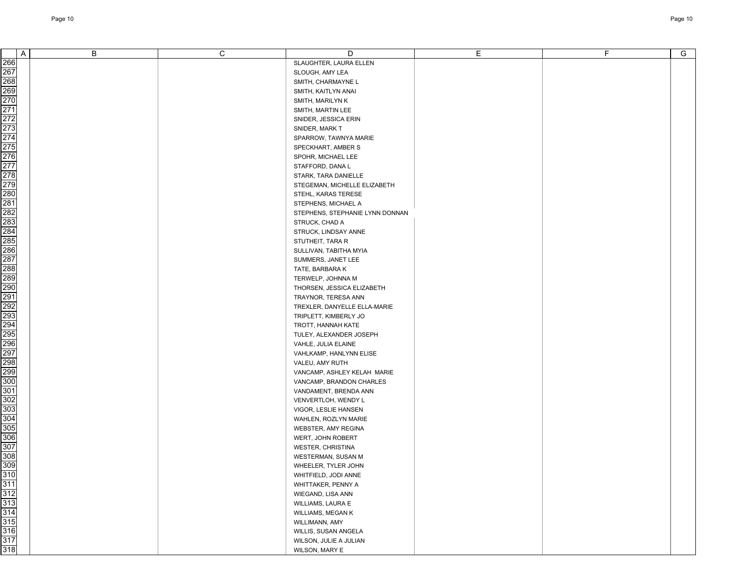| A                           | B | C | D                               | E | F | G |
|-----------------------------|---|---|---------------------------------|---|---|---|
| 266                         |   |   | SLAUGHTER, LAURA ELLEN          |   |   |   |
| 267                         |   |   | SLOUGH, AMY LEA                 |   |   |   |
|                             |   |   |                                 |   |   |   |
| 268<br>269                  |   |   | SMITH, CHARMAYNE L              |   |   |   |
|                             |   |   | SMITH, KAITLYN ANAI             |   |   |   |
| 270                         |   |   | SMITH, MARILYN K                |   |   |   |
| 271                         |   |   | SMITH, MARTIN LEE               |   |   |   |
| 272                         |   |   | SNIDER, JESSICA ERIN            |   |   |   |
| 273                         |   |   | SNIDER, MARK T                  |   |   |   |
| 274                         |   |   | SPARROW, TAWNYA MARIE           |   |   |   |
| 275                         |   |   | SPECKHART, AMBER S              |   |   |   |
| 276                         |   |   | SPOHR, MICHAEL LEE              |   |   |   |
| 277                         |   |   | STAFFORD, DANA L                |   |   |   |
| 278                         |   |   | STARK, TARA DANIELLE            |   |   |   |
| 279                         |   |   | STEGEMAN, MICHELLE ELIZABETH    |   |   |   |
| 280                         |   |   | STEHL, KARAS TERESE             |   |   |   |
| 281                         |   |   | STEPHENS, MICHAEL A             |   |   |   |
| 282                         |   |   | STEPHENS, STEPHANIE LYNN DONNAN |   |   |   |
| 283                         |   |   | STRUCK, CHAD A                  |   |   |   |
| 284                         |   |   | STRUCK, LINDSAY ANNE            |   |   |   |
| 285                         |   |   | STUTHEIT, TARA R                |   |   |   |
| 286                         |   |   | SULLIVAN, TABITHA MYIA          |   |   |   |
| 287                         |   |   | SUMMERS, JANET LEE              |   |   |   |
| 288                         |   |   | TATE, BARBARA K                 |   |   |   |
| 289                         |   |   | TERWELP, JOHNNA M               |   |   |   |
| 290                         |   |   | THORSEN, JESSICA ELIZABETH      |   |   |   |
| 291                         |   |   | TRAYNOR, TERESA ANN             |   |   |   |
| 292                         |   |   | TREXLER, DANYELLE ELLA-MARIE    |   |   |   |
| 293                         |   |   | TRIPLETT, KIMBERLY JO           |   |   |   |
| 294                         |   |   | TROTT, HANNAH KATE              |   |   |   |
| 295                         |   |   | TULEY, ALEXANDER JOSEPH         |   |   |   |
| 296                         |   |   | VAHLE, JULIA ELAINE             |   |   |   |
| 297                         |   |   | VAHLKAMP, HANLYNN ELISE         |   |   |   |
| 298                         |   |   | VALEU, AMY RUTH                 |   |   |   |
| 299                         |   |   | VANCAMP, ASHLEY KELAH MARIE     |   |   |   |
| 300                         |   |   | VANCAMP, BRANDON CHARLES        |   |   |   |
| 301                         |   |   | VANDAMENT, BRENDA ANN           |   |   |   |
| 302                         |   |   | VENVERTLOH, WENDY L             |   |   |   |
| 303                         |   |   | VIGOR, LESLIE HANSEN            |   |   |   |
| 304                         |   |   | WAHLEN, ROZLYN MARIE            |   |   |   |
| 305                         |   |   | WEBSTER, AMY REGINA             |   |   |   |
| 306                         |   |   |                                 |   |   |   |
| 307                         |   |   | WERT, JOHN ROBERT               |   |   |   |
| 308                         |   |   | WESTER, CHRISTINA               |   |   |   |
|                             |   |   | <b>WESTERMAN, SUSAN M</b>       |   |   |   |
|                             |   |   | WHEELER, TYLER JOHN             |   |   |   |
|                             |   |   | WHITFIELD, JODI ANNE            |   |   |   |
| <u>일일일일일일일일</u><br>그들 그들 그들 |   |   | WHITTAKER, PENNY A              |   |   |   |
|                             |   |   | WIEGAND, LISA ANN               |   |   |   |
|                             |   |   | WILLIAMS, LAURA E               |   |   |   |
|                             |   |   | WILLIAMS, MEGAN K               |   |   |   |
|                             |   |   | WILLIMANN, AMY                  |   |   |   |
|                             |   |   | WILLIS, SUSAN ANGELA            |   |   |   |
|                             |   |   | WILSON, JULIE A JULIAN          |   |   |   |
| 318                         |   |   | WILSON, MARY E                  |   |   |   |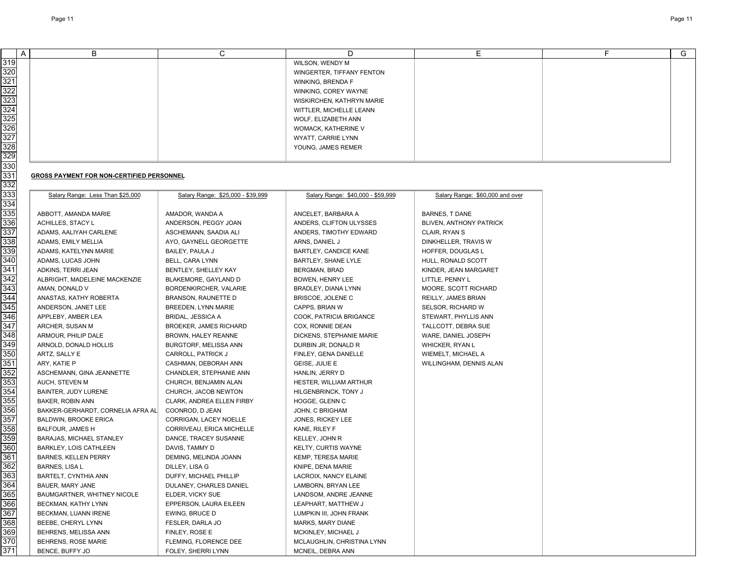| A                | B                                         | C                                 | D                                 | E                               | F | G |
|------------------|-------------------------------------------|-----------------------------------|-----------------------------------|---------------------------------|---|---|
| 319              |                                           |                                   | WILSON, WENDY M                   |                                 |   |   |
| $\overline{320}$ |                                           |                                   | WINGERTER, TIFFANY FENTON         |                                 |   |   |
| 321              |                                           |                                   | WINKING, BRENDA F                 |                                 |   |   |
| 322              |                                           |                                   | WINKING, COREY WAYNE              |                                 |   |   |
| 323              |                                           |                                   | WISKIRCHEN, KATHRYN MARIE         |                                 |   |   |
| 324              |                                           |                                   | WITTLER, MICHELLE LEANN           |                                 |   |   |
| 325              |                                           |                                   | WOLF, ELIZABETH ANN               |                                 |   |   |
| 326              |                                           |                                   | WOMACK, KATHERINE V               |                                 |   |   |
| 327              |                                           |                                   | WYATT, CARRIE LYNN                |                                 |   |   |
| 328              |                                           |                                   | YOUNG, JAMES REMER                |                                 |   |   |
| 329              |                                           |                                   |                                   |                                 |   |   |
| 330              |                                           |                                   |                                   |                                 |   |   |
| 331              | GROSS PAYMENT FOR NON-CERTIFIED PERSONNEL |                                   |                                   |                                 |   |   |
| 332              |                                           |                                   |                                   |                                 |   |   |
| 333              | Salary Range: Less Than \$25,000          | Salary Range: \$25,000 - \$39,999 | Salary Range: \$40,000 - \$59,999 | Salary Range: \$60,000 and over |   |   |
| 334              |                                           |                                   |                                   |                                 |   |   |
| 335              | ABBOTT, AMANDA MARIE                      | AMADOR, WANDA A                   | ANCELET, BARBARA A                | <b>BARNES, T DANE</b>           |   |   |
| 336              | ACHILLES, STACY L                         | ANDERSON, PEGGY JOAN              | ANDERS, CLIFTON ULYSSES           | BLIVEN, ANTHONY PATRICK         |   |   |
| 337              | ADAMS, AALIYAH CARLENE                    | ASCHEMANN, SAADIA ALI             | ANDERS, TIMOTHY EDWARD            | CLAIR, RYAN S                   |   |   |
| 338              | ADAMS, EMILY MELLIA                       | AYO, GAYNELL GEORGETTE            | ARNS, DANIEL J                    | DINKHELLER, TRAVIS W            |   |   |
| 339              | ADAMS, KATELYNN MARIE                     | BAILEY, PAULA J                   | <b>BARTLEY, CANDICE KANE</b>      | HOFFER, DOUGLAS L               |   |   |
| 340              | ADAMS, LUCAS JOHN                         | BELL, CARA LYNN                   | BARTLEY, SHANE LYLE               | HULL, RONALD SCOTT              |   |   |
| 341              | ADKINS, TERRI JEAN                        | BENTLEY, SHELLEY KAY              | BERGMAN, BRAD                     | KINDER, JEAN MARGARET           |   |   |
| 342              | ALBRIGHT, MADELEINE MACKENZIE             | BLAKEMORE, GAYLAND D              | BOWEN, HENRY LEE                  | LITTLE, PENNY L                 |   |   |
| 343              | AMAN, DONALD V                            | BORDENKIRCHER, VALARIE            | BRADLEY, DIANA LYNN               | MOORE, SCOTT RICHARD            |   |   |
| 344              | ANASTAS, KATHY ROBERTA                    | <b>BRANSON, RAUNETTE D</b>        | BRISCOE, JOLENE C                 | REILLY, JAMES BRIAN             |   |   |
| 345              | ANDERSON, JANET LEE                       | BREEDEN, LYNN MARIE               | CAPPS, BRIAN W                    | SELSOR, RICHARD W               |   |   |
| 346              | APPLEBY, AMBER LEA                        | <b>BRIDAL, JESSICA A</b>          | COOK, PATRICIA BRIGANCE           | STEWART, PHYLLIS ANN            |   |   |
| 347              | ARCHER, SUSAN M                           | BROEKER, JAMES RICHARD            | COX, RONNIE DEAN                  | TALLCOTT, DEBRA SUE             |   |   |
| 348              | ARMOUR, PHILIP DALE                       | BROWN, HALEY REANNE               | DICKENS, STEPHANIE MARIE          | WARE, DANIEL JOSEPH             |   |   |
| 349              | ARNOLD, DONALD HOLLIS                     | BURGTORF, MELISSA ANN             | DURBIN JR, DONALD R               | <b>WHICKER, RYAN L</b>          |   |   |
| 350              | ARTZ, SALLY E                             | CARROLL, PATRICK J                | FINLEY, GENA DANELLE              | WIEMELT, MICHAEL A              |   |   |
| 351              | ARY, KATIE P                              | CASHMAN, DEBORAH ANN              | GEISE, JULIE E                    | WILLINGHAM, DENNIS ALAN         |   |   |
| $\overline{352}$ | ASCHEMANN, GINA JEANNETTE                 | CHANDLER, STEPHANIE ANN           | HANLIN, JERRY D                   |                                 |   |   |
| $\overline{353}$ | AUCH, STEVEN M                            | CHURCH, BENJAMIN ALAN             | HESTER, WILLIAM ARTHUR            |                                 |   |   |
| 354              | BAINTER, JUDY LURENE                      | CHURCH, JACOB NEWTON              | HILGENBRINCK, TONY J              |                                 |   |   |
| 355              | BAKER, ROBIN ANN                          | CLARK, ANDREA ELLEN FIRBY         | HOGGE, GLENN C                    |                                 |   |   |
| 356              | BAKKER-GERHARDT, CORNELIA AFRA AL         | COONROD, D JEAN                   | JOHN, C BRIGHAM                   |                                 |   |   |
| 357              | BALDWIN, BROOKE ERICA                     | CORRIGAN. LACEY NOELLE            | JONES, RICKEY LEE                 |                                 |   |   |
| 358              | <b>BALFOUR, JAMES H</b>                   | CORRIVEAU, ERICA MICHELLE         | KANE, RILEY F                     |                                 |   |   |
| 359              | BARAJAS, MICHAEL STANLEY                  | DANCE, TRACEY SUSANNE             | KELLEY, JOHN R                    |                                 |   |   |
| 360              | BARKLEY, LOIS CATHLEEN                    | DAVIS, TAMMY D                    | <b>KELTY, CURTIS WAYNE</b>        |                                 |   |   |
| 361              | BARNES, KELLEN PERRY                      | DEMING, MELINDA JOANN             | KEMP, TERESA MARIE                |                                 |   |   |
| 362              | BARNES, LISA L                            | DILLEY, LISA G                    | KNIPE, DENA MARIE                 |                                 |   |   |
| 363              | BARTELT, CYNTHIA ANN                      | DUFFY, MICHAEL PHILLIP            | LACROIX, NANCY ELAINE             |                                 |   |   |
| 364              | BAUER, MARY JANE                          | DULANEY, CHARLES DANIEL           | LAMBORN, BRYAN LEE                |                                 |   |   |
| 365              | BAUMGARTNER, WHITNEY NICOLE               | ELDER, VICKY SUE                  | LANDSOM, ANDRE JEANNE             |                                 |   |   |
| 366              | BECKMAN, KATHY LYNN                       | EPPERSON, LAURA EILEEN            | LEAPHART, MATTHEW J               |                                 |   |   |
| 367              | BECKMAN, LUANN IRENE                      | EWING, BRUCE D                    | LUMPKIN III, JOHN FRANK           |                                 |   |   |
| 368              | BEEBE, CHERYL LYNN                        | FESLER, DARLA JO                  | MARKS, MARY DIANE                 |                                 |   |   |
| 369              | BEHRENS, MELISSA ANN                      | FINLEY, ROSE E                    | MCKINLEY, MICHAEL J               |                                 |   |   |
| 370              | BEHRENS, ROSE MARIE                       | FLEMING, FLORENCE DEE             | MCLAUGHLIN, CHRISTINA LYNN        |                                 |   |   |
| 371              | BENCE, BUFFY JO                           | FOLEY, SHERRI LYNN                | MCNEIL, DEBRA ANN                 |                                 |   |   |

## **GROSS PAYMENT FOR NON-CERTIFIED PERSONNEL**

| Salary Range: Less Than \$25,000  | Salary Range: \$25,000 - \$39,999 | Salary Range: \$40,000 - \$59,999 | Salary Range: \$60,000 and over |
|-----------------------------------|-----------------------------------|-----------------------------------|---------------------------------|
| ABBOTT, AMANDA MARIE              | AMADOR, WANDA A                   | ANCELET, BARBARA A                | <b>BARNES, T DANE</b>           |
| ACHILLES, STACY L                 | ANDERSON, PEGGY JOAN              | ANDERS, CLIFTON ULYSSES           | BLIVEN, ANTHONY PATRICK         |
| ADAMS, AALIYAH CARLENE            | ASCHEMANN, SAADIA ALI             | ANDERS, TIMOTHY EDWARD            | CLAIR, RYAN S                   |
| ADAMS, EMILY MELLIA               | AYO, GAYNELL GEORGETTE            | ARNS, DANIEL J                    | DINKHELLER, TRAVIS W            |
| ADAMS, KATELYNN MARIE             | BAILEY, PAULA J                   | BARTLEY, CANDICE KANE             | HOFFER, DOUGLAS L               |
| ADAMS, LUCAS JOHN                 | BELL, CARA LYNN                   | BARTLEY, SHANE LYLE               | HULL, RONALD SCOTT              |
| ADKINS, TERRI JEAN                | BENTLEY, SHELLEY KAY              | BERGMAN, BRAD                     | KINDER, JEAN MARGARET           |
| ALBRIGHT, MADELEINE MACKENZIE     | BLAKEMORE, GAYLAND D              | BOWEN, HENRY LEE                  | LITTLE, PENNY L                 |
| AMAN, DONALD V                    | BORDENKIRCHER, VALARIE            | BRADLEY, DIANA LYNN               | MOORE, SCOTT RICHARD            |
| ANASTAS, KATHY ROBERTA            | <b>BRANSON, RAUNETTE D</b>        | BRISCOE, JOLENE C                 | REILLY, JAMES BRIAN             |
| ANDERSON, JANET LEE               | BREEDEN, LYNN MARIE               | CAPPS, BRIAN W                    | SELSOR, RICHARD W               |
| APPLEBY, AMBER LEA                | BRIDAL, JESSICA A                 | COOK, PATRICIA BRIGANCE           | STEWART, PHYLLIS ANN            |
| ARCHER, SUSAN M                   | <b>BROEKER, JAMES RICHARD</b>     | COX, RONNIE DEAN                  | TALLCOTT, DEBRA SUE             |
| ARMOUR, PHILIP DALE               | BROWN, HALEY REANNE               | DICKENS, STEPHANIE MARIE          | WARE, DANIEL JOSEPH             |
| ARNOLD, DONALD HOLLIS             | BURGTORF, MELISSA ANN             | DURBIN JR, DONALD R               | WHICKER, RYAN L                 |
| ARTZ, SALLY E                     | CARROLL, PATRICK J                | FINLEY, GENA DANELLE              | WIEMELT, MICHAEL A              |
| ARY, KATIE P                      | CASHMAN, DEBORAH ANN              | GEISE, JULIE E                    | WILLINGHAM, DENNIS ALAN         |
| ASCHEMANN, GINA JEANNETTE         | CHANDLER, STEPHANIE ANN           | HANLIN, JERRY D                   |                                 |
| AUCH, STEVEN M                    | CHURCH, BENJAMIN ALAN             | HESTER, WILLIAM ARTHUR            |                                 |
| BAINTER, JUDY LURENE              | CHURCH, JACOB NEWTON              | HILGENBRINCK, TONY J              |                                 |
| BAKER, ROBIN ANN                  | CLARK, ANDREA ELLEN FIRBY         | HOGGE, GLENN C                    |                                 |
| BAKKER-GERHARDT, CORNELIA AFRA AL | COONROD, D JEAN                   | JOHN, C BRIGHAM                   |                                 |
| <b>BALDWIN, BROOKE ERICA</b>      | CORRIGAN, LACEY NOELLE            | JONES, RICKEY LEE                 |                                 |
| <b>BALFOUR, JAMES H</b>           | CORRIVEAU, ERICA MICHELLE         | KANE, RILEY F                     |                                 |
| BARAJAS, MICHAEL STANLEY          | DANCE, TRACEY SUSANNE             | KELLEY, JOHN R                    |                                 |
| BARKLEY, LOIS CATHLEEN            | DAVIS, TAMMY D                    | KELTY, CURTIS WAYNE               |                                 |
| <b>BARNES, KELLEN PERRY</b>       | DEMING, MELINDA JOANN             | KEMP, TERESA MARIE                |                                 |
| BARNES, LISA L                    | DILLEY, LISA G                    | KNIPE, DENA MARIE                 |                                 |
| BARTELT, CYNTHIA ANN              | DUFFY, MICHAEL PHILLIP            | LACROIX, NANCY ELAINE             |                                 |
| BAUER, MARY JANE                  | DULANEY, CHARLES DANIEL           | LAMBORN, BRYAN LEE                |                                 |
| BAUMGARTNER, WHITNEY NICOLE       | ELDER, VICKY SUE                  | LANDSOM, ANDRE JEANNE             |                                 |
| BECKMAN, KATHY LYNN               | EPPERSON, LAURA EILEEN            | LEAPHART, MATTHEW J               |                                 |
| BECKMAN, LUANN IRENE              | EWING, BRUCE D                    | LUMPKIN III, JOHN FRANK           |                                 |
| BEEBE, CHERYL LYNN                | FESLER, DARLA JO                  | MARKS, MARY DIANE                 |                                 |
| BEHRENS, MELISSA ANN              | FINLEY, ROSE E                    | MCKINLEY, MICHAEL J               |                                 |
| BEHRENS, ROSE MARIE               | FLEMING, FLORENCE DEE             | MCLAUGHLIN, CHRISTINA LYNN        |                                 |
|                                   |                                   |                                   |                                 |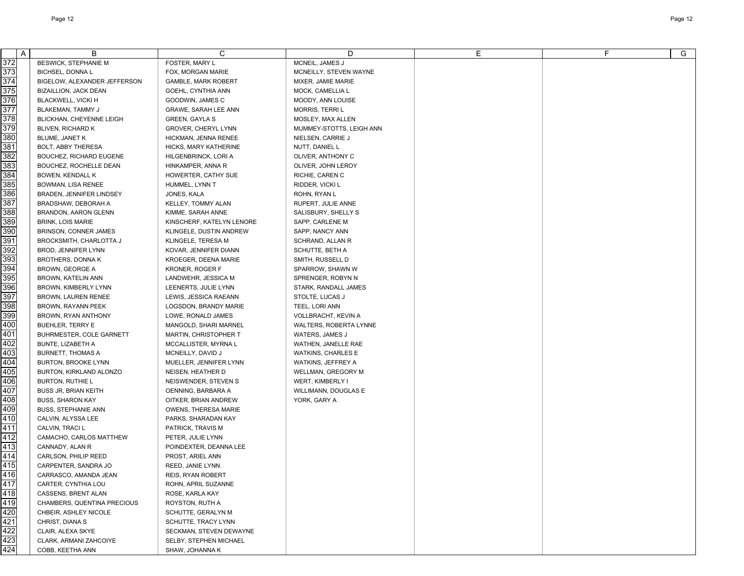| A                | B                                             | C                                      | D                          | E | F. | G |
|------------------|-----------------------------------------------|----------------------------------------|----------------------------|---|----|---|
| 372              | <b>BESWICK, STEPHANIE M</b>                   | FOSTER, MARY L                         | MCNEIL, JAMES J            |   |    |   |
| $\overline{373}$ | <b>BICHSEL, DONNA L</b>                       | FOX, MORGAN MARIE                      | MCNEILLY, STEVEN WAYNE     |   |    |   |
| $\overline{374}$ | BIGELOW, ALEXANDER JEFFERSON                  | <b>GAMBLE, MARK ROBERT</b>             | MIXER, JAMIE MARIE         |   |    |   |
| 375              | <b>BIZAILLION, JACK DEAN</b>                  | GOEHL, CYNTHIA ANN                     | MOCK, CAMELLIA L           |   |    |   |
| 376              | BLACKWELL, VICKI H                            | GOODWIN, JAMES C                       | MOODY, ANN LOUISE          |   |    |   |
| $\overline{377}$ | BLAKEMAN, TAMMY J                             | GRAWE, SARAH LEE ANN                   | <b>MORRIS, TERRI L</b>     |   |    |   |
| 378              | BLICKHAN, CHEYENNE LEIGH                      | <b>GREEN, GAYLA S</b>                  | MOSLEY, MAX ALLEN          |   |    |   |
| $\overline{379}$ | BLIVEN, RICHARD K                             | <b>GROVER, CHERYL LYNN</b>             | MUMMEY-STOTTS, LEIGH ANN   |   |    |   |
| 380              | BLUME, JANET K                                | HICKMAN, JENNA RENEE                   | NIELSEN, CARRIE J          |   |    |   |
| 381              | BOLT, ABBY THERESA                            | HICKS, MARY KATHERINE                  | NUTT, DANIEL L             |   |    |   |
| $\overline{382}$ | BOUCHEZ, RICHARD EUGENE                       | HILGENBRINCK, LORI A                   | OLIVER, ANTHONY C          |   |    |   |
| 383              | BOUCHEZ, ROCHELLE DEAN                        | HINKAMPER, ANNA R                      | OLIVER, JOHN LEROY         |   |    |   |
| 384              | <b>BOWEN, KENDALL K</b>                       | HOWERTER, CATHY SUE                    | RICHIE, CAREN C            |   |    |   |
| 385              | BOWMAN, LISA RENEE                            | HUMMEL, LYNN T                         | RIDDER, VICKI L            |   |    |   |
| 386              | BRADEN, JENNIFER LINDSEY                      | JONES, KALA                            | ROHN, RYAN L               |   |    |   |
| 387              | BRADSHAW, DEBORAH A                           | KELLEY, TOMMY ALAN                     | RUPERT, JULIE ANNE         |   |    |   |
| 388              | <b>BRANDON, AARON GLENN</b>                   | KIMME, SARAH ANNE                      | SALISBURY, SHELLY S        |   |    |   |
| 389              | <b>BRINK, LOIS MARIE</b>                      | KINSCHERF, KATELYN LENORE              | SAPP, CARLENE M            |   |    |   |
| 390              | BRINSON, CONNER JAMES                         | KLINGELE, DUSTIN ANDREW                | SAPP, NANCY ANN            |   |    |   |
| 391              | BROCKSMITH, CHARLOTTA J                       | KLINGELE, TERESA M                     | SCHRAND, ALLAN R           |   |    |   |
| 392              | BROD, JENNIFER LYNN                           | KOVAR, JENNIFER DIANN                  | SCHUTTE, BETH A            |   |    |   |
| 393              | BROTHERS, DONNA K                             | <b>KROEGER, DEENA MARIE</b>            | SMITH, RUSSELL D           |   |    |   |
| 394              | BROWN, GEORGE A                               | <b>KRONER, ROGER F</b>                 | SPARROW, SHAWN W           |   |    |   |
| 395              | BROWN, KATELIN ANN                            | LANDWEHR, JESSICA M                    | SPRENGER, ROBYN N          |   |    |   |
| 396              | BROWN, KIMBERLY LYNN                          | LEENERTS, JULIE LYNN                   | STARK, RANDALL JAMES       |   |    |   |
| 397              | BROWN, LAUREN RENEE                           | LEWIS, JESSICA RAEANN                  | STOLTE, LUCAS J            |   |    |   |
| 398              | BROWN, RAYANN PEEK                            | LOGSDON, BRANDY MARIE                  | TEEL, LORI ANN             |   |    |   |
| 399              | BROWN, RYAN ANTHONY                           | LOWE. RONALD JAMES                     | <b>VOLLBRACHT, KEVIN A</b> |   |    |   |
| 400              | <b>BUEHLER, TERRY E</b>                       | MANGOLD, SHARI MARNEL                  | WALTERS, ROBERTA LYNNE     |   |    |   |
| 401              | BUHRMESTER, COLE GARNETT                      | MARTIN, CHRISTOPHER T                  | WATERS, JAMES J            |   |    |   |
| 402              | BUNTE, LIZABETH A                             | MCCALLISTER, MYRNA L                   | WATHEN, JANELLE RAE        |   |    |   |
| 403              | <b>BURNETT, THOMAS A</b>                      | MCNEILLY, DAVID J                      | <b>WATKINS, CHARLES E</b>  |   |    |   |
| 404              | BURTON, BROOKE LYNN                           | MUELLER, JENNIFER LYNN                 | WATKINS, JEFFREY A         |   |    |   |
| 405              | BURTON, KIRKLAND ALONZO                       | NEISEN, HEATHER D                      | WELLMAN, GREGORY M         |   |    |   |
| 406              | <b>BURTON, RUTHIE L</b>                       | NEISWENDER, STEVEN S                   | WERT, KIMBERLY I           |   |    |   |
| 407              | <b>BUSS JR, BRIAN KEITH</b>                   | OENNING, BARBARA A                     | WILLIMANN, DOUGLAS E       |   |    |   |
| 408              | <b>BUSS, SHARON KAY</b>                       | OITKER, BRIAN ANDREW                   | YORK, GARY A               |   |    |   |
| 409              | <b>BUSS, STEPHANIE ANN</b>                    | OWENS, THERESA MARIE                   |                            |   |    |   |
| 410              | CALVIN. ALYSSA LEE                            | PARKS, SHARADAN KAY                    |                            |   |    |   |
| $\overline{411}$ | CALVIN, TRACI L                               | PATRICK, TRAVIS M                      |                            |   |    |   |
| 412              | CAMACHO, CARLOS MATTHEW                       | PETER, JULIE LYNN                      |                            |   |    |   |
| 413              | CANNADY, ALAN R                               | POINDEXTER, DEANNA LEE                 |                            |   |    |   |
| 414<br>415       | CARLSON, PHILIP REED                          | PROST, ARIEL ANN                       |                            |   |    |   |
| 416              | CARPENTER, SANDRA JO<br>CARRASCO, AMANDA JEAN | REED, JANIE LYNN                       |                            |   |    |   |
| 417              | CARTER, CYNTHIA LOU                           | <b>REIS, RYAN ROBERT</b>               |                            |   |    |   |
| 418              | CASSENS, BRENT ALAN                           | ROHN, APRIL SUZANNE<br>ROSE, KARLA KAY |                            |   |    |   |
| 419              | CHAMBERS, QUENTINA PRECIOUS                   | ROYSTON, RUTH A                        |                            |   |    |   |
| 420              | CHBEIR, ASHLEY NICOLE                         | SCHUTTE, GERALYN M                     |                            |   |    |   |
| 421              | CHRIST, DIANA S                               | SCHUTTE, TRACY LYNN                    |                            |   |    |   |
| 422              | CLAIR, ALEXA SKYE                             | SECKMAN, STEVEN DEWAYNE                |                            |   |    |   |
| 423              | CLARK, ARMANI ZAHCOIYE                        | SELBY, STEPHEN MICHAEL                 |                            |   |    |   |
| 424              | COBB, KEETHA ANN                              | SHAW, JOHANNA K                        |                            |   |    |   |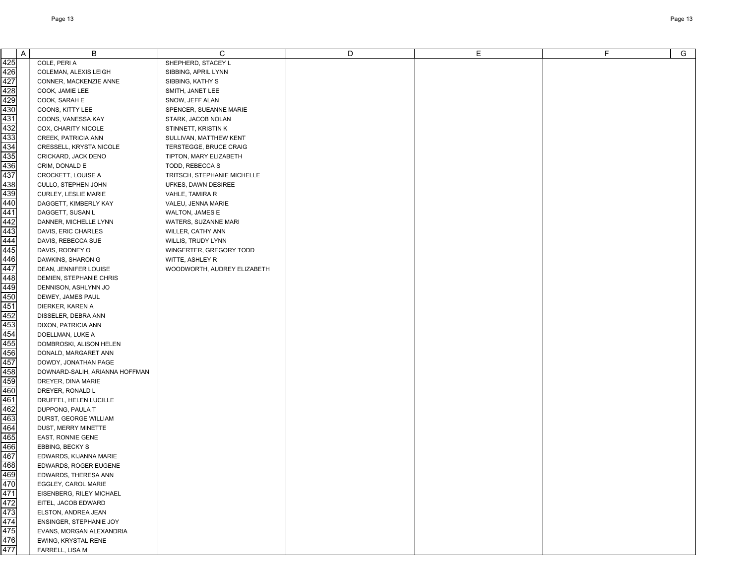| A                               | B                              | C.                          | D | Е | F | G |
|---------------------------------|--------------------------------|-----------------------------|---|---|---|---|
| 425                             | COLE, PERI A                   | SHEPHERD, STACEY L          |   |   |   |   |
| 426                             | COLEMAN, ALEXIS LEIGH          | SIBBING, APRIL LYNN         |   |   |   |   |
| 427                             | CONNER, MACKENZIE ANNE         | SIBBING, KATHY S            |   |   |   |   |
| 428                             | COOK, JAMIE LEE                | SMITH, JANET LEE            |   |   |   |   |
| 429                             | COOK, SARAH E                  | SNOW, JEFF ALAN             |   |   |   |   |
| 430                             | COONS, KITTY LEE               | SPENCER, SUEANNE MARIE      |   |   |   |   |
| 431                             | COONS, VANESSA KAY             | STARK, JACOB NOLAN          |   |   |   |   |
| 432                             | COX, CHARITY NICOLE            | STINNETT, KRISTIN K         |   |   |   |   |
| 433                             | CREEK, PATRICIA ANN            | SULLIVAN, MATTHEW KENT      |   |   |   |   |
| 434                             | CRESSELL, KRYSTA NICOLE        | TERSTEGGE, BRUCE CRAIG      |   |   |   |   |
| 435                             | CRICKARD, JACK DENO            | TIPTON, MARY ELIZABETH      |   |   |   |   |
| 436                             | CRIM, DONALD E                 | TODD, REBECCA S             |   |   |   |   |
| 437                             | CROCKETT, LOUISE A             | TRITSCH, STEPHANIE MICHELLE |   |   |   |   |
| 438                             | CULLO, STEPHEN JOHN            | UFKES, DAWN DESIREE         |   |   |   |   |
| 439                             | CURLEY, LESLIE MARIE           | VAHLE, TAMIRA R             |   |   |   |   |
| 440                             | DAGGETT, KIMBERLY KAY          | VALEU, JENNA MARIE          |   |   |   |   |
| 441                             | DAGGETT, SUSAN L               | WALTON, JAMES E             |   |   |   |   |
| 442                             | DANNER, MICHELLE LYNN          | WATERS, SUZANNE MARI        |   |   |   |   |
| 443                             | DAVIS, ERIC CHARLES            | WILLER, CATHY ANN           |   |   |   |   |
| 444                             | DAVIS, REBECCA SUE             | WILLIS, TRUDY LYNN          |   |   |   |   |
| 445                             | DAVIS, RODNEY O                | WINGERTER, GREGORY TODD     |   |   |   |   |
| 446                             | DAWKINS, SHARON G              | WITTE, ASHLEY R             |   |   |   |   |
| 447                             | DEAN, JENNIFER LOUISE          | WOODWORTH, AUDREY ELIZABETH |   |   |   |   |
| 448                             | DEMIEN, STEPHANIE CHRIS        |                             |   |   |   |   |
| 449                             | DENNISON, ASHLYNN JO           |                             |   |   |   |   |
| 450                             | DEWEY, JAMES PAUL              |                             |   |   |   |   |
| 451                             | DIERKER, KAREN A               |                             |   |   |   |   |
| 452                             | DISSELER, DEBRA ANN            |                             |   |   |   |   |
| 453                             | DIXON, PATRICIA ANN            |                             |   |   |   |   |
| 454                             | DOELLMAN, LUKE A               |                             |   |   |   |   |
| 455                             | DOMBROSKI, ALISON HELEN        |                             |   |   |   |   |
| 456                             | DONALD, MARGARET ANN           |                             |   |   |   |   |
| 457                             | DOWDY, JONATHAN PAGE           |                             |   |   |   |   |
| 458                             | DOWNARD-SALIH, ARIANNA HOFFMAN |                             |   |   |   |   |
| 459                             | DREYER, DINA MARIE             |                             |   |   |   |   |
| 460                             | DREYER, RONALD L               |                             |   |   |   |   |
| 461                             | DRUFFEL, HELEN LUCILLE         |                             |   |   |   |   |
| 462                             | DUPPONG, PAULA T               |                             |   |   |   |   |
| 463                             | DURST, GEORGE WILLIAM          |                             |   |   |   |   |
| 464                             | DUST, MERRY MINETTE            |                             |   |   |   |   |
| 465                             | EAST, RONNIE GENE              |                             |   |   |   |   |
| 466                             | EBBING, BECKY S                |                             |   |   |   |   |
| 467                             | EDWARDS, KIJANNA MARIE         |                             |   |   |   |   |
| 468<br>469                      | EDWARDS, ROGER EUGENE          |                             |   |   |   |   |
|                                 | EDWARDS, THERESA ANN           |                             |   |   |   |   |
| 470<br>471                      | EGGLEY, CAROL MARIE            |                             |   |   |   |   |
|                                 | EISENBERG, RILEY MICHAEL       |                             |   |   |   |   |
|                                 | EITEL, JACOB EDWARD            |                             |   |   |   |   |
| 472<br>473<br>475<br>476<br>477 | ELSTON, ANDREA JEAN            |                             |   |   |   |   |
|                                 | ENSINGER, STEPHANIE JOY        |                             |   |   |   |   |
|                                 | EVANS, MORGAN ALEXANDRIA       |                             |   |   |   |   |
|                                 | EWING, KRYSTAL RENE            |                             |   |   |   |   |
|                                 | FARRELL, LISA M                |                             |   |   |   |   |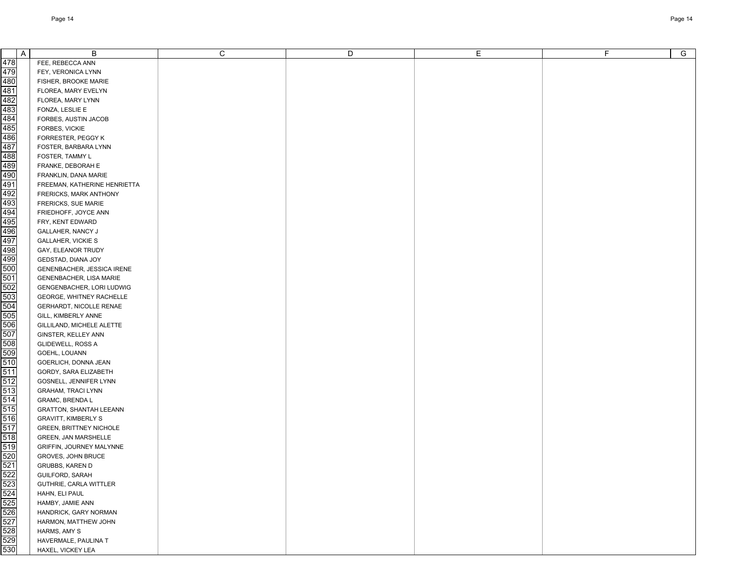| A                                      | B                              | C | D | Е | F. | G |
|----------------------------------------|--------------------------------|---|---|---|----|---|
| 478                                    | FEE, REBECCA ANN               |   |   |   |    |   |
| 479                                    | FEY, VERONICA LYNN             |   |   |   |    |   |
| 480                                    | FISHER, BROOKE MARIE           |   |   |   |    |   |
| 481                                    | FLOREA, MARY EVELYN            |   |   |   |    |   |
| 482                                    | FLOREA, MARY LYNN              |   |   |   |    |   |
| 483                                    | FONZA, LESLIE E                |   |   |   |    |   |
| $\frac{1}{484}$                        | FORBES, AUSTIN JACOB           |   |   |   |    |   |
| 485                                    | FORBES, VICKIE                 |   |   |   |    |   |
| 486                                    | FORRESTER, PEGGY K             |   |   |   |    |   |
| 487                                    | FOSTER, BARBARA LYNN           |   |   |   |    |   |
| 488                                    | FOSTER, TAMMY L                |   |   |   |    |   |
| 489                                    | FRANKE, DEBORAH E              |   |   |   |    |   |
| 490                                    |                                |   |   |   |    |   |
|                                        | FRANKLIN, DANA MARIE           |   |   |   |    |   |
| 491                                    | FREEMAN, KATHERINE HENRIETTA   |   |   |   |    |   |
| 492<br>493                             | FRERICKS, MARK ANTHONY         |   |   |   |    |   |
|                                        | FRERICKS, SUE MARIE            |   |   |   |    |   |
| 494                                    | FRIEDHOFF, JOYCE ANN           |   |   |   |    |   |
| 495                                    | FRY, KENT EDWARD               |   |   |   |    |   |
| 496                                    | GALLAHER, NANCY J              |   |   |   |    |   |
| 497                                    | <b>GALLAHER, VICKIE S</b>      |   |   |   |    |   |
| 498                                    | GAY, ELEANOR TRUDY             |   |   |   |    |   |
| 499                                    | GEDSTAD, DIANA JOY             |   |   |   |    |   |
| 500                                    | GENENBACHER, JESSICA IRENE     |   |   |   |    |   |
| 501                                    | GENENBACHER, LISA MARIE        |   |   |   |    |   |
| 502                                    | GENGENBACHER, LORI LUDWIG      |   |   |   |    |   |
| 503                                    | GEORGE, WHITNEY RACHELLE       |   |   |   |    |   |
| 504                                    | GERHARDT, NICOLLE RENAE        |   |   |   |    |   |
| 505                                    | GILL, KIMBERLY ANNE            |   |   |   |    |   |
| 506                                    | GILLILAND, MICHELE ALETTE      |   |   |   |    |   |
| 507                                    | GINSTER, KELLEY ANN            |   |   |   |    |   |
| 508                                    | GLIDEWELL, ROSS A              |   |   |   |    |   |
| 509                                    | GOEHL, LOUANN                  |   |   |   |    |   |
| 510                                    | GOERLICH, DONNA JEAN           |   |   |   |    |   |
| 511                                    | GORDY, SARA ELIZABETH          |   |   |   |    |   |
| 512                                    | GOSNELL, JENNIFER LYNN         |   |   |   |    |   |
| 513                                    | <b>GRAHAM, TRACI LYNN</b>      |   |   |   |    |   |
| 514                                    | <b>GRAMC, BRENDA L</b>         |   |   |   |    |   |
| 515                                    | <b>GRATTON, SHANTAH LEEANN</b> |   |   |   |    |   |
| 516                                    | <b>GRAVITT, KIMBERLY S</b>     |   |   |   |    |   |
| 517                                    | <b>GREEN, BRITTNEY NICHOLE</b> |   |   |   |    |   |
| 518                                    | GREEN, JAN MARSHELLE           |   |   |   |    |   |
| 519                                    | GRIFFIN, JOURNEY MALYNNE       |   |   |   |    |   |
| 520                                    | GROVES, JOHN BRUCE             |   |   |   |    |   |
|                                        | GRUBBS, KAREN D                |   |   |   |    |   |
| 521<br>522<br>523<br>524<br>525<br>526 | <b>GUILFORD, SARAH</b>         |   |   |   |    |   |
|                                        | GUTHRIE, CARLA WITTLER         |   |   |   |    |   |
|                                        | HAHN, ELI PAUL                 |   |   |   |    |   |
|                                        | HAMBY, JAMIE ANN               |   |   |   |    |   |
|                                        | HANDRICK, GARY NORMAN          |   |   |   |    |   |
| $\frac{527}{528}$<br>$\frac{529}{529}$ | HARMON, MATTHEW JOHN           |   |   |   |    |   |
|                                        | HARMS, AMY S                   |   |   |   |    |   |
|                                        | HAVERMALE, PAULINA T           |   |   |   |    |   |
| 530                                    | HAXEL, VICKEY LEA              |   |   |   |    |   |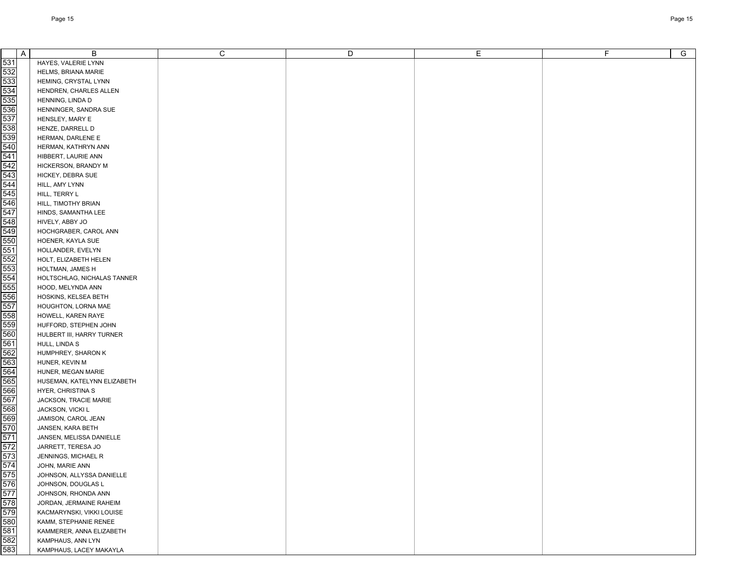| A                                      | B                                    | C | D | E. | F. | G |
|----------------------------------------|--------------------------------------|---|---|----|----|---|
| 531                                    | HAYES, VALERIE LYNN                  |   |   |    |    |   |
| 532                                    | HELMS, BRIANA MARIE                  |   |   |    |    |   |
| 533                                    | HEMING, CRYSTAL LYNN                 |   |   |    |    |   |
| 534                                    | HENDREN, CHARLES ALLEN               |   |   |    |    |   |
| 535                                    | HENNING, LINDA D                     |   |   |    |    |   |
| 536<br>537                             | HENNINGER, SANDRA SUE                |   |   |    |    |   |
|                                        | HENSLEY, MARY E                      |   |   |    |    |   |
| 538                                    | HENZE, DARRELL D                     |   |   |    |    |   |
| 539<br>540                             | HERMAN, DARLENE E                    |   |   |    |    |   |
|                                        | HERMAN, KATHRYN ANN                  |   |   |    |    |   |
| 541                                    | HIBBERT, LAURIE ANN                  |   |   |    |    |   |
| $\frac{542}{543}$                      | HICKERSON, BRANDY M                  |   |   |    |    |   |
|                                        | HICKEY, DEBRA SUE                    |   |   |    |    |   |
| 544                                    | HILL, AMY LYNN                       |   |   |    |    |   |
| 545                                    | HILL, TERRY L                        |   |   |    |    |   |
| 546                                    | HILL, TIMOTHY BRIAN                  |   |   |    |    |   |
| 547                                    | HINDS, SAMANTHA LEE                  |   |   |    |    |   |
| 548                                    | HIVELY, ABBY JO                      |   |   |    |    |   |
| 549                                    | HOCHGRABER, CAROL ANN                |   |   |    |    |   |
| 550                                    | HOENER, KAYLA SUE                    |   |   |    |    |   |
| 551                                    | HOLLANDER, EVELYN                    |   |   |    |    |   |
| 552                                    | HOLT, ELIZABETH HELEN                |   |   |    |    |   |
| 553<br>554                             | HOLTMAN, JAMES H                     |   |   |    |    |   |
|                                        | HOLTSCHLAG, NICHALAS TANNER          |   |   |    |    |   |
| 555                                    | HOOD, MELYNDA ANN                    |   |   |    |    |   |
| 556                                    | HOSKINS, KELSEA BETH                 |   |   |    |    |   |
| 557                                    | HOUGHTON, LORNA MAE                  |   |   |    |    |   |
| 558                                    | HOWELL, KAREN RAYE                   |   |   |    |    |   |
| 559                                    | HUFFORD, STEPHEN JOHN                |   |   |    |    |   |
| 560<br>561                             | HULBERT III, HARRY TURNER            |   |   |    |    |   |
|                                        | HULL, LINDA S                        |   |   |    |    |   |
| 562<br>563                             | HUMPHREY, SHARON K                   |   |   |    |    |   |
| 564                                    | HUNER, KEVIN M<br>HUNER, MEGAN MARIE |   |   |    |    |   |
| 565                                    | HUSEMAN, KATELYNN ELIZABETH          |   |   |    |    |   |
| 566                                    | HYER, CHRISTINA S                    |   |   |    |    |   |
| 567                                    | JACKSON, TRACIE MARIE                |   |   |    |    |   |
| 568                                    | JACKSON, VICKI L                     |   |   |    |    |   |
| 569                                    | JAMISON, CAROL JEAN                  |   |   |    |    |   |
| 570                                    | JANSEN, KARA BETH                    |   |   |    |    |   |
| 571                                    | JANSEN, MELISSA DANIELLE             |   |   |    |    |   |
| 572                                    | JARRETT, TERESA JO                   |   |   |    |    |   |
| 573                                    | JENNINGS, MICHAEL R                  |   |   |    |    |   |
| $\frac{574}{575}$<br>$\frac{575}{576}$ | JOHN, MARIE ANN                      |   |   |    |    |   |
|                                        | JOHNSON, ALLYSSA DANIELLE            |   |   |    |    |   |
|                                        | JOHNSON, DOUGLAS L                   |   |   |    |    |   |
| 577<br>578<br>579                      | JOHNSON, RHONDA ANN                  |   |   |    |    |   |
|                                        | JORDAN, JERMAINE RAHEIM              |   |   |    |    |   |
|                                        | KACMARYNSKI, VIKKI LOUISE            |   |   |    |    |   |
| 580<br>581<br>582                      | KAMM, STEPHANIE RENEE                |   |   |    |    |   |
|                                        | KAMMERER, ANNA ELIZABETH             |   |   |    |    |   |
|                                        | KAMPHAUS, ANN LYN                    |   |   |    |    |   |
| 583                                    | KAMPHAUS, LACEY MAKAYLA              |   |   |    |    |   |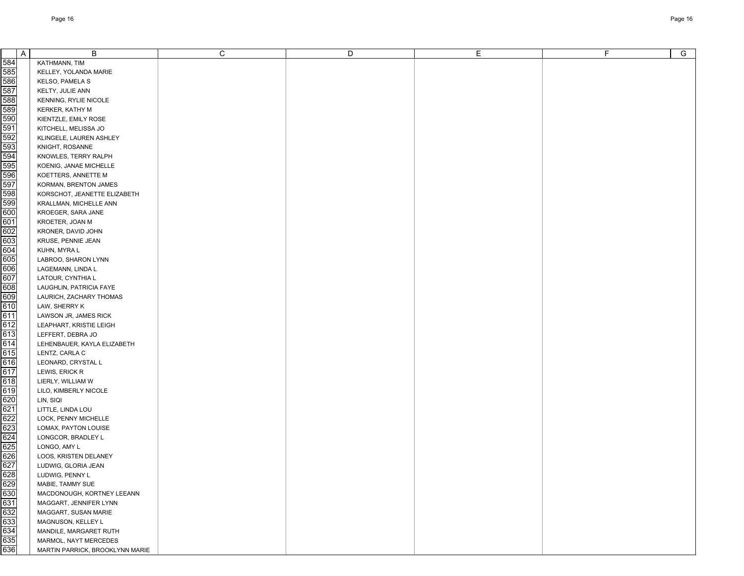| A          | B                                     | C | D | Е | F | $\overline{G}$ |
|------------|---------------------------------------|---|---|---|---|----------------|
| 584        | KATHMANN, TIM                         |   |   |   |   |                |
| 585        | KELLEY, YOLANDA MARIE                 |   |   |   |   |                |
| 586        | KELSO, PAMELA S                       |   |   |   |   |                |
| 587        | KELTY, JULIE ANN                      |   |   |   |   |                |
| 588        | KENNING, RYLIE NICOLE                 |   |   |   |   |                |
| 589        | KERKER, KATHY M                       |   |   |   |   |                |
| 590        | KIENTZLE, EMILY ROSE                  |   |   |   |   |                |
| 591        | KITCHELL, MELISSA JO                  |   |   |   |   |                |
| 592        | KLINGELE, LAUREN ASHLEY               |   |   |   |   |                |
| 593        | KNIGHT, ROSANNE                       |   |   |   |   |                |
| 594        | KNOWLES, TERRY RALPH                  |   |   |   |   |                |
| 595        | KOENIG, JANAE MICHELLE                |   |   |   |   |                |
| 596        | KOETTERS, ANNETTE M                   |   |   |   |   |                |
| 597        | KORMAN, BRENTON JAMES                 |   |   |   |   |                |
| 598        | KORSCHOT, JEANETTE ELIZABETH          |   |   |   |   |                |
| 599        | KRALLMAN, MICHELLE ANN                |   |   |   |   |                |
| 600        | KROEGER, SARA JANE                    |   |   |   |   |                |
| 601        | KROETER, JOAN M                       |   |   |   |   |                |
| 602        | KRONER, DAVID JOHN                    |   |   |   |   |                |
| 603        | KRUSE, PENNIE JEAN                    |   |   |   |   |                |
| 604        | KUHN, MYRA L                          |   |   |   |   |                |
| 605        | LABROO, SHARON LYNN                   |   |   |   |   |                |
| 606        | LAGEMANN, LINDA L                     |   |   |   |   |                |
| 607        | LATOUR, CYNTHIA L                     |   |   |   |   |                |
| 608        | LAUGHLIN, PATRICIA FAYE               |   |   |   |   |                |
| 609        | LAURICH, ZACHARY THOMAS               |   |   |   |   |                |
| 610        | LAW, SHERRY K                         |   |   |   |   |                |
| 611        | LAWSON JR, JAMES RICK                 |   |   |   |   |                |
| 612        | LEAPHART, KRISTIE LEIGH               |   |   |   |   |                |
| 613        | LEFFERT, DEBRA JO                     |   |   |   |   |                |
| 614        | LEHENBAUER, KAYLA ELIZABETH           |   |   |   |   |                |
| 615        | LENTZ, CARLA C                        |   |   |   |   |                |
| 616        | LEONARD, CRYSTAL L                    |   |   |   |   |                |
| 617        | LEWIS, ERICK R                        |   |   |   |   |                |
| 618        | LIERLY, WILLIAM W                     |   |   |   |   |                |
| 619        | LILO, KIMBERLY NICOLE                 |   |   |   |   |                |
| 620        | LIN, SIQI                             |   |   |   |   |                |
| 621        | LITTLE, LINDA LOU                     |   |   |   |   |                |
| 622        | LOCK, PENNY MICHELLE                  |   |   |   |   |                |
| 623<br>624 | LOMAX, PAYTON LOUISE                  |   |   |   |   |                |
| 625        | LONGCOR, BRADLEY L                    |   |   |   |   |                |
| 626        | LONGO, AMY L<br>LOOS, KRISTEN DELANEY |   |   |   |   |                |
| 627        | LUDWIG, GLORIA JEAN                   |   |   |   |   |                |
| 628        | LUDWIG, PENNY L                       |   |   |   |   |                |
| 629        | MABIE, TAMMY SUE                      |   |   |   |   |                |
| 630        | MACDONOUGH, KORTNEY LEEANN            |   |   |   |   |                |
| 631        | MAGGART, JENNIFER LYNN                |   |   |   |   |                |
| 632        | MAGGART, SUSAN MARIE                  |   |   |   |   |                |
| 633        | MAGNUSON, KELLEY L                    |   |   |   |   |                |
| 634        | MANDILE, MARGARET RUTH                |   |   |   |   |                |
| 635        | MARMOL, NAYT MERCEDES                 |   |   |   |   |                |
| 636        | MARTIN PARRICK, BROOKLYNN MARIE       |   |   |   |   |                |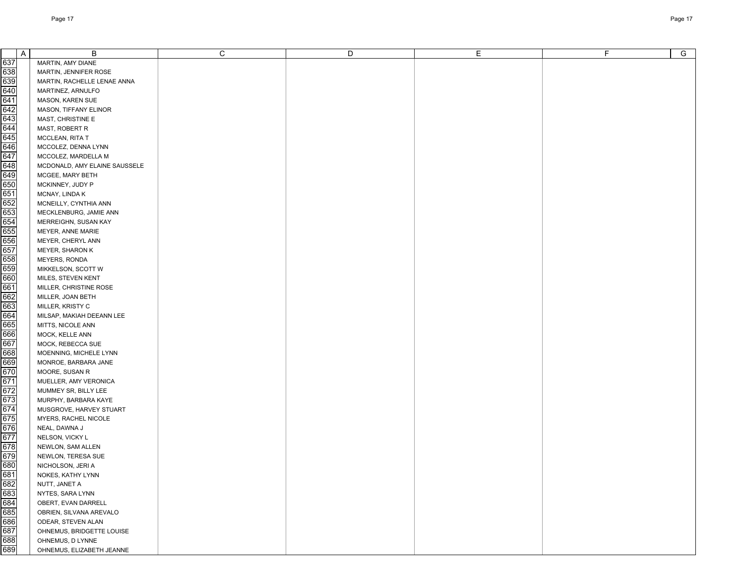| $\mathsf{A}$                                                              | B                             | C | D | E. | F. | G |
|---------------------------------------------------------------------------|-------------------------------|---|---|----|----|---|
| 637                                                                       |                               |   |   |    |    |   |
| 638                                                                       | MARTIN, AMY DIANE             |   |   |    |    |   |
|                                                                           | MARTIN, JENNIFER ROSE         |   |   |    |    |   |
| 639<br>640                                                                | MARTIN, RACHELLE LENAE ANNA   |   |   |    |    |   |
| 641                                                                       | MARTINEZ, ARNULFO             |   |   |    |    |   |
|                                                                           | <b>MASON, KAREN SUE</b>       |   |   |    |    |   |
| $\frac{642}{643}$                                                         | MASON, TIFFANY ELINOR         |   |   |    |    |   |
|                                                                           | MAST, CHRISTINE E             |   |   |    |    |   |
| 644                                                                       | MAST, ROBERT R                |   |   |    |    |   |
| 645<br>646                                                                | MCCLEAN, RITA T               |   |   |    |    |   |
|                                                                           | MCCOLEZ, DENNA LYNN           |   |   |    |    |   |
| 647                                                                       | MCCOLEZ, MARDELLA M           |   |   |    |    |   |
| 648<br>649                                                                | MCDONALD, AMY ELAINE SAUSSELE |   |   |    |    |   |
|                                                                           | MCGEE, MARY BETH              |   |   |    |    |   |
| 650                                                                       | MCKINNEY, JUDY P              |   |   |    |    |   |
| 651                                                                       | MCNAY, LINDA K                |   |   |    |    |   |
| 652                                                                       | MCNEILLY, CYNTHIA ANN         |   |   |    |    |   |
| 653                                                                       | MECKLENBURG, JAMIE ANN        |   |   |    |    |   |
| 654                                                                       | MERREIGHN, SUSAN KAY          |   |   |    |    |   |
| 655                                                                       | MEYER, ANNE MARIE             |   |   |    |    |   |
| 656                                                                       | MEYER, CHERYL ANN             |   |   |    |    |   |
| 657                                                                       | MEYER, SHARON K               |   |   |    |    |   |
| 658                                                                       | <b>MEYERS, RONDA</b>          |   |   |    |    |   |
| 659                                                                       | MIKKELSON, SCOTT W            |   |   |    |    |   |
| 660                                                                       | MILES, STEVEN KENT            |   |   |    |    |   |
| 661                                                                       | MILLER, CHRISTINE ROSE        |   |   |    |    |   |
| 662                                                                       | MILLER, JOAN BETH             |   |   |    |    |   |
| 663                                                                       | MILLER, KRISTY C              |   |   |    |    |   |
| 664                                                                       | MILSAP, MAKIAH DEEANN LEE     |   |   |    |    |   |
| 665                                                                       | MITTS, NICOLE ANN             |   |   |    |    |   |
| 666                                                                       | MOCK, KELLE ANN               |   |   |    |    |   |
| 667                                                                       | MOCK, REBECCA SUE             |   |   |    |    |   |
| 668                                                                       | MOENNING, MICHELE LYNN        |   |   |    |    |   |
| 669                                                                       | MONROE, BARBARA JANE          |   |   |    |    |   |
| 670                                                                       | MOORE, SUSAN R                |   |   |    |    |   |
| 671                                                                       | MUELLER, AMY VERONICA         |   |   |    |    |   |
| 672                                                                       | MUMMEY SR, BILLY LEE          |   |   |    |    |   |
| 673                                                                       | MURPHY, BARBARA KAYE          |   |   |    |    |   |
| 674                                                                       | MUSGROVE, HARVEY STUART       |   |   |    |    |   |
| 675                                                                       | MYERS, RACHEL NICOLE          |   |   |    |    |   |
| 676                                                                       | NEAL, DAWNA J                 |   |   |    |    |   |
| 677                                                                       | NELSON, VICKY L               |   |   |    |    |   |
| 678                                                                       | NEWLON, SAM ALLEN             |   |   |    |    |   |
| 679                                                                       | NEWLON, TERESA SUE            |   |   |    |    |   |
|                                                                           | NICHOLSON, JERI A             |   |   |    |    |   |
|                                                                           | NOKES, KATHY LYNN             |   |   |    |    |   |
| 080<br>081<br>082<br>083<br>083<br>085<br>086<br>087<br>088<br>088<br>088 | NUTT, JANET A                 |   |   |    |    |   |
|                                                                           | NYTES, SARA LYNN              |   |   |    |    |   |
|                                                                           | OBERT, EVAN DARRELL           |   |   |    |    |   |
|                                                                           | OBRIEN, SILVANA AREVALO       |   |   |    |    |   |
|                                                                           | ODEAR, STEVEN ALAN            |   |   |    |    |   |
|                                                                           | OHNEMUS, BRIDGETTE LOUISE     |   |   |    |    |   |
|                                                                           | OHNEMUS, D LYNNE              |   |   |    |    |   |
|                                                                           | OHNEMUS, ELIZABETH JEANNE     |   |   |    |    |   |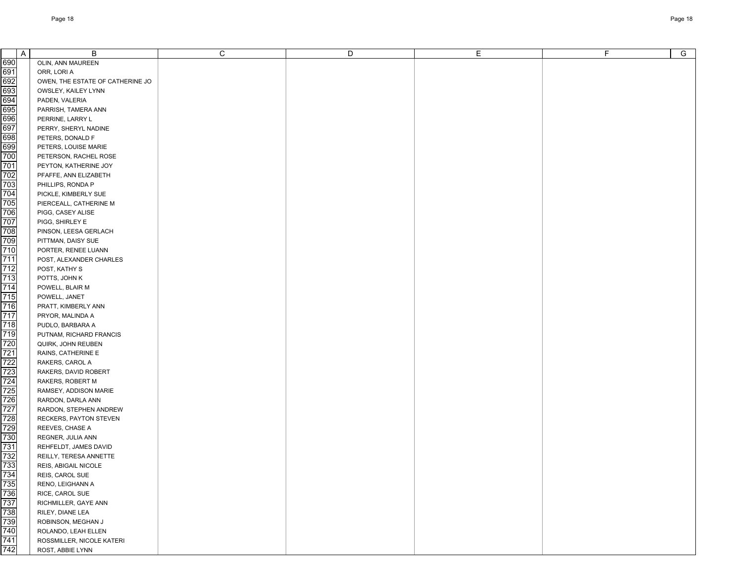| $\overline{A}$                                              | B                                | C | D | Е | F. | G |
|-------------------------------------------------------------|----------------------------------|---|---|---|----|---|
| 690                                                         | OLIN, ANN MAUREEN                |   |   |   |    |   |
| 691                                                         | ORR, LORI A                      |   |   |   |    |   |
| 692                                                         | OWEN, THE ESTATE OF CATHERINE JO |   |   |   |    |   |
| 693                                                         | OWSLEY, KAILEY LYNN              |   |   |   |    |   |
| 694                                                         | PADEN, VALERIA                   |   |   |   |    |   |
| 695                                                         | PARRISH, TAMERA ANN              |   |   |   |    |   |
| 696                                                         | PERRINE, LARRY L                 |   |   |   |    |   |
| 697                                                         | PERRY, SHERYL NADINE             |   |   |   |    |   |
| 698                                                         | PETERS, DONALD F                 |   |   |   |    |   |
| 699                                                         | PETERS, LOUISE MARIE             |   |   |   |    |   |
| 700                                                         | PETERSON, RACHEL ROSE            |   |   |   |    |   |
| 701                                                         |                                  |   |   |   |    |   |
| 702                                                         | PEYTON, KATHERINE JOY            |   |   |   |    |   |
|                                                             | PFAFFE, ANN ELIZABETH            |   |   |   |    |   |
| 703                                                         | PHILLIPS, RONDA P                |   |   |   |    |   |
| 704                                                         | PICKLE, KIMBERLY SUE             |   |   |   |    |   |
| 705                                                         | PIERCEALL, CATHERINE M           |   |   |   |    |   |
| 706                                                         | PIGG, CASEY ALISE                |   |   |   |    |   |
| 707                                                         | PIGG, SHIRLEY E                  |   |   |   |    |   |
| 708                                                         | PINSON, LEESA GERLACH            |   |   |   |    |   |
| 709                                                         | PITTMAN, DAISY SUE               |   |   |   |    |   |
| 710                                                         | PORTER, RENEE LUANN              |   |   |   |    |   |
| 711                                                         | POST, ALEXANDER CHARLES          |   |   |   |    |   |
| 712                                                         | POST, KATHY S                    |   |   |   |    |   |
| 713                                                         | POTTS, JOHN K                    |   |   |   |    |   |
| 714                                                         | POWELL, BLAIR M                  |   |   |   |    |   |
| 715                                                         | POWELL, JANET                    |   |   |   |    |   |
| 716                                                         | PRATT, KIMBERLY ANN              |   |   |   |    |   |
| 717                                                         | PRYOR, MALINDA A                 |   |   |   |    |   |
| 718                                                         | PUDLO, BARBARA A                 |   |   |   |    |   |
| 719                                                         | PUTNAM, RICHARD FRANCIS          |   |   |   |    |   |
| 720                                                         | QUIRK, JOHN REUBEN               |   |   |   |    |   |
| 721                                                         | RAINS, CATHERINE E               |   |   |   |    |   |
| 722                                                         | RAKERS, CAROL A                  |   |   |   |    |   |
| 723                                                         | RAKERS, DAVID ROBERT             |   |   |   |    |   |
| 724                                                         | RAKERS, ROBERT M                 |   |   |   |    |   |
| 725                                                         | RAMSEY, ADDISON MARIE            |   |   |   |    |   |
| 726                                                         | RARDON, DARLA ANN                |   |   |   |    |   |
| 727                                                         | RARDON, STEPHEN ANDREW           |   |   |   |    |   |
| 728                                                         | RECKERS, PAYTON STEVEN           |   |   |   |    |   |
| 729                                                         | REEVES, CHASE A                  |   |   |   |    |   |
| 730                                                         | REGNER, JULIA ANN                |   |   |   |    |   |
| 731                                                         | REHFELDT, JAMES DAVID            |   |   |   |    |   |
| 732                                                         | REILLY, TERESA ANNETTE           |   |   |   |    |   |
|                                                             | REIS, ABIGAIL NICOLE             |   |   |   |    |   |
|                                                             | REIS, CAROL SUE                  |   |   |   |    |   |
|                                                             | RENO, LEIGHANN A                 |   |   |   |    |   |
|                                                             | RICE, CAROL SUE                  |   |   |   |    |   |
|                                                             | RICHMILLER, GAYE ANN             |   |   |   |    |   |
|                                                             | RILEY, DIANE LEA                 |   |   |   |    |   |
|                                                             | ROBINSON, MEGHAN J               |   |   |   |    |   |
|                                                             | ROLANDO, LEAH ELLEN              |   |   |   |    |   |
|                                                             | ROSSMILLER, NICOLE KATERI        |   |   |   |    |   |
| 733<br>734<br>735<br>736<br>737<br>738<br>740<br>741<br>742 | ROST, ABBIE LYNN                 |   |   |   |    |   |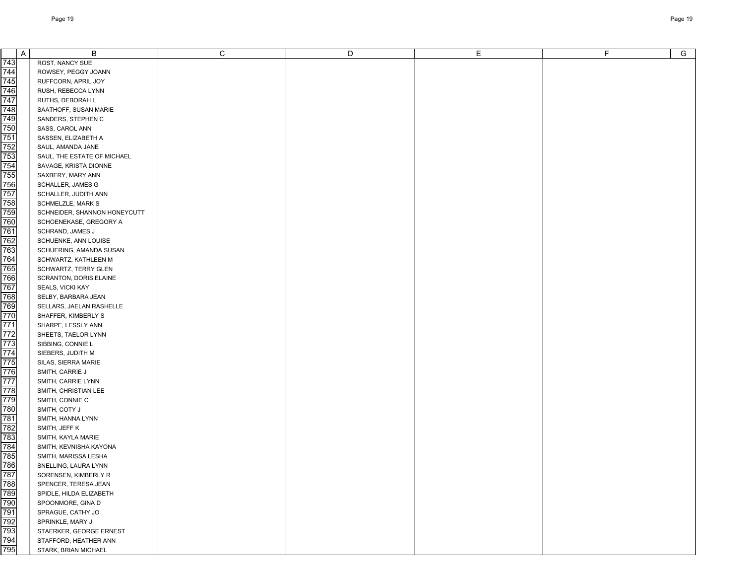|                                 | A | B                                              | C | D | Е | F. | $\overline{G}$ |
|---------------------------------|---|------------------------------------------------|---|---|---|----|----------------|
| 743                             |   | ROST, NANCY SUE                                |   |   |   |    |                |
| 744                             |   | ROWSEY, PEGGY JOANN                            |   |   |   |    |                |
| 745                             |   | RUFFCORN, APRIL JOY                            |   |   |   |    |                |
| 746                             |   | RUSH, REBECCA LYNN                             |   |   |   |    |                |
| 747                             |   | RUTHS, DEBORAH L                               |   |   |   |    |                |
| 748                             |   | SAATHOFF, SUSAN MARIE                          |   |   |   |    |                |
| 749                             |   | SANDERS, STEPHEN C                             |   |   |   |    |                |
| 750                             |   | SASS, CAROL ANN                                |   |   |   |    |                |
| 751                             |   | SASSEN, ELIZABETH A                            |   |   |   |    |                |
| 752                             |   | SAUL, AMANDA JANE                              |   |   |   |    |                |
| 753                             |   | SAUL, THE ESTATE OF MICHAEL                    |   |   |   |    |                |
| 754                             |   | SAVAGE, KRISTA DIONNE                          |   |   |   |    |                |
| 755                             |   | SAXBERY, MARY ANN                              |   |   |   |    |                |
| 756                             |   | <b>SCHALLER, JAMES G</b>                       |   |   |   |    |                |
| 757                             |   | SCHALLER, JUDITH ANN                           |   |   |   |    |                |
| 758                             |   | SCHMELZLE, MARK S                              |   |   |   |    |                |
| 759                             |   | SCHNEIDER, SHANNON HONEYCUTT                   |   |   |   |    |                |
| 760                             |   | SCHOENEKASE, GREGORY A                         |   |   |   |    |                |
| 761                             |   | SCHRAND, JAMES J                               |   |   |   |    |                |
| 762                             |   | SCHUENKE, ANN LOUISE                           |   |   |   |    |                |
| 763                             |   | SCHUERING, AMANDA SUSAN                        |   |   |   |    |                |
| 764                             |   | SCHWARTZ, KATHLEEN M                           |   |   |   |    |                |
| 765                             |   | SCHWARTZ, TERRY GLEN                           |   |   |   |    |                |
| 766                             |   | SCRANTON, DORIS ELAINE                         |   |   |   |    |                |
| 767                             |   | SEALS, VICKI KAY                               |   |   |   |    |                |
| 768                             |   | SELBY, BARBARA JEAN                            |   |   |   |    |                |
| 769                             |   | SELLARS, JAELAN RASHELLE                       |   |   |   |    |                |
| 770                             |   | SHAFFER, KIMBERLY S                            |   |   |   |    |                |
| 771                             |   | SHARPE, LESSLY ANN                             |   |   |   |    |                |
| 772                             |   | SHEETS, TAELOR LYNN                            |   |   |   |    |                |
| 773                             |   | SIBBING, CONNIE L                              |   |   |   |    |                |
| 774                             |   | SIEBERS, JUDITH M                              |   |   |   |    |                |
| 775                             |   | SILAS, SIERRA MARIE                            |   |   |   |    |                |
| 776                             |   | SMITH, CARRIE J                                |   |   |   |    |                |
| 777                             |   | SMITH, CARRIE LYNN                             |   |   |   |    |                |
| 778                             |   | SMITH, CHRISTIAN LEE                           |   |   |   |    |                |
| 779                             |   | SMITH, CONNIE C                                |   |   |   |    |                |
| 780                             |   | SMITH, COTY J                                  |   |   |   |    |                |
| 781                             |   | SMITH, HANNA LYNN                              |   |   |   |    |                |
| 782<br>783                      |   | SMITH, JEFF K                                  |   |   |   |    |                |
| 784                             |   | SMITH, KAYLA MARIE                             |   |   |   |    |                |
| 785                             |   | SMITH, KEVNISHA KAYONA<br>SMITH, MARISSA LESHA |   |   |   |    |                |
|                                 |   | SNELLING, LAURA LYNN                           |   |   |   |    |                |
|                                 |   | SORENSEN, KIMBERLY R                           |   |   |   |    |                |
|                                 |   | SPENCER, TERESA JEAN                           |   |   |   |    |                |
| 786<br>787<br>788<br>789<br>790 |   | SPIDLE, HILDA ELIZABETH                        |   |   |   |    |                |
|                                 |   | SPOONMORE, GINA D                              |   |   |   |    |                |
| 791                             |   | SPRAGUE, CATHY JO                              |   |   |   |    |                |
|                                 |   | SPRINKLE, MARY J                               |   |   |   |    |                |
|                                 |   | STAERKER, GEORGE ERNEST                        |   |   |   |    |                |
| 794                             |   | STAFFORD, HEATHER ANN                          |   |   |   |    |                |
| 795                             |   | STARK, BRIAN MICHAEL                           |   |   |   |    |                |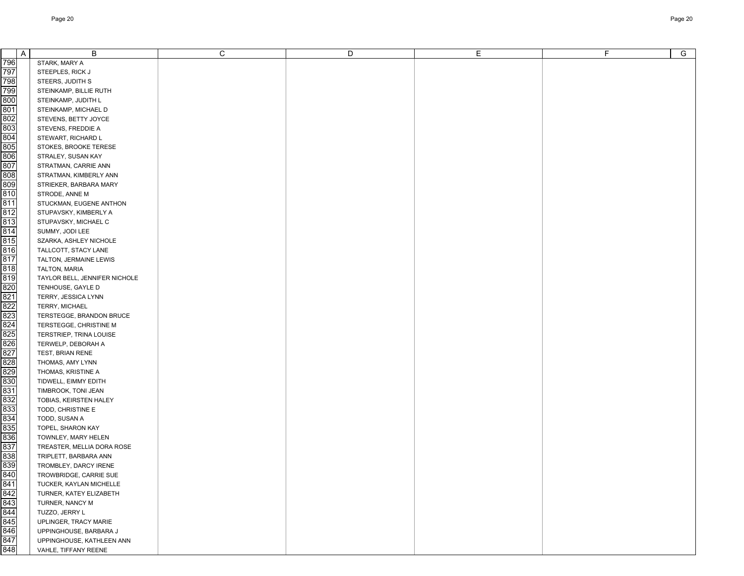| A          | B                                                 | C | D | Е | F. | $\overline{G}$ |
|------------|---------------------------------------------------|---|---|---|----|----------------|
| 796        | STARK, MARY A                                     |   |   |   |    |                |
| 797        | STEEPLES, RICK J                                  |   |   |   |    |                |
| 798        | STEERS, JUDITH S                                  |   |   |   |    |                |
| 799        | STEINKAMP, BILLIE RUTH                            |   |   |   |    |                |
| 800        | STEINKAMP, JUDITH L                               |   |   |   |    |                |
| 801        | STEINKAMP, MICHAEL D                              |   |   |   |    |                |
| 802        | STEVENS, BETTY JOYCE                              |   |   |   |    |                |
| 803        | STEVENS, FREDDIE A                                |   |   |   |    |                |
| 804        | STEWART, RICHARD L                                |   |   |   |    |                |
| 805        | STOKES, BROOKE TERESE                             |   |   |   |    |                |
| 806        | STRALEY, SUSAN KAY                                |   |   |   |    |                |
| 807        | STRATMAN, CARRIE ANN                              |   |   |   |    |                |
| 808        | STRATMAN, KIMBERLY ANN                            |   |   |   |    |                |
| 809        | STRIEKER, BARBARA MARY                            |   |   |   |    |                |
| 810        | STRODE, ANNE M                                    |   |   |   |    |                |
| 811        | STUCKMAN, EUGENE ANTHON                           |   |   |   |    |                |
| 812        | STUPAVSKY, KIMBERLY A                             |   |   |   |    |                |
| 813        | STUPAVSKY, MICHAEL C                              |   |   |   |    |                |
| 814        | SUMMY, JODI LEE                                   |   |   |   |    |                |
| 815        | SZARKA, ASHLEY NICHOLE                            |   |   |   |    |                |
| 816        | TALLCOTT, STACY LANE                              |   |   |   |    |                |
| 817        | TALTON, JERMAINE LEWIS                            |   |   |   |    |                |
| 818        | TALTON, MARIA                                     |   |   |   |    |                |
| 819        | TAYLOR BELL, JENNIFER NICHOLE                     |   |   |   |    |                |
| 820        | TENHOUSE, GAYLE D                                 |   |   |   |    |                |
| 821        | TERRY, JESSICA LYNN                               |   |   |   |    |                |
| 822        | TERRY, MICHAEL                                    |   |   |   |    |                |
| 823        | TERSTEGGE, BRANDON BRUCE                          |   |   |   |    |                |
| 824        | TERSTEGGE, CHRISTINE M                            |   |   |   |    |                |
| 825        | TERSTRIEP, TRINA LOUISE                           |   |   |   |    |                |
| 826        | TERWELP, DEBORAH A                                |   |   |   |    |                |
| 827        | TEST, BRIAN RENE                                  |   |   |   |    |                |
| 828        | THOMAS, AMY LYNN                                  |   |   |   |    |                |
| 829        | THOMAS, KRISTINE A                                |   |   |   |    |                |
| 830        | TIDWELL, EIMMY EDITH                              |   |   |   |    |                |
| 831        | TIMBROOK, TONI JEAN                               |   |   |   |    |                |
| 832        | TOBIAS, KEIRSTEN HALEY                            |   |   |   |    |                |
| 833        | TODD, CHRISTINE E                                 |   |   |   |    |                |
| 834        | TODD, SUSAN A                                     |   |   |   |    |                |
| 835<br>836 | TOPEL, SHARON KAY                                 |   |   |   |    |                |
| 837        | TOWNLEY, MARY HELEN<br>TREASTER, MELLIA DORA ROSE |   |   |   |    |                |
| 838        | TRIPLETT, BARBARA ANN                             |   |   |   |    |                |
| 839        | TROMBLEY, DARCY IRENE                             |   |   |   |    |                |
| 840        | TROWBRIDGE, CARRIE SUE                            |   |   |   |    |                |
| 841        | TUCKER, KAYLAN MICHELLE                           |   |   |   |    |                |
| 842        | TURNER, KATEY ELIZABETH                           |   |   |   |    |                |
| 843        | TURNER, NANCY M                                   |   |   |   |    |                |
| 844        | TUZZO, JERRY L                                    |   |   |   |    |                |
| 845        | UPLINGER, TRACY MARIE                             |   |   |   |    |                |
| 846        | UPPINGHOUSE, BARBARA J                            |   |   |   |    |                |
| 847        | UPPINGHOUSE, KATHLEEN ANN                         |   |   |   |    |                |
| 848        | VAHLE, TIFFANY REENE                              |   |   |   |    |                |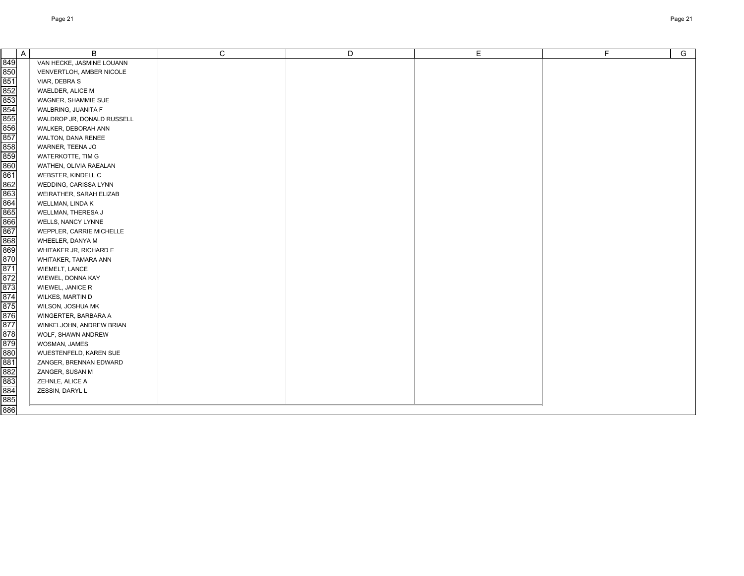| A                                             | B                          | C | D | E | F. | G |
|-----------------------------------------------|----------------------------|---|---|---|----|---|
| 849                                           | VAN HECKE, JASMINE LOUANN  |   |   |   |    |   |
| 850                                           | VENVERTLOH, AMBER NICOLE   |   |   |   |    |   |
| 851                                           | VIAR, DEBRA S              |   |   |   |    |   |
| 852                                           | WAELDER, ALICE M           |   |   |   |    |   |
| 853                                           | WAGNER, SHAMMIE SUE        |   |   |   |    |   |
| 854                                           | WALBRING, JUANITA F        |   |   |   |    |   |
| 855                                           | WALDROP JR, DONALD RUSSELL |   |   |   |    |   |
| 856                                           | WALKER, DEBORAH ANN        |   |   |   |    |   |
| 857                                           | WALTON, DANA RENEE         |   |   |   |    |   |
|                                               | WARNER, TEENA JO           |   |   |   |    |   |
|                                               | WATERKOTTE, TIM G          |   |   |   |    |   |
| $\frac{856}{858}$                             | WATHEN, OLIVIA RAEALAN     |   |   |   |    |   |
| $\frac{1}{861}$                               | WEBSTER, KINDELL C         |   |   |   |    |   |
| 862                                           | WEDDING, CARISSA LYNN      |   |   |   |    |   |
| 863                                           | WEIRATHER, SARAH ELIZAB    |   |   |   |    |   |
| 864                                           | WELLMAN, LINDA K           |   |   |   |    |   |
| 865                                           | WELLMAN, THERESA J         |   |   |   |    |   |
| 866                                           | WELLS, NANCY LYNNE         |   |   |   |    |   |
| 867                                           | WEPPLER, CARRIE MICHELLE   |   |   |   |    |   |
| 868                                           | WHEELER, DANYA M           |   |   |   |    |   |
| 869                                           | WHITAKER JR, RICHARD E     |   |   |   |    |   |
|                                               | WHITAKER, TAMARA ANN       |   |   |   |    |   |
| 870<br>871<br>872<br>873<br>874<br>875<br>876 | WIEMELT, LANCE             |   |   |   |    |   |
|                                               | WIEWEL, DONNA KAY          |   |   |   |    |   |
|                                               | WIEWEL, JANICE R           |   |   |   |    |   |
|                                               | WILKES, MARTIN D           |   |   |   |    |   |
|                                               | WILSON, JOSHUA MK          |   |   |   |    |   |
|                                               | WINGERTER, BARBARA A       |   |   |   |    |   |
| 877                                           | WINKELJOHN, ANDREW BRIAN   |   |   |   |    |   |
| 878                                           | WOLF, SHAWN ANDREW         |   |   |   |    |   |
| 879                                           | WOSMAN, JAMES              |   |   |   |    |   |
| 880                                           | WUESTENFELD, KAREN SUE     |   |   |   |    |   |
| 881                                           | ZANGER, BRENNAN EDWARD     |   |   |   |    |   |
| 882                                           | ZANGER, SUSAN M            |   |   |   |    |   |
| 883                                           | ZEHNLE, ALICE A            |   |   |   |    |   |
| 884<br>885                                    | ZESSIN, DARYL L            |   |   |   |    |   |
|                                               |                            |   |   |   |    |   |
| 886                                           |                            |   |   |   |    |   |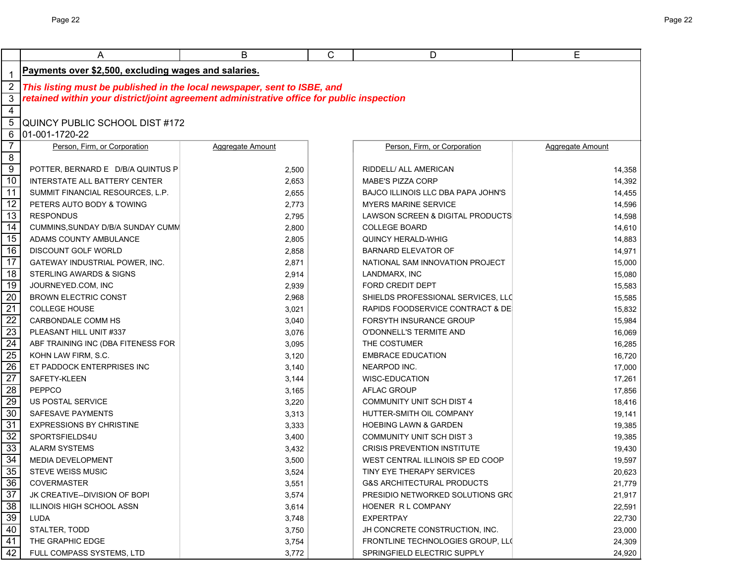|                     | A                                                                                                                                                                     | В                | C | D                                         | E                |  |  |  |
|---------------------|-----------------------------------------------------------------------------------------------------------------------------------------------------------------------|------------------|---|-------------------------------------------|------------------|--|--|--|
|                     | Payments over \$2,500, excluding wages and salaries.                                                                                                                  |                  |   |                                           |                  |  |  |  |
| 1<br>$\overline{2}$ |                                                                                                                                                                       |                  |   |                                           |                  |  |  |  |
| 3                   | This listing must be published in the local newspaper, sent to ISBE, and<br>retained within your district/joint agreement administrative office for public inspection |                  |   |                                           |                  |  |  |  |
| $\overline{4}$      |                                                                                                                                                                       |                  |   |                                           |                  |  |  |  |
| 5                   | QUINCY PUBLIC SCHOOL DIST #172                                                                                                                                        |                  |   |                                           |                  |  |  |  |
| 6                   | 01-001-1720-22                                                                                                                                                        |                  |   |                                           |                  |  |  |  |
| $\overline{7}$      | Person, Firm, or Corporation                                                                                                                                          | Aggregate Amount |   | Person, Firm, or Corporation              | Aggregate Amount |  |  |  |
| $\infty$            |                                                                                                                                                                       |                  |   |                                           |                  |  |  |  |
| $\overline{9}$      | POTTER, BERNARD E D/B/A QUINTUS P                                                                                                                                     | 2,500            |   | RIDDELL/ ALL AMERICAN                     | 14,358           |  |  |  |
| 10                  | <b>INTERSTATE ALL BATTERY CENTER</b>                                                                                                                                  | 2,653            |   | <b>MABE'S PIZZA CORP</b>                  | 14,392           |  |  |  |
| $\overline{11}$     | SUMMIT FINANCIAL RESOURCES, L.P.                                                                                                                                      | 2,655            |   | <b>BAJCO ILLINOIS LLC DBA PAPA JOHN'S</b> | 14,455           |  |  |  |
| 12                  | PETERS AUTO BODY & TOWING                                                                                                                                             | 2,773            |   | <b>MYERS MARINE SERVICE</b>               | 14,596           |  |  |  |
| 13                  | <b>RESPONDUS</b>                                                                                                                                                      | 2,795            |   | LAWSON SCREEN & DIGITAL PRODUCTS          | 14,598           |  |  |  |
| $\overline{14}$     | CUMMINS, SUNDAY D/B/A SUNDAY CUMM                                                                                                                                     | 2,800            |   | <b>COLLEGE BOARD</b>                      | 14,610           |  |  |  |
| 15                  | ADAMS COUNTY AMBULANCE                                                                                                                                                | 2,805            |   | <b>QUINCY HERALD-WHIG</b>                 | 14,883           |  |  |  |
| 16                  | <b>DISCOUNT GOLF WORLD</b>                                                                                                                                            | 2,858            |   | <b>BARNARD ELEVATOR OF</b>                | 14,971           |  |  |  |
| 17                  | <b>GATEWAY INDUSTRIAL POWER, INC.</b>                                                                                                                                 | 2,871            |   | NATIONAL SAM INNOVATION PROJECT           | 15,000           |  |  |  |
| 18                  | STERLING AWARDS & SIGNS                                                                                                                                               | 2,914            |   | LANDMARX, INC                             | 15,080           |  |  |  |
| 19                  | JOURNEYED.COM, INC                                                                                                                                                    | 2,939            |   | <b>FORD CREDIT DEPT</b>                   | 15,583           |  |  |  |
| $\overline{20}$     | <b>BROWN ELECTRIC CONST</b>                                                                                                                                           | 2,968            |   | SHIELDS PROFESSIONAL SERVICES, LLC        | 15,585           |  |  |  |
| $\overline{21}$     | <b>COLLEGE HOUSE</b>                                                                                                                                                  | 3,021            |   | RAPIDS FOODSERVICE CONTRACT & DE          | 15,832           |  |  |  |
| $\overline{22}$     | CARBONDALE COMM HS                                                                                                                                                    | 3,040            |   | FORSYTH INSURANCE GROUP                   | 15,984           |  |  |  |
| 23                  | PLEASANT HILL UNIT #337                                                                                                                                               | 3,076            |   | O'DONNELL'S TERMITE AND                   | 16,069           |  |  |  |
| $\overline{24}$     | ABF TRAINING INC (DBA FITENESS FOR                                                                                                                                    | 3,095            |   | THE COSTUMER                              | 16,285           |  |  |  |
| $\overline{25}$     | KOHN LAW FIRM, S.C.                                                                                                                                                   | 3,120            |   | <b>EMBRACE EDUCATION</b>                  | 16,720           |  |  |  |
| $\overline{26}$     | ET PADDOCK ENTERPRISES INC                                                                                                                                            | 3,140            |   | NEARPOD INC.                              | 17,000           |  |  |  |
| $\overline{27}$     | SAFETY-KLEEN                                                                                                                                                          | 3,144            |   | WISC-EDUCATION                            | 17,261           |  |  |  |
| $\overline{28}$     | PEPPCO                                                                                                                                                                | 3,165            |   | <b>AFLAC GROUP</b>                        | 17,856           |  |  |  |
| 29                  | US POSTAL SERVICE                                                                                                                                                     | 3,220            |   | <b>COMMUNITY UNIT SCH DIST 4</b>          | 18,416           |  |  |  |
| 30                  | SAFESAVE PAYMENTS                                                                                                                                                     | 3,313            |   | HUTTER-SMITH OIL COMPANY                  | 19,141           |  |  |  |
| 31                  | <b>EXPRESSIONS BY CHRISTINE</b>                                                                                                                                       | 3,333            |   | <b>HOEBING LAWN &amp; GARDEN</b>          | 19,385           |  |  |  |
| 32                  | SPORTSFIELDS4U                                                                                                                                                        | 3,400            |   | <b>COMMUNITY UNIT SCH DIST 3</b>          | 19,385           |  |  |  |
| 33                  | <b>ALARM SYSTEMS</b>                                                                                                                                                  | 3,432            |   | <b>CRISIS PREVENTION INSTITUTE</b>        | 19,430           |  |  |  |
| 34                  | <b>MEDIA DEVELOPMENT</b>                                                                                                                                              | 3,500            |   | WEST CENTRAL ILLINOIS SP ED COOP          | 19,597           |  |  |  |
| 35                  | <b>STEVE WEISS MUSIC</b>                                                                                                                                              | 3,524            |   | TINY EYE THERAPY SERVICES                 | 20,623           |  |  |  |
| 36                  | <b>COVERMASTER</b>                                                                                                                                                    | 3,551            |   | <b>G&amp;S ARCHITECTURAL PRODUCTS</b>     | 21,779           |  |  |  |
| $\overline{37}$     | JK CREATIVE--DIVISION OF BOPI                                                                                                                                         | 3,574            |   | PRESIDIO NETWORKED SOLUTIONS GRO          | 21,917           |  |  |  |
| $\overline{38}$     | ILLINOIS HIGH SCHOOL ASSN                                                                                                                                             | 3,614            |   | HOENER R L COMPANY                        | 22,591           |  |  |  |
| 39                  | LUDA                                                                                                                                                                  | 3,748            |   | <b>EXPERTPAY</b>                          | 22,730           |  |  |  |
| 40                  | STALTER, TODD                                                                                                                                                         | 3,750            |   | JH CONCRETE CONSTRUCTION, INC.            | 23,000           |  |  |  |
| 41                  | THE GRAPHIC EDGE                                                                                                                                                      | 3,754            |   | FRONTLINE TECHNOLOGIES GROUP, LLC         | 24,309           |  |  |  |
| 42                  | FULL COMPASS SYSTEMS, LTD                                                                                                                                             | 3,772            |   | SPRINGFIELD ELECTRIC SUPPLY               | 24,920           |  |  |  |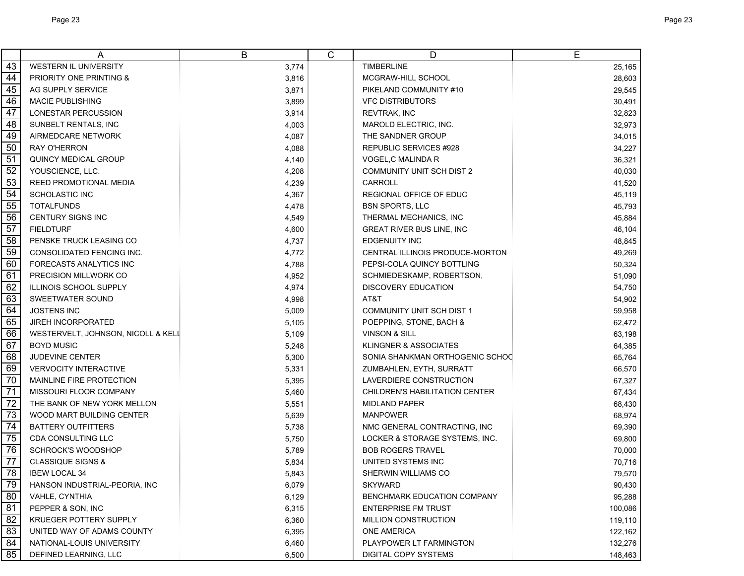|                 | A                                  | B     | C | D                                     | E       |
|-----------------|------------------------------------|-------|---|---------------------------------------|---------|
| 43              | WESTERN IL UNIVERSITY              | 3,774 |   | <b>TIMBERLINE</b>                     | 25,165  |
| 44              | PRIORITY ONE PRINTING &            | 3,816 |   | MCGRAW-HILL SCHOOL                    | 28,603  |
| 45              | AG SUPPLY SERVICE                  | 3,871 |   | PIKELAND COMMUNITY #10                | 29,545  |
| 46              | <b>MACIE PUBLISHING</b>            | 3,899 |   | <b>VFC DISTRIBUTORS</b>               | 30,491  |
| 47              | LONESTAR PERCUSSION                | 3,914 |   | <b>REVTRAK, INC</b>                   | 32,823  |
| 48              | SUNBELT RENTALS, INC               | 4,003 |   | MAROLD ELECTRIC, INC.                 | 32,973  |
| 49              | AIRMEDCARE NETWORK                 | 4,087 |   | THE SANDNER GROUP                     | 34,015  |
| 50              | RAY O'HERRON                       | 4,088 |   | <b>REPUBLIC SERVICES #928</b>         | 34,227  |
| 51              | <b>QUINCY MEDICAL GROUP</b>        | 4,140 |   | VOGEL,C MALINDA R                     | 36,321  |
| 52              | YOUSCIENCE, LLC.                   | 4,208 |   | <b>COMMUNITY UNIT SCH DIST 2</b>      | 40,030  |
| 53              | <b>REED PROMOTIONAL MEDIA</b>      | 4,239 |   | <b>CARROLL</b>                        | 41,520  |
| 54              | <b>SCHOLASTIC INC</b>              | 4,367 |   | REGIONAL OFFICE OF EDUC               | 45,119  |
| 55              | <b>TOTALFUNDS</b>                  | 4,478 |   | <b>BSN SPORTS, LLC</b>                | 45,793  |
| 56              | <b>CENTURY SIGNS INC</b>           | 4,549 |   | THERMAL MECHANICS, INC                | 45,884  |
| 57              | <b>FIELDTURF</b>                   | 4,600 |   | <b>GREAT RIVER BUS LINE, INC</b>      | 46,104  |
| 58              | PENSKE TRUCK LEASING CO            | 4,737 |   | <b>EDGENUITY INC</b>                  | 48,845  |
| 59              | CONSOLIDATED FENCING INC.          | 4,772 |   | CENTRAL ILLINOIS PRODUCE-MORTON       | 49,269  |
| 60              | FORECAST5 ANALYTICS INC            | 4,788 |   | PEPSI-COLA QUINCY BOTTLING            | 50,324  |
| 61              | PRECISION MILLWORK CO              | 4,952 |   | SCHMIEDESKAMP, ROBERTSON,             | 51,090  |
| 62              | ILLINOIS SCHOOL SUPPLY             | 4,974 |   | <b>DISCOVERY EDUCATION</b>            | 54,750  |
| 63              | SWEETWATER SOUND                   | 4,998 |   | AT&T                                  | 54,902  |
| 64              | <b>JOSTENS INC</b>                 | 5,009 |   | <b>COMMUNITY UNIT SCH DIST 1</b>      | 59,958  |
| 65              | <b>JIREH INCORPORATED</b>          | 5,105 |   | POEPPING, STONE, BACH &               | 62,472  |
| 66              | WESTERVELT, JOHNSON, NICOLL & KELL | 5,109 |   | <b>VINSON &amp; SILL</b>              | 63,198  |
| 67              | <b>BOYD MUSIC</b>                  | 5,248 |   | KLINGNER & ASSOCIATES                 | 64,385  |
| 68              | JUDEVINE CENTER                    | 5,300 |   | SONIA SHANKMAN ORTHOGENIC SCHOC       | 65,764  |
| 69              | <b>VERVOCITY INTERACTIVE</b>       | 5,331 |   | ZUMBAHLEN, EYTH, SURRATT              | 66,570  |
| 70              | MAINLINE FIRE PROTECTION           | 5,395 |   | LAVERDIERE CONSTRUCTION               | 67,327  |
| 71              | MISSOURI FLOOR COMPANY             | 5,460 |   | <b>CHILDREN'S HABILITATION CENTER</b> | 67,434  |
| 72              | THE BANK OF NEW YORK MELLON        | 5,551 |   | <b>MIDLAND PAPER</b>                  | 68,430  |
| 73              | WOOD MART BUILDING CENTER          | 5,639 |   | <b>MANPOWER</b>                       | 68,974  |
| 74              | <b>BATTERY OUTFITTERS</b>          | 5,738 |   | NMC GENERAL CONTRACTING, INC          | 69,390  |
| 75              | CDA CONSULTING LLC                 | 5,750 |   | LOCKER & STORAGE SYSTEMS, INC.        | 69,800  |
| 76              | <b>SCHROCK'S WOODSHOP</b>          | 5,789 |   | <b>BOB ROGERS TRAVEL</b>              | 70,000  |
| $\overline{77}$ | <b>CLASSIQUE SIGNS &amp;</b>       | 5,834 |   | UNITED SYSTEMS INC                    | 70,716  |
| 78              | <b>IBEW LOCAL 34</b>               | 5,843 |   | SHERWIN WILLIAMS CO                   | 79,570  |
| 79              | HANSON INDUSTRIAL-PEORIA, INC      | 6,079 |   | <b>SKYWARD</b>                        | 90,430  |
| 80              | VAHLE, CYNTHIA                     | 6,129 |   | BENCHMARK EDUCATION COMPANY           | 95,288  |
| 81              | PEPPER & SON, INC                  | 6,315 |   | <b>ENTERPRISE FM TRUST</b>            | 100,086 |
| 82              | KRUEGER POTTERY SUPPLY             | 6,360 |   | MILLION CONSTRUCTION                  | 119,110 |
| 83              | UNITED WAY OF ADAMS COUNTY         | 6,395 |   | <b>ONE AMERICA</b>                    | 122,162 |
| 84              | NATIONAL-LOUIS UNIVERSITY          | 6,460 |   | PLAYPOWER LT FARMINGTON               | 132,276 |
| 85              | DEFINED LEARNING, LLC              | 6,500 |   | DIGITAL COPY SYSTEMS                  | 148,463 |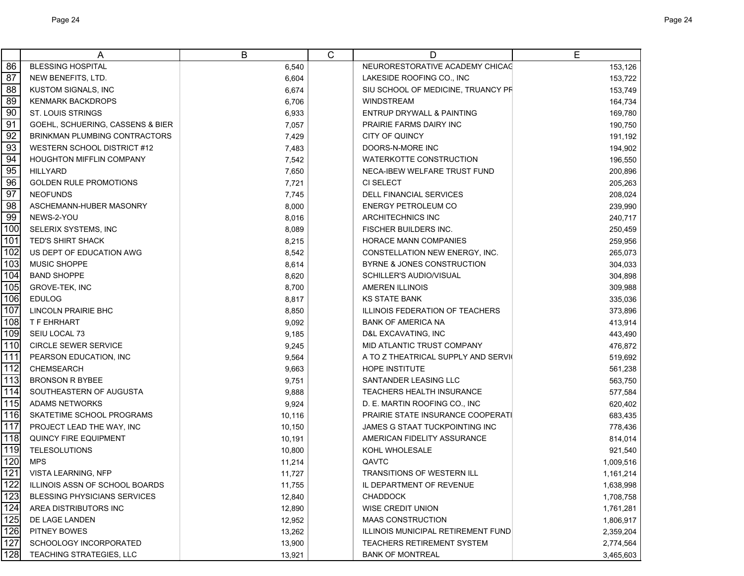|     | A                                   | B      | C | D                                         | E         |
|-----|-------------------------------------|--------|---|-------------------------------------------|-----------|
| 86  | <b>BLESSING HOSPITAL</b>            | 6,540  |   | NEURORESTORATIVE ACADEMY CHICAG           | 153,126   |
| 87  | NEW BENEFITS, LTD.                  | 6,604  |   | LAKESIDE ROOFING CO., INC                 | 153,722   |
| 88  | <b>KUSTOM SIGNALS, INC</b>          | 6,674  |   | SIU SCHOOL OF MEDICINE, TRUANCY PR        | 153,749   |
| 89  | <b>KENMARK BACKDROPS</b>            | 6,706  |   | <b>WINDSTREAM</b>                         | 164,734   |
| 90  | <b>ST. LOUIS STRINGS</b>            | 6,933  |   | <b>ENTRUP DRYWALL &amp; PAINTING</b>      | 169,780   |
| 91  | GOEHL, SCHUERING, CASSENS & BIER    | 7,057  |   | PRAIRIE FARMS DAIRY INC                   | 190,750   |
| 92  | BRINKMAN PLUMBING CONTRACTORS       | 7,429  |   | CITY OF QUINCY                            | 191,192   |
| 93  | <b>WESTERN SCHOOL DISTRICT #12</b>  | 7,483  |   | DOORS-N-MORE INC                          | 194,902   |
| 94  | <b>HOUGHTON MIFFLIN COMPANY</b>     | 7,542  |   | <b>WATERKOTTE CONSTRUCTION</b>            | 196,550   |
| 95  | <b>HILLYARD</b>                     | 7,650  |   | NECA-IBEW WELFARE TRUST FUND              | 200,896   |
| 96  | <b>GOLDEN RULE PROMOTIONS</b>       | 7,721  |   | CI SELECT                                 | 205,263   |
| 97  | <b>NEOFUNDS</b>                     | 7,745  |   | <b>DELL FINANCIAL SERVICES</b>            | 208,024   |
| 98  | ASCHEMANN-HUBER MASONRY             | 8,000  |   | ENERGY PETROLEUM CO                       | 239,990   |
| 99  | NEWS-2-YOU                          | 8,016  |   | <b>ARCHITECHNICS INC</b>                  | 240,717   |
| 100 | SELERIX SYSTEMS, INC                | 8,089  |   | <b>FISCHER BUILDERS INC.</b>              | 250,459   |
| 101 | <b>TED'S SHIRT SHACK</b>            | 8,215  |   | HORACE MANN COMPANIES                     | 259,956   |
| 102 | US DEPT OF EDUCATION AWG            | 8,542  |   | CONSTELLATION NEW ENERGY, INC.            | 265,073   |
| 103 | MUSIC SHOPPE                        | 8,614  |   | BYRNE & JONES CONSTRUCTION                | 304,033   |
| 104 | <b>BAND SHOPPE</b>                  | 8,620  |   | SCHILLER'S AUDIO/VISUAL                   | 304,898   |
| 105 | GROVE-TEK, INC                      | 8,700  |   | <b>AMEREN ILLINOIS</b>                    | 309,988   |
| 106 | <b>EDULOG</b>                       | 8,817  |   | <b>KS STATE BANK</b>                      | 335,036   |
| 107 | <b>LINCOLN PRAIRIE BHC</b>          | 8,850  |   | ILLINOIS FEDERATION OF TEACHERS           | 373,896   |
| 108 | T F EHRHART                         | 9,092  |   | <b>BANK OF AMERICA NA</b>                 | 413,914   |
| 109 | SEIU LOCAL 73                       | 9,185  |   | D&L EXCAVATING, INC                       | 443,490   |
| 110 | <b>CIRCLE SEWER SERVICE</b>         | 9,245  |   | MID ATLANTIC TRUST COMPANY                | 476,872   |
| 111 | PEARSON EDUCATION, INC              | 9,564  |   | A TO Z THEATRICAL SUPPLY AND SERVI        | 519,692   |
| 112 | <b>CHEMSEARCH</b>                   | 9,663  |   | <b>HOPE INSTITUTE</b>                     | 561,238   |
| 113 | <b>BRONSON R BYBEE</b>              | 9,751  |   | SANTANDER LEASING LLC                     | 563,750   |
| 114 | SOUTHEASTERN OF AUGUSTA             | 9,888  |   | TEACHERS HEALTH INSURANCE                 | 577,584   |
| 115 | <b>ADAMS NETWORKS</b>               | 9,924  |   | D. E. MARTIN ROOFING CO., INC             | 620,402   |
| 116 | SKATETIME SCHOOL PROGRAMS           | 10,116 |   | <b>PRAIRIE STATE INSURANCE COOPERATI</b>  | 683,435   |
| 117 | PROJECT LEAD THE WAY, INC           | 10,150 |   | JAMES G STAAT TUCKPOINTING INC            | 778,436   |
| 118 | <b>QUINCY FIRE EQUIPMENT</b>        | 10,191 |   | AMERICAN FIDELITY ASSURANCE               | 814,014   |
| 119 | <b>TELESOLUTIONS</b>                | 10,800 |   | KOHL WHOLESALE                            | 921,540   |
| 120 | <b>MPS</b>                          | 11,214 |   | QAVTC                                     | 1,009,516 |
| 121 | <b>VISTA LEARNING, NFP</b>          | 11,727 |   | <b>TRANSITIONS OF WESTERN ILL</b>         | 1,161,214 |
| 122 | ILLINOIS ASSN OF SCHOOL BOARDS      | 11,755 |   | IL DEPARTMENT OF REVENUE                  | 1,638,998 |
| 123 | <b>BLESSING PHYSICIANS SERVICES</b> | 12,840 |   | <b>CHADDOCK</b>                           | 1,708,758 |
| 124 | AREA DISTRIBUTORS INC               | 12,890 |   | <b>WISE CREDIT UNION</b>                  | 1,761,281 |
| 125 | DE LAGE LANDEN                      | 12,952 |   | <b>MAAS CONSTRUCTION</b>                  | 1,806,917 |
| 126 | PITNEY BOWES                        | 13,262 |   | <b>ILLINOIS MUNICIPAL RETIREMENT FUND</b> | 2,359,204 |
| 127 | SCHOOLOGY INCORPORATED              | 13,900 |   | <b>TEACHERS RETIREMENT SYSTEM</b>         | 2,774,564 |
| 128 | TEACHING STRATEGIES, LLC            | 13,921 |   | <b>BANK OF MONTREAL</b>                   | 3,465,603 |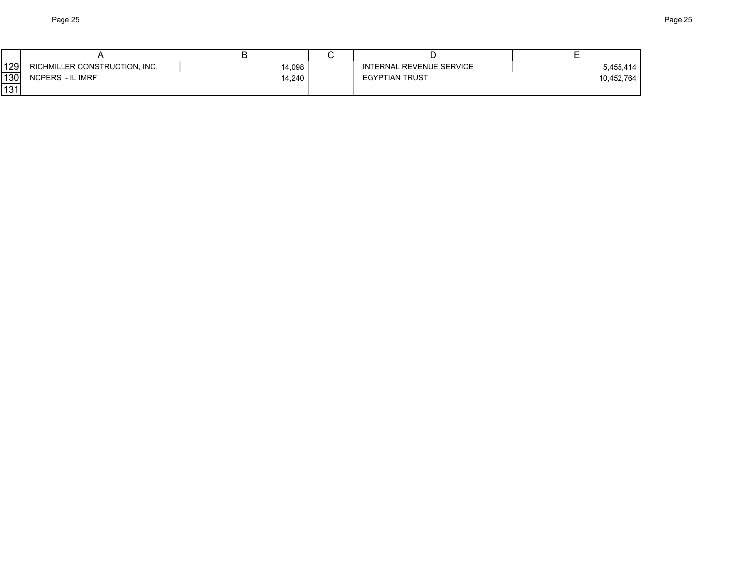| 129 | RICHMILLER CONSTRUCTION, INC. | 14,098 | INTERNAL REVENUE SERVICE | 5,455,414  |
|-----|-------------------------------|--------|--------------------------|------------|
| 130 | NCPERS - IL IMRF              | 14,240 | <b>EGYPTIAN TRUST</b>    | 10,452,764 |
| 131 |                               |        |                          |            |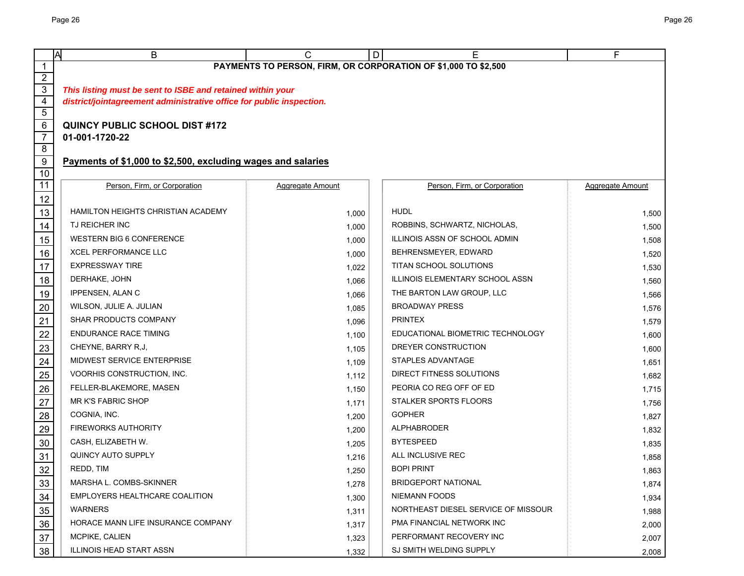|                     | A<br>В                                                               | С                                 | D | Е                                   | F                |  |  |  |  |
|---------------------|----------------------------------------------------------------------|-----------------------------------|---|-------------------------------------|------------------|--|--|--|--|
| 1                   | PAYMENTS TO PERSON, FIRM, OR CORPORATION OF \$1,000 TO \$2,500       |                                   |   |                                     |                  |  |  |  |  |
| $\overline{2}$      |                                                                      |                                   |   |                                     |                  |  |  |  |  |
| 3<br>$\overline{4}$ | This listing must be sent to ISBE and retained within your           |                                   |   |                                     |                  |  |  |  |  |
| $\overline{5}$      | district/jointagreement administrative office for public inspection. |                                   |   |                                     |                  |  |  |  |  |
| $\,6$               | <b>QUINCY PUBLIC SCHOOL DIST #172</b>                                |                                   |   |                                     |                  |  |  |  |  |
| $\overline{7}$      | 01-001-1720-22                                                       |                                   |   |                                     |                  |  |  |  |  |
| 8                   |                                                                      |                                   |   |                                     |                  |  |  |  |  |
| $9\,$               | Payments of \$1,000 to \$2,500, excluding wages and salaries         |                                   |   |                                     |                  |  |  |  |  |
| 10                  |                                                                      |                                   |   |                                     |                  |  |  |  |  |
| 11                  | Person, Firm, or Corporation                                         | Aggregate Amount                  |   | Person, Firm, or Corporation        | Aggregate Amount |  |  |  |  |
| 12                  | HAMILTON HEIGHTS CHRISTIAN ACADEMY                                   |                                   |   | <b>HUDL</b>                         |                  |  |  |  |  |
| 13                  | TJ REICHER INC                                                       | 1,000                             |   | ROBBINS, SCHWARTZ, NICHOLAS,        | 1,500            |  |  |  |  |
| 14                  | <b>WESTERN BIG 6 CONFERENCE</b>                                      | 1,000                             |   | ILLINOIS ASSN OF SCHOOL ADMIN       | 1,500            |  |  |  |  |
| 15                  | <b>XCEL PERFORMANCE LLC</b>                                          | 1,000                             |   | BEHRENSMEYER, EDWARD                | 1,508            |  |  |  |  |
| 16                  | <b>EXPRESSWAY TIRE</b>                                               | 1,000                             |   | TITAN SCHOOL SOLUTIONS              | 1,520            |  |  |  |  |
| 17<br>18            | DERHAKE, JOHN                                                        | 1,022                             |   | ILLINOIS ELEMENTARY SCHOOL ASSN     | 1,530            |  |  |  |  |
|                     | IPPENSEN, ALAN C                                                     | 1,066                             |   | THE BARTON LAW GROUP, LLC           | 1,560            |  |  |  |  |
| 19<br>$20\,$        | WILSON, JULIE A. JULIAN                                              | 1,066                             |   | <b>BROADWAY PRESS</b>               | 1,566            |  |  |  |  |
| 21                  | <b>SHAR PRODUCTS COMPANY</b>                                         | 1,085                             |   | <b>PRINTEX</b>                      | 1,576            |  |  |  |  |
| 22                  | <b>ENDURANCE RACE TIMING</b>                                         | 1,096<br>1,100                    |   | EDUCATIONAL BIOMETRIC TECHNOLOGY    | 1,579<br>1,600   |  |  |  |  |
| 23                  | CHEYNE, BARRY R,J,                                                   | 1,105                             |   | DREYER CONSTRUCTION                 | 1,600            |  |  |  |  |
| 24                  | MIDWEST SERVICE ENTERPRISE                                           | 1,109                             |   | STAPLES ADVANTAGE                   | 1,651            |  |  |  |  |
| 25                  | VOORHIS CONSTRUCTION, INC.                                           | DIRECT FITNESS SOLUTIONS<br>1,112 |   | 1,682                               |                  |  |  |  |  |
| $26\,$              | FELLER-BLAKEMORE, MASEN                                              | 1,150                             |   | PEORIA CO REG OFF OF ED             | 1,715            |  |  |  |  |
| 27                  | <b>MR K'S FABRIC SHOP</b>                                            | 1,171                             |   | STALKER SPORTS FLOORS               | 1,756            |  |  |  |  |
| 28                  | COGNIA, INC.                                                         | 1,200                             |   | <b>GOPHER</b>                       | 1,827            |  |  |  |  |
| 29                  | <b>FIREWORKS AUTHORITY</b>                                           | 1,200                             |   | <b>ALPHABRODER</b>                  | 1,832            |  |  |  |  |
| $30\,$              | CASH, ELIZABETH W.                                                   | 1,205                             |   | <b>BYTESPEED</b>                    | 1,835            |  |  |  |  |
| 31                  | QUINCY AUTO SUPPLY                                                   | 1,216                             |   | ALL INCLUSIVE REC                   | 1,858            |  |  |  |  |
| 32                  | REDD, TIM                                                            | 1,250                             |   | <b>BOPI PRINT</b>                   | 1,863            |  |  |  |  |
| 33                  | MARSHA L. COMBS-SKINNER                                              | 1,278                             |   | <b>BRIDGEPORT NATIONAL</b>          | 1,874            |  |  |  |  |
| 34                  | EMPLOYERS HEALTHCARE COALITION                                       | 1,300                             |   | <b>NIEMANN FOODS</b>                | 1,934            |  |  |  |  |
| $35\,$              | <b>WARNERS</b>                                                       | 1,311                             |   | NORTHEAST DIESEL SERVICE OF MISSOUR | 1,988            |  |  |  |  |
| 36                  | HORACE MANN LIFE INSURANCE COMPANY                                   | 1,317                             |   | PMA FINANCIAL NETWORK INC           | 2,000            |  |  |  |  |
| 37                  | MCPIKE, CALIEN                                                       | 1,323                             |   | PERFORMANT RECOVERY INC             | 2,007            |  |  |  |  |
| 38                  | ILLINOIS HEAD START ASSN                                             | 1,332                             |   | SJ SMITH WELDING SUPPLY             | 2,008            |  |  |  |  |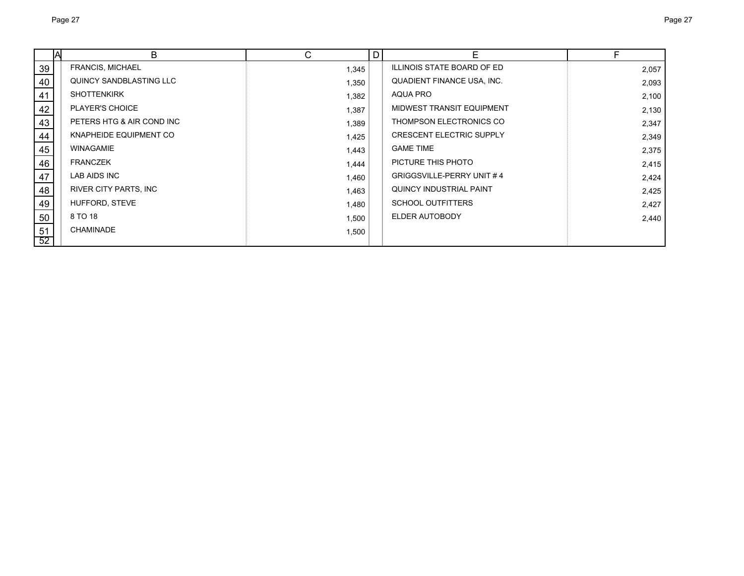|    | A | В                         | C     | D | Е                                 | F     |
|----|---|---------------------------|-------|---|-----------------------------------|-------|
| 39 |   | FRANCIS, MICHAEL          | 1,345 |   | <b>ILLINOIS STATE BOARD OF ED</b> | 2,057 |
| 40 |   | QUINCY SANDBLASTING LLC   | 1,350 |   | QUADIENT FINANCE USA, INC.        | 2,093 |
| 41 |   | <b>SHOTTENKIRK</b>        | 1,382 |   | AQUA PRO                          | 2,100 |
| 42 |   | PLAYER'S CHOICE           | 1,387 |   | MIDWEST TRANSIT EQUIPMENT         | 2,130 |
| 43 |   | PETERS HTG & AIR COND INC | 1,389 |   | THOMPSON ELECTRONICS CO           | 2,347 |
| 44 |   | KNAPHEIDE EQUIPMENT CO    | 1,425 |   | <b>CRESCENT ELECTRIC SUPPLY</b>   | 2,349 |
| 45 |   | <b>WINAGAMIE</b>          | 1,443 |   | <b>GAME TIME</b>                  | 2,375 |
| 46 |   | <b>FRANCZEK</b>           | 1,444 |   | PICTURE THIS PHOTO                | 2,415 |
| 47 |   | LAB AIDS INC              | 1,460 |   | <b>GRIGGSVILLE-PERRY UNIT #4</b>  | 2,424 |
| 48 |   | RIVER CITY PARTS, INC.    | 1,463 |   | QUINCY INDUSTRIAL PAINT           | 2,425 |
| 49 |   | HUFFORD, STEVE            | 1,480 |   | <b>SCHOOL OUTFITTERS</b>          | 2,427 |
| 50 |   | 8 TO 18                   | 1,500 |   | ELDER AUTOBODY                    | 2,440 |
| 51 |   | CHAMINADE                 | 1,500 |   |                                   |       |
| 52 |   |                           |       |   |                                   |       |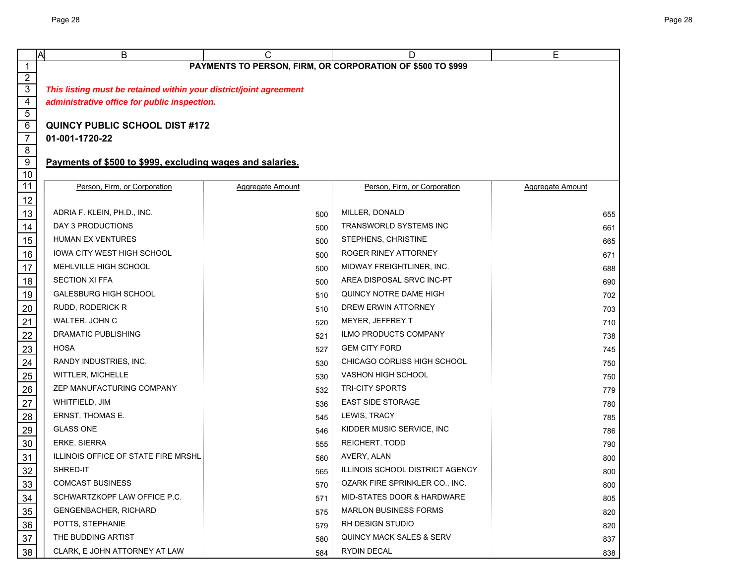|                                   | B<br>Α                                                             | C                | D                                     | Е                |  |  |  |  |
|-----------------------------------|--------------------------------------------------------------------|------------------|---------------------------------------|------------------|--|--|--|--|
| $\mathbf{1}$                      | PAYMENTS TO PERSON, FIRM, OR CORPORATION OF \$500 TO \$999         |                  |                                       |                  |  |  |  |  |
| $\overline{2}$                    |                                                                    |                  |                                       |                  |  |  |  |  |
| $\overline{3}$                    | This listing must be retained within your district/joint agreement |                  |                                       |                  |  |  |  |  |
| $\overline{4}$                    | administrative office for public inspection.                       |                  |                                       |                  |  |  |  |  |
| $\overline{5}$                    |                                                                    |                  |                                       |                  |  |  |  |  |
| $6\overline{6}$<br>$\overline{7}$ | <b>QUINCY PUBLIC SCHOOL DIST #172</b>                              |                  |                                       |                  |  |  |  |  |
| $\overline{\mathbf{8}}$           | 01-001-1720-22                                                     |                  |                                       |                  |  |  |  |  |
| $\overline{9}$                    | Payments of \$500 to \$999, excluding wages and salaries.          |                  |                                       |                  |  |  |  |  |
| 10                                |                                                                    |                  |                                       |                  |  |  |  |  |
| 11                                | Person, Firm, or Corporation                                       | Aggregate Amount | Person, Firm, or Corporation          | Aggregate Amount |  |  |  |  |
| 12                                |                                                                    |                  |                                       |                  |  |  |  |  |
| 13                                | ADRIA F. KLEIN, PH.D., INC.                                        | 500              | MILLER, DONALD                        | 655              |  |  |  |  |
| 14                                | DAY 3 PRODUCTIONS                                                  | 500              | TRANSWORLD SYSTEMS INC                | 661              |  |  |  |  |
| 15                                | <b>HUMAN EX VENTURES</b>                                           | 500              | STEPHENS, CHRISTINE                   | 665              |  |  |  |  |
| 16                                | IOWA CITY WEST HIGH SCHOOL                                         | 500              | ROGER RINEY ATTORNEY                  | 671              |  |  |  |  |
| 17                                | MEHLVILLE HIGH SCHOOL                                              | 500              | MIDWAY FREIGHTLINER, INC.             | 688              |  |  |  |  |
| 18                                | <b>SECTION XI FFA</b>                                              | 500              | AREA DISPOSAL SRVC INC-PT             | 690              |  |  |  |  |
| 19                                | <b>GALESBURG HIGH SCHOOL</b>                                       | 510              | QUINCY NOTRE DAME HIGH                | 702              |  |  |  |  |
| $\overline{20}$                   | <b>RUDD, RODERICK R</b>                                            | 510              | DREW ERWIN ATTORNEY                   | 703              |  |  |  |  |
| $\overline{21}$                   | WALTER, JOHN C                                                     | 520              | MEYER, JEFFREY T                      | 710              |  |  |  |  |
| $\frac{22}{2}$                    | DRAMATIC PUBLISHING                                                | 521              | <b>ILMO PRODUCTS COMPANY</b>          | 738              |  |  |  |  |
| $\overline{23}$                   | <b>HOSA</b>                                                        | 527              | <b>GEM CITY FORD</b>                  | 745              |  |  |  |  |
|                                   | RANDY INDUSTRIES, INC.                                             | 530              | CHICAGO CORLISS HIGH SCHOOL           | 750              |  |  |  |  |
| $\frac{24}{25}$                   | WITTLER, MICHELLE                                                  | 530              | <b>VASHON HIGH SCHOOL</b>             | 750              |  |  |  |  |
| $\frac{26}{5}$                    | ZEP MANUFACTURING COMPANY                                          | 532              | <b>TRI-CITY SPORTS</b>                | 779              |  |  |  |  |
| $\overline{27}$                   | WHITFIELD, JIM                                                     | 536              | <b>EAST SIDE STORAGE</b>              | 780              |  |  |  |  |
| 28                                | ERNST, THOMAS E.                                                   | 545              | LEWIS, TRACY                          | 785              |  |  |  |  |
|                                   | <b>GLASS ONE</b>                                                   | 546              | KIDDER MUSIC SERVICE, INC             | 786              |  |  |  |  |
| 29<br>30                          | ERKE, SIERRA                                                       | 555              | REICHERT, TODD                        | 790              |  |  |  |  |
| 31                                | ILLINOIS OFFICE OF STATE FIRE MRSHL                                | 560              | AVERY, ALAN                           | 800              |  |  |  |  |
| <u>32</u>                         | SHRED-IT                                                           | 565              | ILLINOIS SCHOOL DISTRICT AGENCY       | 800              |  |  |  |  |
| 33                                | <b>COMCAST BUSINESS</b>                                            | 570              | OZARK FIRE SPRINKLER CO., INC.        | 800              |  |  |  |  |
| $\frac{34}{5}$                    | SCHWARTZKOPF LAW OFFICE P.C.                                       | 571              | <b>MID-STATES DOOR &amp; HARDWARE</b> | 805              |  |  |  |  |
| $\frac{35}{5}$                    | <b>GENGENBACHER, RICHARD</b>                                       | 575              | <b>MARLON BUSINESS FORMS</b>          | 820              |  |  |  |  |
| 36                                | POTTS, STEPHANIE                                                   | 579              | RH DESIGN STUDIO                      | 820              |  |  |  |  |
| $\frac{37}{2}$                    | THE BUDDING ARTIST                                                 | 580              | QUINCY MACK SALES & SERV              | 837              |  |  |  |  |
| 38                                | CLARK, E JOHN ATTORNEY AT LAW                                      | 584              | RYDIN DECAL                           | 838              |  |  |  |  |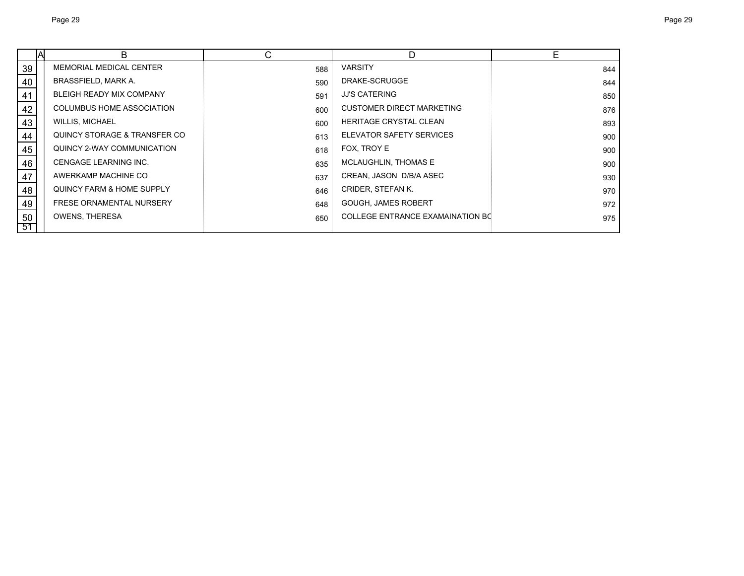|    | B                               | С   | D                                       | Е   |
|----|---------------------------------|-----|-----------------------------------------|-----|
| 39 | <b>MEMORIAL MEDICAL CENTER</b>  | 588 | <b>VARSITY</b>                          | 844 |
| 40 | BRASSFIELD, MARK A.             | 590 | DRAKE-SCRUGGE                           | 844 |
| 41 | <b>BLEIGH READY MIX COMPANY</b> | 591 | <b>JJ'S CATERING</b>                    | 850 |
| 42 | COLUMBUS HOME ASSOCIATION       | 600 | <b>CUSTOMER DIRECT MARKETING</b>        | 876 |
| 43 | <b>WILLIS, MICHAEL</b>          | 600 | <b>HERITAGE CRYSTAL CLEAN</b>           | 893 |
| 44 | QUINCY STORAGE & TRANSFER CO    | 613 | ELEVATOR SAFETY SERVICES                | 900 |
| 45 | QUINCY 2-WAY COMMUNICATION      | 618 | FOX, TROY E                             | 900 |
| 46 | CENGAGE LEARNING INC.           | 635 | MCLAUGHLIN, THOMAS E                    | 900 |
| 47 | AWERKAMP MACHINE CO             | 637 | CREAN, JASON D/B/A ASEC                 | 930 |
| 48 | QUINCY FARM & HOME SUPPLY       | 646 | CRIDER, STEFAN K.                       | 970 |
| 49 | <b>FRESE ORNAMENTAL NURSERY</b> | 648 | <b>GOUGH, JAMES ROBERT</b>              | 972 |
| 50 | <b>OWENS, THERESA</b>           | 650 | <b>COLLEGE ENTRANCE EXAMAINATION BC</b> | 975 |
| 51 |                                 |     |                                         |     |